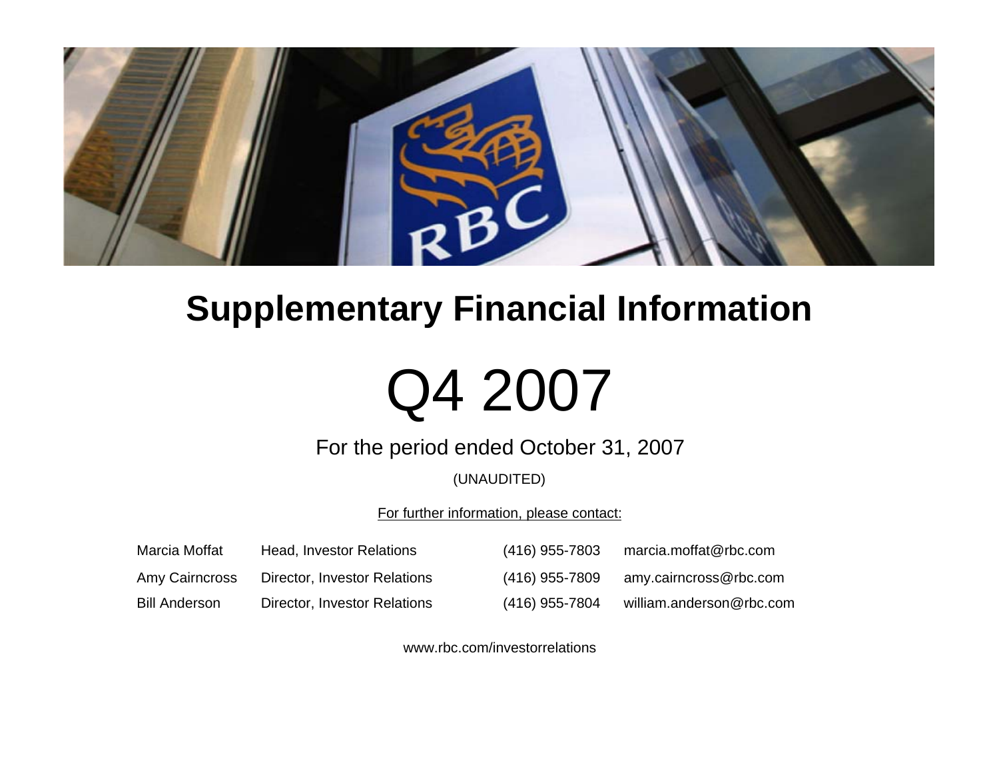

## **Supplementary Financial Information**

# Q4 2007

### For the period ended October 31, 2007

### (UNAUDITED)

For further information, please contact:

| Marcia Moffat        | Head, Investor Relations     | (416) 955-7803 | marcia.moffat@rbc.com    |
|----------------------|------------------------------|----------------|--------------------------|
| Amy Cairncross       | Director, Investor Relations | (416) 955-7809 | amy.cairncross@rbc.com   |
| <b>Bill Anderson</b> | Director, Investor Relations | (416) 955-7804 | william.anderson@rbc.com |

www.rbc.com/investorrelations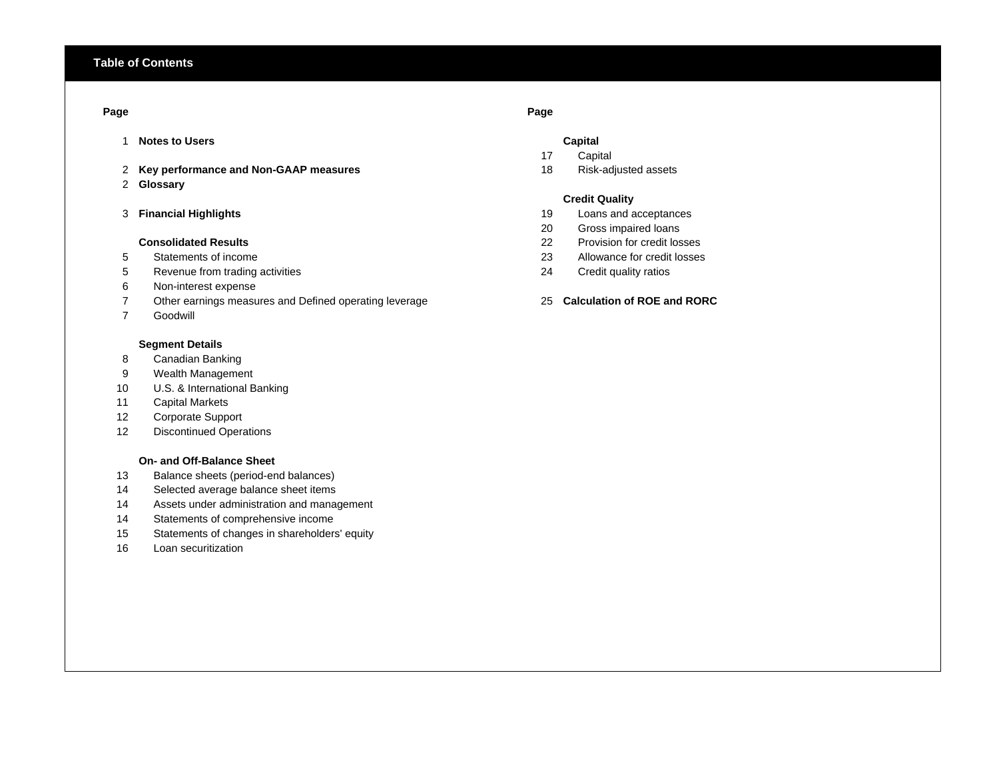### **Page Page**

- 1 **Notes to Users Capital**
- 2 **Key performance and Non-GAAP measures** 18 Risk-adjusted assets
- 2 **Glossary**
- 

### **Consolidated Results**

- 
- Revenue from trading activities 24 Credit quality ratios
- Non-interest expense
- Other earnings measures and Defined operating leverage 25 **Calculation of ROE and RORC**
- Goodwill

### **Segment Details**

- Canadian Banking
- Wealth Management
- U.S. & International Banking
- Capital Markets
- Corporate Support
- Discontinued Operations

### **On- and Off-Balance Sheet**

- Balance sheets (period-end balances)
- Selected average balance sheet items
- Assets under administration and management
- Statements of comprehensive income
- Statements of changes in shareholders' equity
- Loan securitization
- 
- Capital
- 

### **Credit Quality**

- 3 **Financial Highlights** 19 Loans and acceptances
	- Gross impaired loans
	- 22 Provision for credit losses
- Statements of income 23 Allowance for credit losses
	-
	-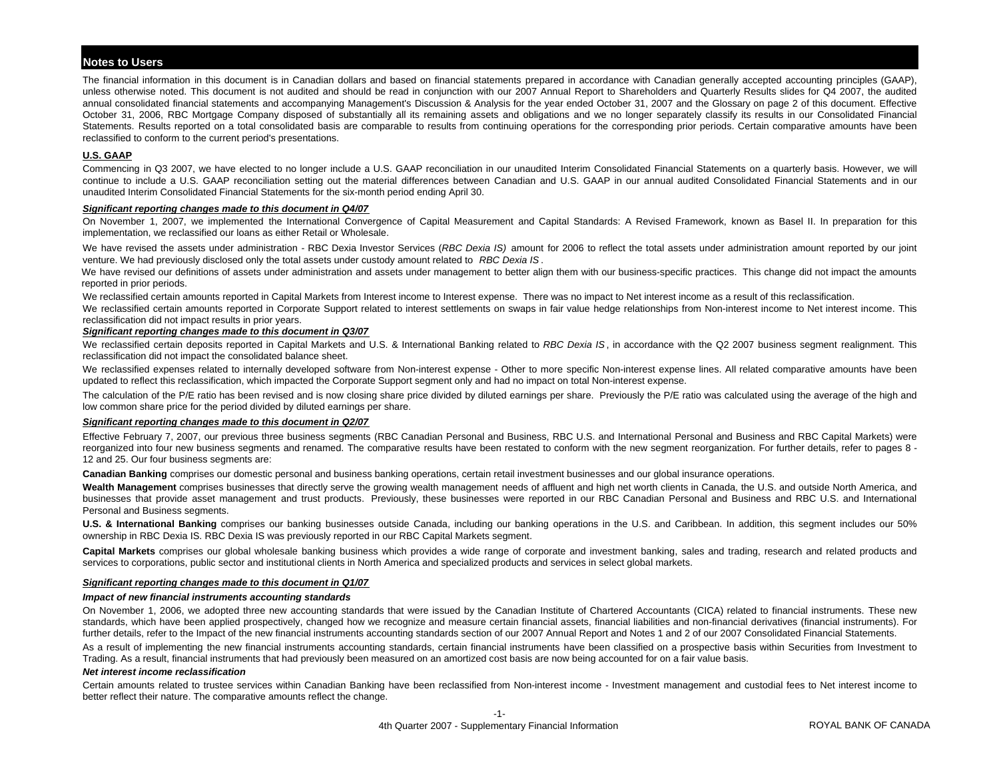### **Notes to Users**

The financial information in this document is in Canadian dollars and based on financial statements prepared in accordance with Canadian generally accepted accounting principles (GAAP), unless otherwise noted. This document is not audited and should be read in conjunction with our 2007 Annual Report to Shareholders and Quarterly Results slides for Q4 2007, the audited annual consolidated financial statements and accompanying Management's Discussion & Analysis for the year ended October 31, 2007 and the Glossary on page 2 of this document. Effective October 31, 2006, RBC Mortgage Company disposed of substantially all its remaining assets and obligations and we no longer separately classify its results in our Consolidated Financial Statements. Results reported on a total consolidated basis are comparable to results from continuing operations for the corresponding prior periods. Certain comparative amounts have been reclassified to conform to the current period's presentations.

### **U.S. GAAP**

Commencing in Q3 2007, we have elected to no longer include <sup>a</sup> U.S. GAAP reconciliation in our unaudited Interim Consolidated Financial Statements on <sup>a</sup> quarterly basis. However, we will continue to include <sup>a</sup> U.S. GAAP reconciliation setting out the material differences between Canadian and U.S. GAAP in our annual audited Consolidated Financial Statements and in our unaudited Interim Consolidated Financial Statements for the six-month period ending April 30.

### *Significant reporting changes made to this document in Q4/07*

On November 1, 2007, we implemented the International Convergence of Capital Measurement and Capital Standards: A Revised Framework, known as Basel II. In preparation for this implementation, we reclassified our loans as either Retail or Wholesale.

We have revised the assets under administration - RBC Dexia Investor Services (RBC Dexia IS) amount for 2006 to reflect the total assets under administration amount reported by our joint venture. We had previously disclosed only the total assets under custody amount related to *RBC Dexia IS* .

We have revised our definitions of assets under administration and assets under management to better align them with our business-specific practices. This change did not impact the amounts reported in prior periods.

We reclassified certain amounts reported in Capital Markets from Interest income to Interest expense. There was no impact to Net interest income as a result of this reclassification.

We reclassified certain amounts reported in Corporate Support related to interest settlements on swaps in fair value hedge relationships from Non-interest income to Net interest income. This reclassification did not impact results in prior years.

### *Significant reporting changes made to this document in Q3/07*

We reclassified certain deposits reported in Capital Markets and U.S. & International Banking related to *RBC Dexia IS*, in accordance with the Q2 2007 business segment realignment. This reclassification did not impact the consolidated balance sheet.

We reclassified expenses related to internally developed software from Non-interest expense - Other to more specific Non-interest expense lines. All related comparative amounts have been updated to reflect this reclassification, which impacted the Corporate Support segment only and had no impact on total Non-interest expense.

The calculation of the P/E ratio has been revised and is now closing share price divided by diluted earnings per share. Previously the P/E ratio was calculated using the average of the high and low common share price for the period divided by diluted earnings per share.

### *Significant reporting changes made to this document in Q2/07*

Effective February 7, 2007, our previous three business segments (RBC Canadian Personal and Business, RBC U.S. and International Personal and Business and RBC Capital Markets) were reorganized into four new business segments and renamed. The comparative results have been restated to conform with the new segment reorganization. For further details, refer to pages 8 -12 and 25. Our four business segments are:

**Canadian Banking** comprises our domestic personal and business banking operations, certain retail investment businesses and our global insurance operations.

Wealth Management comprises businesses that directly serve the growing wealth management needs of affluent and high net worth clients in Canada, the U.S. and outside North America, and businesses that provide asset management and trust products. Previously, these businesses were reported in our RBC Canadian Personal and Business and RBC U.S. and International Personal and Business segments.

U.S. & International Banking comprises our banking businesses outside Canada, including our banking operations in the U.S. and Caribbean. In addition, this segment includes our 50% ownership in RBC Dexia IS. RBC Dexia IS was previously reported in our RBC Capital Markets segment.

**Capital Markets** comprises our global wholesale banking business which provides <sup>a</sup> wide range of corporate and investment banking, sales and trading, research and related products and services to corporations, public sector and institutional clients in North America and specialized products and services in select global markets.

### *Significant reporting changes made to this document in Q1/07*

### *Impact of new financial instruments accounting standards*

On November 1, 2006, we adopted three new accounting standards that were issued by the Canadian Institute of Chartered Accountants (CICA) related to financial instruments. These new standards, which have been applied prospectively, changed how we recognize and measure certain financial assets, financial liabilities and non-financial derivatives (financial instruments). For further details, refer to the Impact of the new financial instruments accounting standards section of our 2007 Annual Report and Notes 1 and 2 of our 2007 Consolidated Financial Statements.

As a result of implementing the new financial instruments accounting standards, certain financial instruments have been classified on a prospective basis within Securities from Investment to Trading. As a result, financial instruments that had previously been measured on an amortized cost basis are now being accounted for on a fair value basis.

### *Net interest income reclassification*

Certain amounts related to trustee services within Canadian Banking have been reclassified from Non-interest income - Investment management and custodial fees to Net interest income to better reflect their nature. The comparative amounts reflect the change.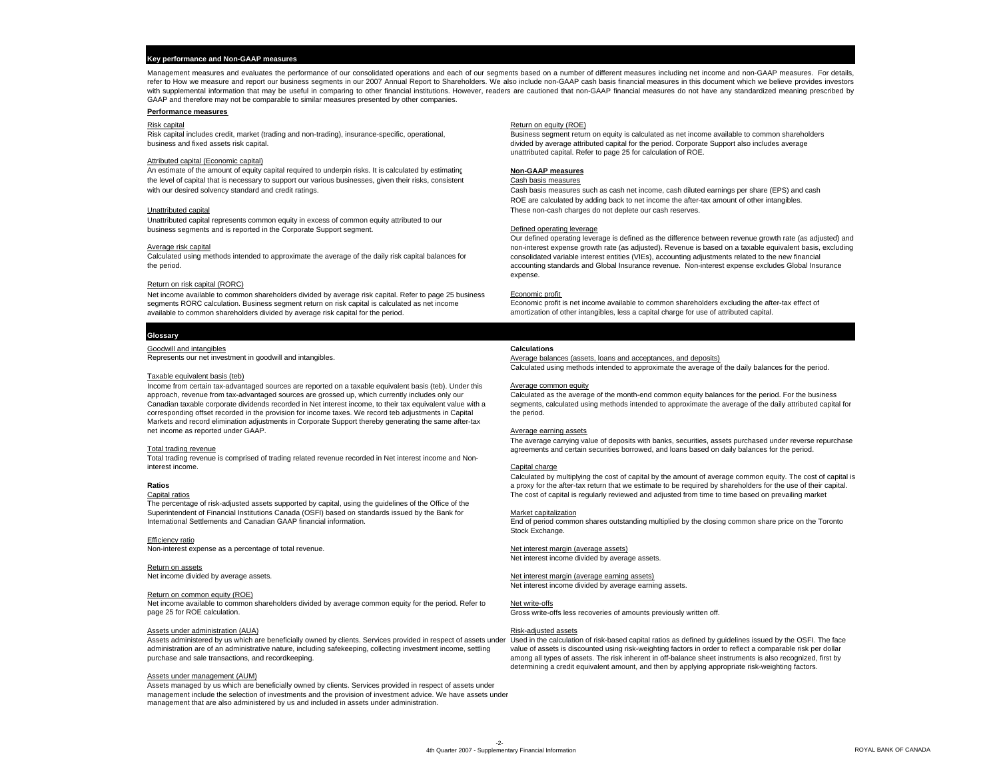### **Key performance and Non-GAAP measures**

Management measures and evaluates the performance of our consolidated operations and each of our segments based on <sup>a</sup> number of different measures including net income and non-GAAP measures. For details, refer to How we measure and report our business segments in our 2007 Annual Report to Shareholders. We also include non-GAAP cash basis financial measures in this document which we believe provides investors with supplemental information that may be useful in comparing to other financial institutions. However, readers are cautioned that non-GAAP financial measures do not have any standardized meaning prescribed by GAAP and therefore may not be comparable to similar measures presented by other companies.

### **Performance measures**

### Attributed capital (Economic capital)

An estimate of the amount of equity capital required to underpin risks. It is calculated by estimating **Non-GAAP measures** the level of capital that is necessary to support our various businesses, given their risks, consistent Cash basis measures with our desired solvency standard and credit ratings. The standard and credit ratings. Cash cash is cash net income, cash net income, cash diluted earnings per share (EPS) and cash

Unattributed capital represents common equity in excess of common equity attributed to our business segments and is reported in the Corporate Support segment. The Context of the Corporation of the Corporate Support segment.

### Return on risk capital (RORC)

Net income available to common shareholders divided by average risk capital. Refer to page 25 business Economic profit is net income available to common shareholders excluding the after-tax effect of<br>Segments RORC calculat segments RORC calculation. Business segment return on risk capital is calculated as net income<br>Available to common shareholders divided by average risk capital for the period.

### **Glossary**

Goodwill and intangibles **Calculations**

### Taxable equivalent basis (teb)

Income from certain tax-advantaged sources are reported on a taxable equivalent basis (teb). Under this approach, revenue from tax-advantaged sources are grossed up, which currently includes only our Canadian taxable corporate dividends recorded in Net interest income, to their tax equivalent value with a corresponding offset recorded in the provision for income taxes. We record teb adjustments in Capital Markets and record elimination adjustments in Corporate Support thereby generating the same after-tax net income as reported under GAAP.

### Total trading revenue

Total trading revenue is comprised of trading related revenue recorded in Net interest income and Noninterest income.

### **Ratios**

### Capital ratios

The percentage of risk-adjusted assets supported by capital, using the guidelines of the Office of the Superintendent of Financial Institutions Canada (OSFI) based on standards issued by the Bank for International Settlements and Canadian GAAP financial information.

Efficiency ratio Non-interest expense as a percentage of total revenue. Net interest margin (average assets)

### Return on assets

### Return on common equity (ROE)

Net income available to common shareholders divided by average common equity for the period. Refer to page 25 for ROE calculation.

### Assets under administration (AUA) and the control of the control of the control of the control of the control of the control of the control of the control of the control of the control of the control of the control of the

Assets administered by us which are beneficially owned by clients. Services provided in respect of assets under Used in the calculation of risk-based capital ratios as defined by guidelines issued by the OSFI. The face administration are of an administrative nature, including safekeeping, collecting investment income, settling purchase and sale transactions, and recordkeeping.

### Assets under management (AUM)

Assets managed by us which are beneficially owned by clients. Services provided in respect of assets under management include the selection of investments and the provision of investment advice. We have assets under management that are also administered by us and included in assets under administration.

### Risk capital Return on equity (ROE) Network and Return on equity (ROE) Network and Return on equity (ROE)

Risk capital includes credit, market (trading and non-trading), insurance-specific, operational,<br>
business and fixed assets risk capital.<br>
business and fixed assets risk capital. business and fixed assets risk capital for divided by average attributed capital for the period. Corporate Support also includes average unattributed capital. Refer to page 25 for calculation of ROE.

ROE are calculated by adding back to net income the after-tax amount of other intangibles. Unattributed capital These non-cash charges do not deplete our cash reserves.

Our defined operating leverage is defined as the difference between revenue growth rate (as adjusted) and Average risk capital non-interest expense growth rate (as adjusted). Revenue is based on a taxable equivalent basis, excluding<br>Calculated using methods intended to approximate the average of the daily risk capital balances Calculated using methods intended to approximate the average of the daily risk capital balances for consolidated variable interest entities (VIEs), accounting adjustments related to the new financial lines (includes Clobal accounting standards and Global Insurance revenue. Non-interest expense excludes Global Insurance expense.

amortization of other intangibles, less a capital charge for use of attributed capital.

Average balances (assets, loans and acceptances, and deposits) Calculated using methods intended to approximate the average of the daily balances for the period.

### Average common equity

Calculated as the average of the month-end common equity balances for the period. For the business segments, calculated using methods intended to approximate the average of the daily attributed capital for the period.

### Average earning assets

The average carrying value of deposits with banks, securities, assets purchased under reverse repurchase agreements and certain securities borrowed, and loans based on daily balances for the period.

### Capital charge

Calculated by multiplying the cost of capital by the amount of average common equity. The cost of capital is a proxy for the after-tax return that we estimate to be required by shareholders for the use of their capital. The cost of capital is regularly reviewed and adjusted from time to time based on prevailing market

### Market capitalization

End of period common shares outstanding multiplied by the closing common share price on the Toronto Stock Exchange.

### Net interest income divided by average assets.

Net income divided by average assets. Net interest margin (average earning assets) Net interest income divided by average earning assets.

### Net write-offs

Gross write-offs less recoveries of amounts previously written off.

value of assets is discounted using risk-weighting factors in order to reflect a comparable risk per dollar among all types of assets. The risk inherent in off-balance sheet instruments is also recognized, first by determining a credit equivalent amount, and then by applying appropriate risk-weighting factors.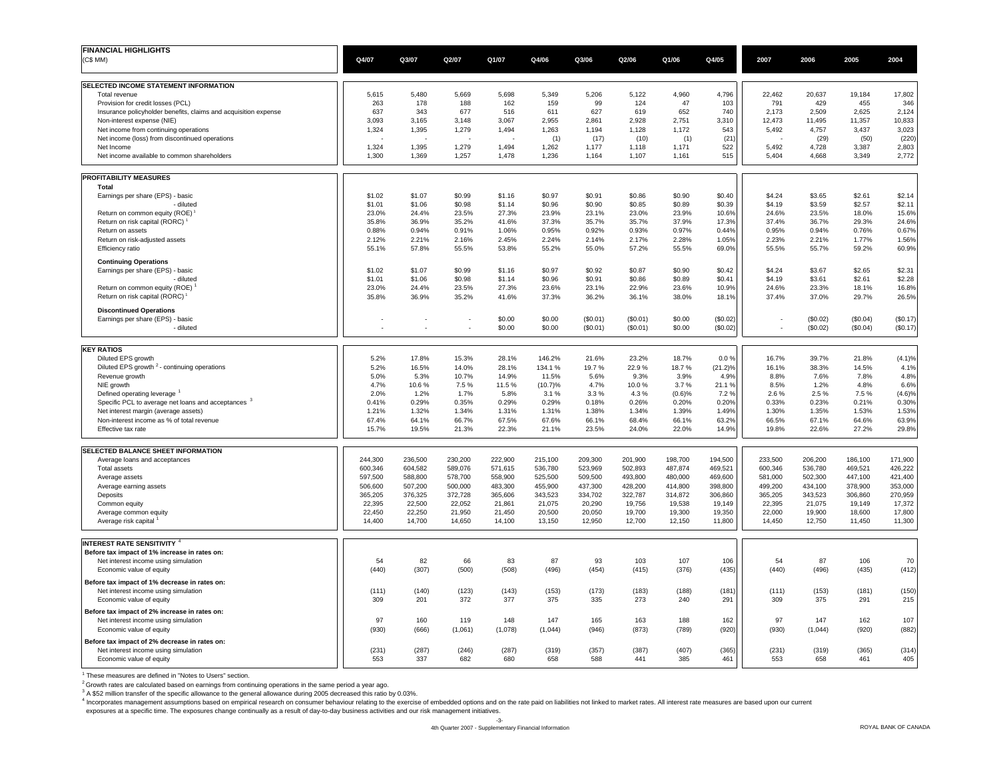| <b>FINANCIAL HIGHLIGHTS</b>                                                           |                  |                          |                          |                  |                  |                  |                  |                  |                  |                          |                  |                  |                  |
|---------------------------------------------------------------------------------------|------------------|--------------------------|--------------------------|------------------|------------------|------------------|------------------|------------------|------------------|--------------------------|------------------|------------------|------------------|
| (C\$MM)                                                                               | Q4/07            | Q3/07                    | Q2/07                    | Q1/07            | Q4/06            | Q3/06            | Q2/06            | Q1/06            | Q4/05            | 2007                     | 2006             | 2005             | 2004             |
|                                                                                       |                  |                          |                          |                  |                  |                  |                  |                  |                  |                          |                  |                  |                  |
| SELECTED INCOME STATEMENT INFORMATION                                                 |                  |                          |                          |                  |                  |                  |                  |                  |                  |                          |                  |                  |                  |
| Total revenue<br>Provision for credit losses (PCL)                                    | 5,615<br>263     | 5,480<br>178             | 5.669<br>188             | 5.698<br>162     | 5,349<br>159     | 5,206<br>99      | 5,122<br>124     | 4,960<br>47      | 4,796<br>103     | 22,462<br>791            | 20,637<br>429    | 19,184<br>455    | 17,802<br>346    |
| Insurance policyholder benefits, claims and acquisition expense                       | 637              | 343                      | 677                      | 516              | 611              | 627              | 619              | 652              | 740              | 2,173                    | 2,509            | 2,625            | 2,124            |
| Non-interest expense (NIE)                                                            | 3,093            | 3,165                    | 3,148                    | 3,067            | 2,955            | 2,861            | 2,928            | 2,751            | 3,310            | 12,473                   | 11,495           | 11,357           | 10,833           |
| Net income from continuing operations                                                 | 1,324            | 1,395                    | 1,279                    | 1,494            | 1,263            | 1,194            | 1,128            | 1,172            | 543              | 5,492                    | 4,757            | 3,437            | 3,023            |
| Net income (loss) from discontinued operations                                        |                  | 1,395                    |                          | 1,494            | (1)              | (17)             | (10)             | (1)              | (21)             | 5,492                    | (29)             | (50)<br>3,387    | (220)            |
| Net Income<br>Net income available to common shareholders                             | 1,324<br>1,300   | 1,369                    | 1,279<br>1,257           | 1,478            | 1,262<br>1,236   | 1,177<br>1,164   | 1,118<br>1,107   | 1,171<br>1,161   | 522<br>515       | 5,404                    | 4,728<br>4,668   | 3,349            | 2,803<br>2,772   |
| <b>PROFITABILITY MEASURES</b>                                                         |                  |                          |                          |                  |                  |                  |                  |                  |                  |                          |                  |                  |                  |
| Total                                                                                 |                  |                          |                          |                  |                  |                  |                  |                  |                  |                          |                  |                  |                  |
| Earnings per share (EPS) - basic<br>- diluted                                         | \$1.02<br>\$1.01 | \$1.07<br>\$1.06         | \$0.99<br>\$0.98         | \$1.16<br>\$1.14 | \$0.97<br>\$0.96 | \$0.91<br>\$0.90 | \$0.86<br>\$0.85 | \$0.90<br>\$0.89 | \$0.40<br>\$0.39 | \$4.24<br>\$4.19         | \$3.65<br>\$3.59 | \$2.61<br>\$2.57 | \$2.14<br>\$2.11 |
| Return on common equity (ROE)                                                         | 23.0%            | 24.4%                    | 23.5%                    | 27.3%            | 23.9%            | 23.1%            | 23.0%            | 23.9%            | 10.6%            | 24.6%                    | 23.5%            | 18.0%            | 15.6%            |
| Return on risk capital (RORC)                                                         | 35.8%            | 36.9%                    | 35.2%                    | 41.6%            | 37.3%            | 35.7%            | 35.7%            | 37.9%            | 17.3%            | 37.4%                    | 36.7%            | 29.3%            | 24.6%            |
| Return on assets                                                                      | 0.88%            | 0.94%                    | 0.91%                    | 1.06%            | 0.95%            | 0.92%            | 0.93%            | 0.97%            | 0.44%            | 0.95%                    | 0.94%            | 0.76%            | 0.67%            |
| Return on risk-adjusted assets                                                        | 2.12%            | 2.21%                    | 2.16%                    | 2.45%            | 2.24%            | 2.14%            | 2.17%            | 2.28%            | 1.05%            | 2.23%                    | 2.21%            | 1.77%            | 1.56%            |
| Efficiency ratio                                                                      | 55.1%            | 57.8%                    | 55.5%                    | 53.8%            | 55.2%            | 55.0%            | 57.2%            | 55.5%            | 69.0%            | 55.5%                    | 55.7%            | 59.2%            | 60.9%            |
| <b>Continuing Operations</b>                                                          |                  |                          |                          |                  |                  |                  |                  |                  |                  |                          |                  |                  |                  |
| Earnings per share (EPS) - basic                                                      | \$1.02           | \$1.07                   | \$0.99                   | \$1.16           | \$0.97           | \$0.92           | \$0.87           | \$0.90           | \$0.42           | \$4.24                   | \$3.67           | \$2.65           | \$2.31           |
| - diluted                                                                             | \$1.01           | \$1.06                   | \$0.98                   | \$1.14           | \$0.96           | \$0.91           | \$0.86           | \$0.89           | \$0.41           | \$4.19                   | \$3.61           | \$2.61           | \$2.28           |
| Return on common equity (ROE)<br>Return on risk capital (RORC)                        | 23.0%<br>35.8%   | 24.4%<br>36.9%           | 23.5%<br>35.2%           | 27.3%<br>41.6%   | 23.6%<br>37.3%   | 23.1%<br>36.2%   | 22.9%<br>36.1%   | 23.6%<br>38.0%   | 10.9%<br>18.1%   | 24.6%<br>37.4%           | 23.3%<br>37.0%   | 18.1%<br>29.7%   | 16.8%<br>26.5%   |
| <b>Discontinued Operations</b>                                                        |                  |                          |                          |                  |                  |                  |                  |                  |                  |                          |                  |                  |                  |
| Earnings per share (EPS) - basic                                                      |                  |                          | ÷,                       | \$0.00           | \$0.00           | (S0.01)          | (\$0.01)         | \$0.00           | (\$0.02)         | $\overline{\phantom{a}}$ | (\$0.02)         | (\$0.04)         | (\$0.17)         |
| - diluted                                                                             |                  | $\overline{\phantom{a}}$ | $\overline{\phantom{a}}$ | \$0.00           | \$0.00           | (\$0.01)         | (\$0.01)         | \$0.00           | (\$0.02)         | $\overline{\phantom{a}}$ | (\$0.02)         | (S0.04)          | (\$0.17)         |
|                                                                                       |                  |                          |                          |                  |                  |                  |                  |                  |                  |                          |                  |                  |                  |
| <b>KEY RATIOS</b><br>Diluted EPS growth                                               | 5.2%             | 17.8%                    | 15.3%                    | 28.1%            | 146.2%           | 21.6%            | 23.2%            | 18.7%            | 0.0 %            | 16.7%                    | 39.7%            | 21.8%            | (4.1)%           |
| Diluted EPS growth <sup>2</sup> - continuing operations                               | 5.2%             | 16.5%                    | 14.0%                    | 28.1%            | 134.1%           | 19.7%            | 22.9%            | 18.7%            | $(21.2)\%$       | 16.1%                    | 38.3%            | 14.5%            | 4.1%             |
| Revenue growth                                                                        | 5.0%             | 5.3%                     | 10.7%                    | 14.9%            | 11.5%            | 5.6%             | 9.3%             | 3.9%             | 4.9%             | 8.8%                     | 7.6%             | 7.8%             | 4.8%             |
| NIE growth                                                                            | 4.7%             | 10.6%                    | 7.5%                     | 11.5%            | (10.7)%          | 4.7%             | 10.0%            | 3.7%             | 21.1%            | 8.5%                     | 1.2%             | 4.8%             | 6.6%             |
| Defined operating leverage                                                            | 2.0%             | 1.2%                     | 1.7%                     | 5.8%             | 3.1%             | 3.3%             | 4.3%             | (0.6)%           | 7.2%             | 2.6%                     | 2.5%             | 7.5%             | (4.6)%           |
| Specific PCL to average net loans and acceptances <sup>3</sup>                        | 0.41%            | 0.29%                    | 0.35%                    | 0.29%            | 0.29%            | 0.18%            | 0.26%            | 0.20%            | 0.20%            | 0.33%                    | 0.23%            | 0.21%            | 0.30%            |
| Net interest margin (average assets)                                                  | 1.21%<br>67.4%   | 1.32%<br>64.1%           | 1.34%<br>66.7%           | 1.31%<br>67.5%   | 1.31%<br>67.6%   | 1.38%<br>66.1%   | 1.34%<br>68.4%   | 1.39%<br>66.1%   | 1.49%<br>63.2%   | 1.30%<br>66.5%           | 1.35%<br>67.1%   | 1.53%<br>64.6%   | 1.53%            |
| Non-interest income as % of total revenue<br>Effective tax rate                       | 15.7%            | 19.5%                    | 21.3%                    | 22.3%            | 21.1%            | 23.5%            | 24.0%            | 22.0%            | 14.9%            | 19.8%                    | 22.6%            | 27.2%            | 63.9%<br>29.8%   |
| <b>SELECTED BALANCE SHEET INFORMATION</b>                                             |                  |                          |                          |                  |                  |                  |                  |                  |                  |                          |                  |                  |                  |
| Average loans and acceptances                                                         | 244,300          | 236,500                  | 230,200                  | 222,900          | 215,100          | 209,300          | 201,900          | 198,700          | 194,500          | 233,500                  | 206,200          | 186,100          | 171,900          |
| <b>Total assets</b>                                                                   | 600,346          | 604,582                  | 589,076                  | 571,615          | 536,780          | 523,969          | 502,893          | 487,874          | 469,521          | 600,346                  | 536,780          | 469,521          | 426,222          |
| Average assets                                                                        | 597,500          | 588,800                  | 578,700                  | 558,900          | 525,500          | 509,500          | 493,800          | 480,000          | 469,600          | 581,000                  | 502,300          | 447,100          | 421,400          |
| Average earning assets                                                                | 506,600          | 507,200                  | 500,000                  | 483,300          | 455,900          | 437,300          | 428,200          | 414,800          | 398,800          | 499,200                  | 434,100          | 378,900          | 353,000          |
| Deposits                                                                              | 365,205          | 376,325                  | 372,728                  | 365,606          | 343,523          | 334,702          | 322,787          | 314,872          | 306,860          | 365,205                  | 343,523          | 306,860          | 270,959          |
| Common equity                                                                         | 22,395           | 22,500                   | 22,052                   | 21,861           | 21,075           | 20,290           | 19,756           | 19,538           | 19,149           | 22,395                   | 21,075           | 19,149           | 17,372           |
| Average common equity<br>Average risk capital                                         | 22,450<br>14,400 | 22,250<br>14,700         | 21,950<br>14,650         | 21,450<br>14,100 | 20,500<br>13,150 | 20,050<br>12,950 | 19,700<br>12,700 | 19,300<br>12,150 | 19,350<br>11,800 | 22,000<br>14,450         | 19,900<br>12,750 | 18,600<br>11,450 | 17,800<br>11,300 |
|                                                                                       |                  |                          |                          |                  |                  |                  |                  |                  |                  |                          |                  |                  |                  |
| <b>INTEREST RATE SENSITIVITY 4</b>                                                    |                  |                          |                          |                  |                  |                  |                  |                  |                  |                          |                  |                  |                  |
| Before tax impact of 1% increase in rates on:                                         |                  |                          |                          |                  |                  |                  |                  |                  |                  |                          |                  |                  |                  |
| Net interest income using simulation<br>Economic value of equity                      | 54<br>(440)      | 82<br>(307)              | 66<br>(500)              | 83<br>(508)      | 87<br>(496)      | 93<br>(454)      | 103<br>(415)     | 107<br>(376)     | 106<br>(435)     | 54<br>(440)              | 87<br>(496)      | 106<br>(435)     | 70<br>(412)      |
|                                                                                       |                  |                          |                          |                  |                  |                  |                  |                  |                  |                          |                  |                  |                  |
| Before tax impact of 1% decrease in rates on:<br>Net interest income using simulation | (111)            | (140)                    | (123)                    | (143)            | (153)            | (173)            | (183)            | (188)            | (181)            | (111)                    | (153)            | (181)            | (150)            |
| Economic value of equity                                                              | 309              | 201                      | 372                      | 377              | 375              | 335              | 273              | 240              | 291              | 309                      | 375              | 291              | 215              |
| Before tax impact of 2% increase in rates on:                                         |                  |                          |                          |                  |                  |                  |                  |                  |                  |                          |                  |                  |                  |
| Net interest income using simulation                                                  | 97               | 160                      | 119                      | 148              | 147              | 165              | 163              | 188              | 162              | 97                       | 147              | 162              | 107              |
| Economic value of equity                                                              | (930)            | (666)                    | (1,061)                  | (1,078)          | (1,044)          | (946)            | (873)            | (789)            | (920)            | (930)                    | (1,044)          | (920)            | (882)            |
| Before tax impact of 2% decrease in rates on:                                         |                  |                          |                          |                  |                  |                  |                  |                  |                  |                          |                  |                  |                  |
| Net interest income using simulation                                                  | (231)            | (287)                    | (246)                    | (287)            | (319)            | (357)            | (387)            | (407)            | (365)            | (231)                    | (319)            | (365)            | (314)            |
| Economic value of equity                                                              | 553              | 337                      | 682                      | 680              | 658              | 588              | 441              | 385              | 461              | 553                      | 658              | 461              | 405              |
|                                                                                       |                  |                          |                          |                  |                  |                  |                  |                  |                  |                          |                  |                  |                  |

<sup>1</sup> These measures are defined in "Notes to Users" section.<br><sup>2</sup> Growth rates are calculated based on earnings from continuing operations in the same period a year ago.<br><sup>4</sup> Growth rates are calculated based on earnings from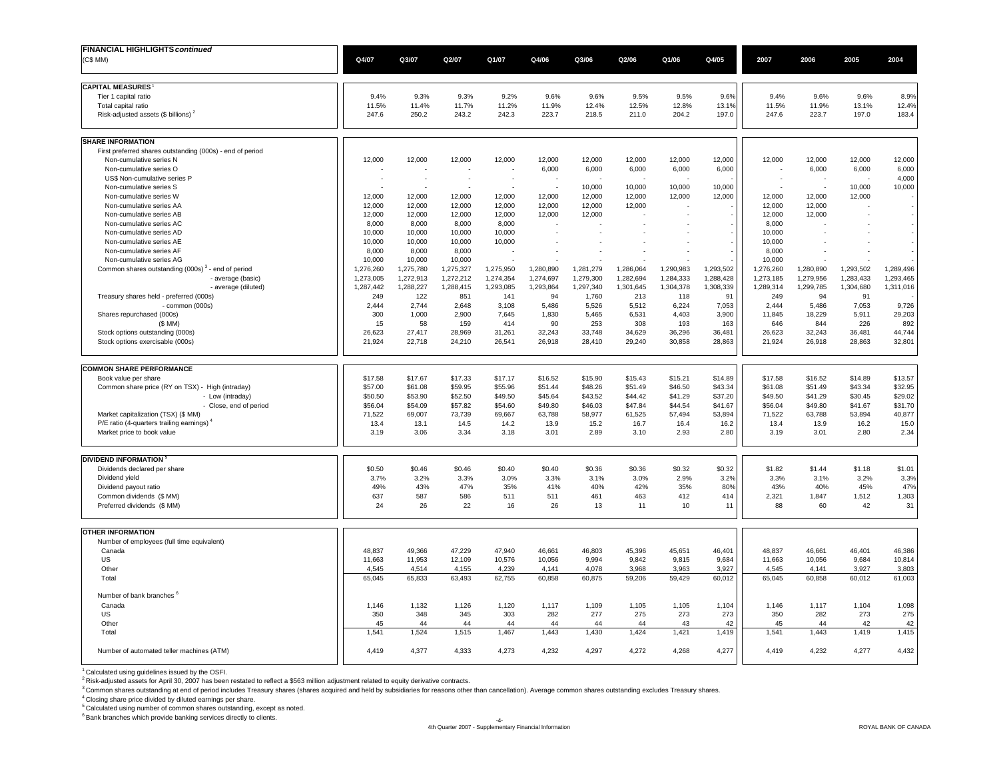| <b>FINANCIAL HIGHLIGHTS continued</b>                                                     |                     |                     |                     |                    |                    |                    |                    |                    |                    |                          |                    |                    |                    |
|-------------------------------------------------------------------------------------------|---------------------|---------------------|---------------------|--------------------|--------------------|--------------------|--------------------|--------------------|--------------------|--------------------------|--------------------|--------------------|--------------------|
| (C\$ MM)                                                                                  | Q4/07               | Q3/07               | Q2/07               | Q1/07              | Q4/06              | Q3/06              | Q2/06              | Q1/06              | Q4/05              | 2007                     | 2006               | 2005               | 2004               |
| <b>CAPITAL MEASURES</b>                                                                   |                     |                     |                     |                    |                    |                    |                    |                    |                    |                          |                    |                    |                    |
| Tier 1 capital ratio                                                                      | 9.4%                | 9.3%                | 9.3%                | 9.2%               | 9.6%               | 9.6%               | 9.5%               | 9.5%               | 9.6%               | 9.4%                     | 9.6%               | 9.6%               | 8.9%               |
| Total capital ratio                                                                       | 11.5%               | 11.4%               | 11.7%               | 11.2%              | 11.9%              | 12.4%              | 12.5%              | 12.8%              | 13.1%              | 11.5%                    | 11.9%              | 13.1%              | 12.4%              |
| Risk-adjusted assets $(\$$ billions) <sup>2</sup>                                         | 247.6               | 250.2               | 243.2               | 242.3              | 223.7              | 218.5              | 211.0              | 204.2              | 197.0              | 247.6                    | 223.7              | 197.0              | 183.4              |
| <b>SHARE INFORMATION</b>                                                                  |                     |                     |                     |                    |                    |                    |                    |                    |                    |                          |                    |                    |                    |
| First preferred shares outstanding (000s) - end of period                                 |                     |                     |                     |                    |                    |                    |                    |                    |                    |                          |                    |                    |                    |
| Non-cumulative series N                                                                   | 12,000              | 12,000              | 12,000              | 12,000             | 12,000             | 12,000             | 12,000             | 12,000             | 12,000             | 12,000                   | 12,000             | 12,000             | 12,000             |
| Non-cumulative series O                                                                   |                     |                     |                     |                    | 6,000              | 6,000              | 6,000              | 6,000              | 6,000              |                          | 6,000              | 6,000              | 6,000              |
| US\$ Non-cumulative series P<br>Non-cumulative series S                                   |                     | J.                  | ÷.                  | ٠.                 |                    | 10,000             | 10,000             | 10,000             | 10,000             | $\overline{\phantom{a}}$ |                    | 10,000             | 4,000<br>10,000    |
| Non-cumulative series W                                                                   | 12,000              | 12,000              | 12,000              | 12,000             | 12,000             | 12,000             | 12,000             | 12,000             | 12,000             | 12,000                   | 12,000             | 12,000             |                    |
| Non-cumulative series AA                                                                  | 12.000              | 12,000              | 12,000              | 12.000             | 12.000             | 12,000             | 12,000             |                    |                    | 12,000                   | 12,000             |                    |                    |
| Non-cumulative series AB                                                                  | 12,000              | 12,000              | 12,000              | 12,000             | 12,000             | 12,000             |                    |                    |                    | 12,000                   | 12,000             |                    |                    |
| Non-cumulative series AC                                                                  | 8,000               | 8,000               | 8,000               | 8,000              |                    |                    |                    |                    |                    | 8,000                    |                    |                    |                    |
| Non-cumulative series AD                                                                  | 10,000              | 10,000              | 10,000              | 10,000             |                    |                    |                    |                    |                    | 10,000                   |                    |                    |                    |
| Non-cumulative series AE                                                                  | 10,000              | 10,000              | 10,000              | 10,000             |                    |                    |                    |                    |                    | 10,000                   |                    |                    |                    |
| Non-cumulative series AF                                                                  | 8,000               | 8,000               | 8,000               |                    |                    |                    |                    |                    |                    | 8,000                    |                    |                    |                    |
| Non-cumulative series AG<br>Common shares outstanding (000s) <sup>3</sup> - end of period | 10,000<br>1,276,260 | 10,000<br>1,275,780 | 10,000<br>1,275,327 | 1,275,950          | 1,280,890          | 1,281,279          | 1,286,064          | 1.290.983          | 1.293.502          | 10,000<br>1,276,260      | 1,280,890          | 1,293,502          | 1,289,496          |
| - average (basic)                                                                         | 1,273,005           | 1,272,913           | 1,272,212           | 1,274,354          | 1,274,697          | 1,279,300          | 1,282,694          | 1,284,333          | 1,288,428          | 1,273,185                | 1,279,956          | 1,283,433          | 1,293,465          |
| - average (diluted)                                                                       | 1,287,442           | 1,288,227           | 1,288,415           | 1,293,085          | 1,293,864          | 1,297,340          | 1,301,645          | 1,304,378          | 1,308,339          | 1,289,314                | 1,299,785          | 1,304,680          | 1,311,016          |
| Treasury shares held - preferred (000s)                                                   | 249                 | 122                 | 851                 | 141                | 94                 | 1.760              | 213                | 118                | 91                 | 249                      | 94                 | 91                 |                    |
| - common (000s)                                                                           | 2,444               | 2,744               | 2,648               | 3,108              | 5,486              | 5,526              | 5,512              | 6,224              | 7,053              | 2,444                    | 5,486              | 7,053              | 9,726              |
| Shares repurchased (000s)                                                                 | 300                 | 1.000               | 2.900               | 7.645              | 1.830              | 5.465              | 6.531              | 4.403              | 3.900              | 11.845                   | 18.229             | 5.911              | 29,203             |
| $(S$ MM                                                                                   | 15                  | 58                  | 159                 | 414                | 90                 | 253                | 308                | 193                | 163                | 646                      | 844                | 226                | 892                |
| Stock options outstanding (000s)<br>Stock options exercisable (000s)                      | 26,623<br>21.924    | 27,417<br>22.718    | 28,969<br>24,210    | 31,261<br>26.541   | 32,243<br>26.918   | 33,748<br>28.410   | 34,629<br>29.240   | 36,296<br>30.858   | 36,481<br>28.863   | 26,623<br>21.924         | 32,243<br>26.918   | 36,481<br>28.863   | 44,744<br>32,801   |
|                                                                                           |                     |                     |                     |                    |                    |                    |                    |                    |                    |                          |                    |                    |                    |
| <b>COMMON SHARE PERFORMANCE</b>                                                           |                     |                     |                     |                    |                    |                    |                    |                    |                    |                          |                    |                    |                    |
| Book value per share                                                                      | \$17.58             | \$17.67             | \$17.33             | \$17.17            | \$16.52            | \$15.90            | \$15.43            | \$15.21            | \$14.89            | \$17.58                  | \$16.52            | \$14.89            | \$13.57            |
| Common share price (RY on TSX) - High (intraday)<br>- Low (intraday)                      | \$57.00<br>\$50.50  | \$61.08<br>\$53.90  | \$59.95<br>\$52.50  | \$55.96<br>\$49.50 | \$51.44<br>\$45.64 | \$48.26<br>\$43.52 | \$51.49<br>\$44.42 | \$46.50<br>\$41.29 | \$43.34<br>\$37.20 | \$61.08<br>\$49.50       | \$51.49<br>\$41.29 | \$43.34<br>\$30.45 | \$32.95<br>\$29.02 |
| - Close, end of period                                                                    | \$56.04             | \$54.09             | \$57.82             | \$54.60            | \$49.80            | \$46.03            | \$47.84            | \$44.54            | \$41.67            | \$56.04                  | \$49.80            | \$41.67            | \$31.70            |
| Market capitalization (TSX) (\$ MM)                                                       | 71,522              | 69,007              | 73,739              | 69,667             | 63,788             | 58,977             | 61,525             | 57,494             | 53,894             | 71,522                   | 63,788             | 53,894             | 40,877             |
| P/E ratio (4-quarters trailing earnings)                                                  | 13.4                | 13.1                | 14.5                | 14.2               | 13.9               | 15.2               | 16.7               | 16.4               | 16.2               | 13.4                     | 13.9               | 16.2               | 15.0               |
| Market price to book value                                                                | 3.19                | 3.06                | 3.34                | 3.18               | 3.01               | 2.89               | 3.10               | 2.93               | 2.80               | 3.19                     | 3.01               | 2.80               | 2.34               |
| DIVIDEND INFORMATION <sup>5</sup>                                                         |                     |                     |                     |                    |                    |                    |                    |                    |                    |                          |                    |                    |                    |
| Dividends declared per share                                                              | \$0.50              | \$0.46              | \$0.46              | \$0.40             | \$0.40             | \$0.36             | \$0.36             | \$0.32             | \$0.32             | \$1.82                   | \$1.44             | \$1.18             | \$1.01             |
| Dividend yield                                                                            | 3.7%                | 3.2%                | 3.3%                | 3.0%               | 3.3%               | 3.1%               | 3.0%               | 2.9%               | 3.2%               | 3.3%                     | 3.1%               | 3.2%               | 3.3%               |
| Dividend payout ratio                                                                     | 49%                 | 43%                 | 47%                 | 35%                | 41%                | 40%                | 42%                | 35%                | 80%                | 43%                      | 40%                | 45%                | 47%                |
| Common dividends (\$ MM)                                                                  | 637                 | 587                 | 586                 | 511                | 511                | 461                | 463                | 412                | 414                | 2,321                    | 1,847              | 1,512              | 1,303              |
| Preferred dividends (\$ MM)                                                               | 24                  | 26                  | 22                  | 16                 | 26                 | 13                 | 11                 | 10                 | 11                 | 88                       | 60                 | 42                 | 31                 |
| <b>OTHER INFORMATION</b>                                                                  |                     |                     |                     |                    |                    |                    |                    |                    |                    |                          |                    |                    |                    |
| Number of employees (full time equivalent)                                                |                     |                     |                     |                    |                    |                    |                    |                    |                    |                          |                    |                    |                    |
| Canada                                                                                    | 48,837              | 49,366              | 47,229              | 47,940             | 46,661             | 46,803             | 45,396             | 45,651             | 46,401             | 48,837                   | 46,661             | 46,401             | 46,386             |
| US                                                                                        | 11,663              | 11,953              | 12,109              | 10,576             | 10,056             | 9.994              | 9.842              | 9,815              | 9,684              | 11,663                   | 10,056             | 9,684              | 10,814             |
| Other<br>Total                                                                            | 4,545<br>65,045     | 4,514<br>65,833     | 4,155<br>63,493     | 4,239<br>62,755    | 4,141<br>60,858    | 4,078<br>60,875    | 3,968<br>59,206    | 3,963<br>59,429    | 3,927<br>60,012    | 4,545<br>65,045          | 4,141<br>60,858    | 3,927<br>60,012    | 3,803<br>61,003    |
|                                                                                           |                     |                     |                     |                    |                    |                    |                    |                    |                    |                          |                    |                    |                    |
| Number of bank branches                                                                   |                     |                     |                     |                    |                    |                    |                    |                    |                    |                          |                    |                    |                    |
| Canada<br>US                                                                              | 1,146<br>350        | 1,132<br>348        | 1,126<br>345        | 1,120<br>303       | 1,117<br>282       | 1,109<br>277       | 1,105<br>275       | 1,105<br>273       | 1,104<br>273       | 1,146<br>350             | 1,117<br>282       | 1,104<br>273       | 1,098<br>275       |
| Other                                                                                     | 45                  | 44                  | 44                  | 44                 | 44                 | 44                 | 44                 | 43                 | 42                 | 45                       | 44                 | 42                 | 42                 |
| Total                                                                                     | 1,541               | 1,524               | 1,515               | 1,467              | 1,443              | 1,430              | 1,424              | 1,421              | 1,419              | 1,541                    | 1,443              | 1,419              | 1,415              |
| Number of automated teller machines (ATM)                                                 | 4.419               | 4.377               | 4.333               | 4.273              | 4.232              | 4.297              | 4,272              | 4,268              | 4.277              | 4.419                    | 4,232              | 4.277              | 4,432              |
|                                                                                           |                     |                     |                     |                    |                    |                    |                    |                    |                    |                          |                    |                    |                    |

<sup>1</sup> Calculated using guidelines issued by the OSFI.<br><sup>2</sup> Risk-adjusted assets for April 30, 2007 has been restated to reflect a \$563 million adjustment related to equity derivative contracts.<br><sup>3</sup> Common shares outstanding

4 Closing share price divided by diluted earnings per share.

5 Calculated using number of common shares outstanding, except as noted.

<sup>6</sup> Bank branches which provide banking services directly to clients.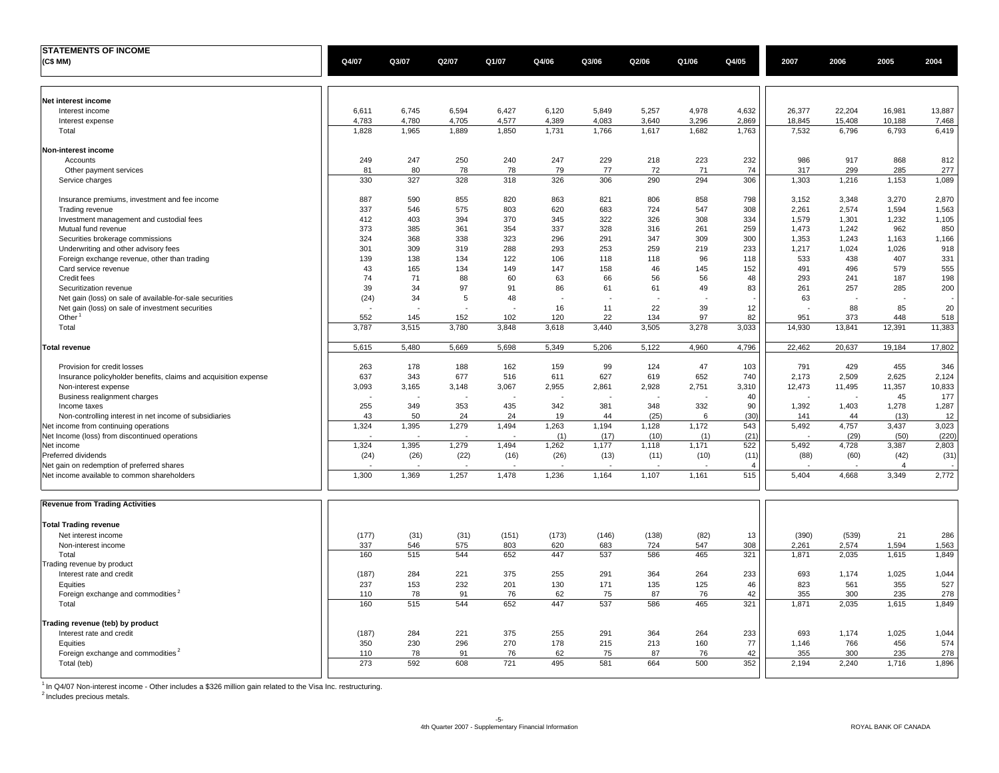| <b>STATEMENTS OF INCOME</b>                                                                     |       |       |       |       |       |       |       |       |                |        |        |                |             |
|-------------------------------------------------------------------------------------------------|-------|-------|-------|-------|-------|-------|-------|-------|----------------|--------|--------|----------------|-------------|
| (C\$MM)                                                                                         | Q4/07 | Q3/07 | Q2/07 | Q1/07 | Q4/06 | Q3/06 | Q2/06 | Q1/06 | Q4/05          | 2007   | 2006   | 2005           | 2004        |
|                                                                                                 |       |       |       |       |       |       |       |       |                |        |        |                |             |
|                                                                                                 |       |       |       |       |       |       |       |       |                |        |        |                |             |
| Net interest income                                                                             |       |       |       |       |       |       |       |       |                |        |        |                |             |
| Interest income                                                                                 | 6,611 | 6,745 | 6,594 | 6,427 | 6,120 | 5,849 | 5,257 | 4,978 | 4,632          | 26,377 | 22,204 | 16,981         | 13,887      |
| Interest expense                                                                                | 4,783 | 4,780 | 4,705 | 4,577 | 4,389 | 4,083 | 3,640 | 3,296 | 2,869          | 18,845 | 15,408 | 10,188         | 7,468       |
| Total                                                                                           | 1,828 | 1,965 | 1,889 | 1,850 | 1,731 | 1,766 | 1,617 | 1,682 | 1,763          | 7,532  | 6,796  | 6,793          | 6,419       |
|                                                                                                 |       |       |       |       |       |       |       |       |                |        |        |                |             |
| Non-interest income                                                                             |       |       |       |       |       |       |       |       |                |        |        |                |             |
| Accounts                                                                                        | 249   | 247   | 250   | 240   | 247   | 229   | 218   | 223   | 232            | 986    | 917    | 868            | 812         |
| Other payment services                                                                          | 81    | 80    | 78    | 78    | 79    | 77    | 72    | 71    | 74             | 317    | 299    | 285            | 277         |
| Service charges                                                                                 | 330   | 327   | 328   | 318   | 326   | 306   | 290   | 294   | 306            | 1,303  | 1,216  | 1,153          | 1,089       |
| Insurance premiums, investment and fee income                                                   | 887   | 590   | 855   | 820   | 863   | 821   | 806   | 858   | 798            | 3,152  | 3,348  | 3,270          | 2,870       |
| Trading revenue                                                                                 | 337   | 546   | 575   | 803   | 620   | 683   | 724   | 547   | 308            | 2,261  | 2,574  | 1,594          | 1,563       |
| Investment management and custodial fees                                                        | 412   | 403   | 394   | 370   | 345   | 322   | 326   | 308   | 334            | 1,579  | 1,301  | 1,232          | 1,105       |
| Mutual fund revenue                                                                             | 373   | 385   | 361   | 354   | 337   | 328   | 316   | 261   | 259            | 1,473  | 1,242  | 962            | 850         |
| Securities brokerage commissions                                                                | 324   | 368   | 338   | 323   | 296   | 291   | 347   | 309   | 300            | 1,353  | 1,243  | 1,163          | 1,166       |
| Underwriting and other advisory fees                                                            | 301   | 309   | 319   | 288   | 293   | 253   | 259   | 219   | 233            | 1,217  | 1,024  | 1,026          | 918         |
| Foreign exchange revenue, other than trading                                                    | 139   | 138   | 134   | 122   | 106   | 118   | 118   | 96    | 118            | 533    | 438    | 407            | 331         |
| Card service revenue                                                                            | 43    | 165   | 134   | 149   | 147   | 158   | 46    | 145   | 152            | 491    | 496    | 579            | 555         |
| Credit fees                                                                                     | 74    | 71    | 88    | 60    | 63    | 66    | 56    | 56    | 48             | 293    | 241    | 187            | 198         |
| Securitization revenue                                                                          | 39    | 34    | 97    | 91    | 86    | 61    | 61    | 49    | 83             | 261    | 257    | 285            | 200         |
| Net gain (loss) on sale of available-for-sale securities                                        | (24)  | 34    | 5     | 48    | J.    |       |       |       |                | 63     |        |                |             |
| Net gain (loss) on sale of investment securities                                                |       |       |       |       | 16    | 11    | 22    | 39    | 12             |        | 88     | 85             | 20          |
| Other $1$                                                                                       | 552   | 145   | 152   | 102   | 120   | 22    | 134   | 97    | 82             | 951    | 373    | 448            | 518         |
| Total                                                                                           | 3,787 | 3,515 | 3,780 | 3,848 | 3,618 | 3,440 | 3,505 | 3,278 | 3,033          | 14,930 | 13,841 | 12,391         | 11,383      |
| <b>Total revenue</b>                                                                            | 5,615 | 5,480 | 5,669 | 5,698 | 5,349 | 5,206 | 5,122 | 4,960 | 4,796          | 22,462 | 20,637 | 19,184         | 17,802      |
|                                                                                                 |       |       |       |       |       |       |       |       |                |        |        |                |             |
| Provision for credit losses                                                                     | 263   | 178   | 188   | 162   | 159   | 99    | 124   | 47    | 103            | 791    | 429    | 455            | 346         |
| Insurance policyholder benefits, claims and acquisition expense                                 | 637   | 343   | 677   | 516   | 611   | 627   | 619   | 652   | 740            | 2,173  | 2,509  | 2,625          | 2,124       |
| Non-interest expense                                                                            | 3,093 | 3,165 | 3,148 | 3,067 | 2,955 | 2,861 | 2,928 | 2,751 | 3,310          | 12,473 | 11,495 | 11,357         | 10,833      |
| Business realignment charges                                                                    | 255   | 349   | 353   | 435   | 342   | 381   | 348   | 332   | 40<br>90       | 1,392  | 1,403  | 45<br>1,278    | 177         |
| Income taxes                                                                                    | 43    | 50    | 24    | 24    | 19    | 44    | (25)  | 6     | (30)           | 141    | 44     | (13)           | 1,287<br>12 |
| Non-controlling interest in net income of subsidiaries<br>Net income from continuing operations | 1,324 | 1,395 | 1,279 | 1,494 | 1,263 | 1,194 | 1,128 | 1,172 | 543            | 5,492  | 4,757  | 3,437          | 3,023       |
| Net Income (loss) from discontinued operations                                                  |       |       |       |       | (1)   | (17)  | (10)  | (1)   | (21)           |        | (29)   | (50)           | (220)       |
| Net income                                                                                      | 1,324 | 1,395 | 1,279 | 1,494 | 1,262 | 1,177 | 1,118 | 1,171 | 522            | 5,492  | 4,728  | 3,387          | 2,803       |
| Preferred dividends                                                                             | (24)  | (26)  | (22)  | (16)  | (26)  | (13)  | (11)  | (10)  | (11)           | (88)   | (60)   | (42)           | (31)        |
| Net gain on redemption of preferred shares                                                      |       |       |       |       |       |       |       |       | $\overline{4}$ |        |        | $\overline{4}$ |             |
| Net income available to common shareholders                                                     | 1,300 | 1,369 | 1,257 | 1,478 | 1,236 | 1,164 | 1,107 | 1,161 | 515            | 5,404  | 4,668  | 3,349          | 2,772       |
| <b>Revenue from Trading Activities</b>                                                          |       |       |       |       |       |       |       |       |                |        |        |                |             |
|                                                                                                 |       |       |       |       |       |       |       |       |                |        |        |                |             |
| <b>Total Trading revenue</b>                                                                    |       |       |       |       |       |       |       |       |                |        |        |                |             |
| Net interest income                                                                             | (177) | (31)  | (31)  | (151) | (173) | (146) | (138) | (82)  | 13             | (390)  | (539)  | 21             | 286         |
| Non-interest income                                                                             | 337   | 546   | 575   | 803   | 620   | 683   | 724   | 547   | 308            | 2,261  | 2,574  | 1,594          | 1,563       |
| Total                                                                                           | 160   | 515   | 544   | 652   | 447   | 537   | 586   | 465   | 321            | 1,871  | 2,035  | 1,615          | 1,849       |
| Trading revenue by product                                                                      |       |       |       |       |       |       |       |       |                |        |        |                |             |
| Interest rate and credit                                                                        | (187) | 284   | 221   | 375   | 255   | 291   | 364   | 264   | 233            | 693    | 1,174  | 1,025          | 1,044       |
| Equities                                                                                        | 237   | 153   | 232   | 201   | 130   | 171   | 135   | 125   | 46             | 823    | 561    | 355            | 527         |
| Foreign exchange and commodities <sup>2</sup>                                                   | 110   | 78    | 91    | 76    | 62    | 75    | 87    | 76    | 42             | 355    | 300    | 235            | 278         |
| Total                                                                                           | 160   | 515   | 544   | 652   | 447   | 537   | 586   | 465   | 321            | 1,871  | 2,035  | 1,615          | 1,849       |
| Trading revenue (teb) by product                                                                |       |       |       |       |       |       |       |       |                |        |        |                |             |
| Interest rate and credit                                                                        | (187) | 284   | 221   | 375   | 255   | 291   | 364   | 264   | 233            | 693    | 1,174  | 1,025          | 1,044       |
| Equities                                                                                        | 350   | 230   | 296   | 270   | 178   | 215   | 213   | 160   | 77             | 1,146  | 766    | 456            | 574         |
| Foreign exchange and commodities <sup>2</sup>                                                   | 110   | 78    | 91    | 76    | 62    | 75    | 87    | 76    | 42             | 355    | 300    | 235            | 278         |
| Total (teb)                                                                                     | 273   | 592   | 608   | 721   | 495   | 581   | 664   | 500   | 352            | 2.194  | 2.240  | 1,716          | 1,896       |
|                                                                                                 |       |       |       |       |       |       |       |       |                |        |        |                |             |

<sup>1</sup> In Q4/07 Non-interest income - Other includes a \$326 million gain related to the Visa Inc. restructuring.<br><sup>2</sup> Includes precious metals.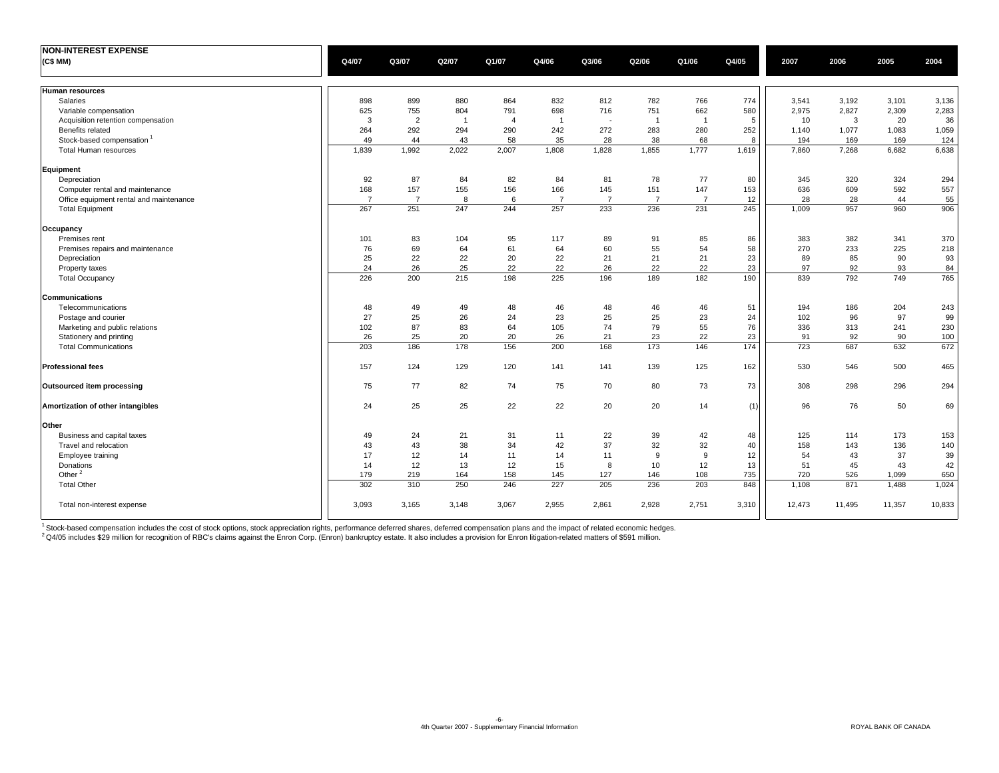| <b>NON-INTEREST EXPENSE</b>             |                |                |                |                |                |                |                |                |       |        |        |        |        |
|-----------------------------------------|----------------|----------------|----------------|----------------|----------------|----------------|----------------|----------------|-------|--------|--------|--------|--------|
| (C\$ MM)                                | Q4/07          | Q3/07          | Q2/07          | Q1/07          | Q4/06          | Q3/06          | Q2/06          | Q1/06          | Q4/05 | 2007   | 2006   | 2005   | 2004   |
| <b>Human resources</b>                  |                |                |                |                |                |                |                |                |       |        |        |        |        |
| Salaries                                | 898            | 899            | 880            | 864            | 832            | 812            | 782            | 766            | 774   | 3,541  | 3,192  | 3,101  | 3,136  |
| Variable compensation                   | 625            | 755            | 804            | 791            | 698            | 716            | 751            | 662            | 580   | 2,975  | 2,827  | 2,309  | 2,283  |
| Acquisition retention compensation      | 3              | $\overline{2}$ | $\overline{1}$ | $\overline{4}$ | $\overline{1}$ |                | $\overline{1}$ | $\overline{1}$ | 5     | 10     | 3      | 20     | 36     |
| Benefits related                        | 264            | 292            | 294            | 290            | 242            | 272            | 283            | 280            | 252   | 1,140  | 1,077  | 1,083  | 1,059  |
| Stock-based compensation                | 49             | 44             | 43             | 58             | 35             | 28             | 38             | 68             | 8     | 194    | 169    | 169    | 124    |
| Total Human resources                   | 1,839          | 1,992          | 2.022          | 2.007          | 1.808          | 1.828          | 1.855          | 1.777          | 1,619 | 7.860  | 7.268  | 6.682  | 6,638  |
| Equipment                               |                |                |                |                |                |                |                |                |       |        |        |        |        |
| Depreciation                            | 92             | 87             | 84             | 82             | 84             | 81             | 78             | 77             | 80    | 345    | 320    | 324    | 294    |
| Computer rental and maintenance         | 168            | 157            | 155            | 156            | 166            | 145            | 151            | 147            | 153   | 636    | 609    | 592    | 557    |
| Office equipment rental and maintenance | $\overline{7}$ | $\overline{7}$ | 8              | 6              | $\overline{7}$ | $\overline{7}$ | $\overline{7}$ | $\overline{7}$ | 12    | 28     | 28     | 44     | 55     |
| <b>Total Equipment</b>                  | 267            | 251            | 247            | 244            | 257            | 233            | 236            | 231            | 245   | 1,009  | 957    | 960    | 906    |
| Occupancy                               |                |                |                |                |                |                |                |                |       |        |        |        |        |
| Premises rent                           | 101            | 83             | 104            | 95             | 117            | 89             | 91             | 85             | 86    | 383    | 382    | 341    | 370    |
| Premises repairs and maintenance        | 76             | 69             | 64             | 61             | 64             | 60             | 55             | 54             | 58    | 270    | 233    | 225    | 218    |
| Depreciation                            | 25             | 22             | 22             | 20             | 22             | 21             | 21             | 21             | 23    | 89     | 85     | 90     | 93     |
| Property taxes                          | 24             | 26             | 25             | 22             | 22             | 26             | 22             | 22             | 23    | 97     | 92     | 93     | 84     |
| <b>Total Occupancy</b>                  | 226            | 200            | 215            | 198            | 225            | 196            | 189            | 182            | 190   | 839    | 792    | 749    | 765    |
| <b>Communications</b>                   |                |                |                |                |                |                |                |                |       |        |        |        |        |
| Telecommunications                      | 48             | 49             | 49             | 48             | 46             | 48             | 46             | 46             | 51    | 194    | 186    | 204    | 243    |
| Postage and courier                     | 27             | 25             | 26             | 24             | 23             | 25             | 25             | 23             | 24    | 102    | 96     | 97     | 99     |
| Marketing and public relations          | 102            | 87             | 83             | 64             | 105            | 74             | 79             | 55             | 76    | 336    | 313    | 241    | 230    |
| Stationery and printing                 | 26             | 25             | 20             | 20             | 26             | 21             | 23             | 22             | 23    | 91     | 92     | 90     | 100    |
| <b>Total Communications</b>             | 203            | 186            | 178            | 156            | 200            | 168            | 173            | 146            | 174   | 723    | 687    | 632    | 672    |
| <b>Professional fees</b>                | 157            | 124            | 129            | 120            | 141            | 141            | 139            | 125            | 162   | 530    | 546    | 500    | 465    |
| <b>Outsourced item processing</b>       | 75             | 77             | 82             | 74             | 75             | 70             | 80             | 73             | 73    | 308    | 298    | 296    | 294    |
| Amortization of other intangibles       | 24             | 25             | 25             | 22             | 22             | 20             | 20             | 14             | (1)   | 96     | 76     | 50     | 69     |
| Other                                   |                |                |                |                |                |                |                |                |       |        |        |        |        |
| Business and capital taxes              | 49             | 24             | 21             | 31             | 11             | 22             | 39             | 42             | 48    | 125    | 114    | 173    | 153    |
| Travel and relocation                   | 43             | 43             | 38             | 34             | 42             | 37             | 32             | 32             | 40    | 158    | 143    | 136    | 140    |
| Employee training                       | 17             | 12             | 14             | 11             | 14             | 11             | 9              | 9              | 12    | 54     | 43     | 37     | 39     |
| Donations                               | 14             | 12             | 13             | 12             | 15             | 8              | 10             | 12             | 13    | 51     | 45     | 43     | 42     |
| Other <sup>2</sup>                      | 179            | 219            | 164            | 158            | 145            | 127            | 146            | 108            | 735   | 720    | 526    | 1,099  | 650    |
| <b>Total Other</b>                      | 302            | 310            | 250            | 246            | 227            | 205            | 236            | 203            | 848   | 1,108  | 871    | 1,488  | 1,024  |
| Total non-interest expense              | 3,093          | 3,165          | 3.148          | 3,067          | 2,955          | 2,861          | 2,928          | 2,751          | 3,310 | 12,473 | 11,495 | 11,357 | 10,833 |

<sup>1</sup> Stock-based compensation includes the cost of stock options, stock appreciation rights, performance deferred shares, deferred compensation plans and the impact of related economic hedges.

<sup>2</sup> Q4/05 includes \$29 million for recognition of RBC's claims against the Enron Corp. (Enron) bankruptcy estate. It also includes a provision for Enron litigation-related matters of \$591 million.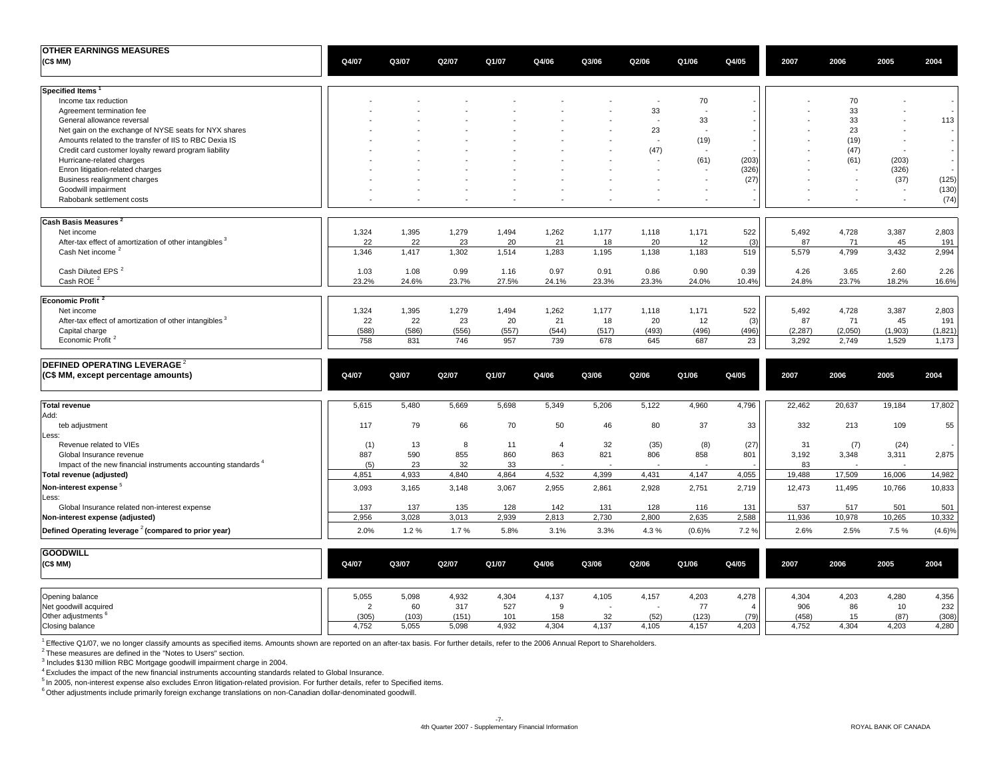| <b>OTHER EARNINGS MEASURES</b>                                                 |                |              |              |              |                |              |                          |                      |                |                   |                  |                          |                  |
|--------------------------------------------------------------------------------|----------------|--------------|--------------|--------------|----------------|--------------|--------------------------|----------------------|----------------|-------------------|------------------|--------------------------|------------------|
| (C\$MM)                                                                        | Q4/07          | Q3/07        | Q2/07        | Q1/07        | Q4/06          | Q3/06        | Q2/06                    | Q1/06                | Q4/05          | 2007              | 2006             | 2005                     | 2004             |
| Specified Items                                                                |                |              |              |              |                |              |                          |                      |                |                   |                  |                          |                  |
| Income tax reduction                                                           |                |              |              |              |                |              | $\overline{\phantom{a}}$ | 70                   |                |                   | 70               |                          |                  |
| Agreement termination fee                                                      |                |              |              |              |                |              | 33                       | $\sim$               |                |                   | 33               |                          |                  |
| General allowance reversal                                                     |                |              |              |              |                |              | ÷.                       | 33                   |                |                   | 33               |                          | 113              |
| Net gain on the exchange of NYSE seats for NYX shares                          |                |              |              |              |                |              | 23                       | $\sim$               |                |                   | 23               |                          |                  |
| Amounts related to the transfer of IIS to RBC Dexia IS                         |                |              |              |              |                |              | ÷.                       | (19)                 |                |                   | (19)             |                          |                  |
| Credit card customer loyalty reward program liability                          |                |              |              |              |                |              | (47)                     | $\sim$               |                |                   | (47)             | $\sim$                   |                  |
| Hurricane-related charges                                                      |                |              |              |              |                |              | ÷,                       | (61)                 | (203)          |                   | (61)             | (203)                    |                  |
| Enron litigation-related charges                                               |                |              |              |              |                |              |                          |                      | (326)          |                   | $\sim$           | (326)                    |                  |
| Business realignment charges                                                   |                |              |              |              |                |              |                          | $\ddot{\phantom{1}}$ | (27)           |                   | $\sim$           | (37)                     | (125)            |
| Goodwill impairment                                                            |                |              |              |              |                |              |                          |                      |                |                   |                  | $\sim$                   | (130)            |
| Rabobank settlement costs                                                      |                |              |              |              |                |              |                          | $\sim$               |                |                   | ÷,               | $\overline{\phantom{a}}$ | (74)             |
| Cash Basis Measures <sup>2</sup>                                               |                |              |              |              |                |              |                          |                      |                |                   |                  |                          |                  |
| Net income                                                                     | 1,324          | 1,395        | 1,279        | 1,494        | 1,262          | 1,177        | 1,118                    | 1,171                | 522            | 5,492             | 4,728            | 3,387                    | 2,803            |
| After-tax effect of amortization of other intangibles <sup>3</sup>             | 22             | 22           | 23           | 20           | 21             | 18           | 20                       | 12                   | (3)            | 87                | 71               | 45                       | 191              |
| Cash Net income <sup>2</sup>                                                   | 1,346          | 1,417        | 1,302        | 1,514        | 1,283          | 1,195        | 1,138                    | 1,183                | 519            | 5,579             | 4,799            | 3,432                    | 2,994            |
| Cash Diluted EPS <sup>2</sup>                                                  | 1.03           | 1.08         | 0.99         | 1.16         | 0.97           | 0.91         | 0.86                     | 0.90                 | 0.39           | 4.26              | 3.65             | 2.60                     | 2.26             |
| Cash ROE <sup>2</sup>                                                          | 23.2%          | 24.6%        | 23.7%        | 27.5%        | 24.1%          | 23.3%        | 23.3%                    | 24.0%                | 10.4%          | 24.8%             | 23.7%            | 18.2%                    | 16.6%            |
| Economic Profit <sup>2</sup>                                                   |                |              |              |              |                |              |                          |                      |                |                   |                  |                          |                  |
| Net income                                                                     | 1,324          | 1,395        | 1,279        | 1,494        | 1,262          | 1,177        | 1,118                    | 1,171                | 522            | 5,492             | 4,728            | 3,387                    | 2,803            |
| After-tax effect of amortization of other intangibles <sup>3</sup>             | 22             | 22           | 23           | 20           | 21             | 18           | 20                       | 12                   | (3)            | 87                | 71               | 45                       | 191              |
| Capital charge<br>Economic Profit <sup>2</sup>                                 | (588)<br>758   | (586)<br>831 | (556)<br>746 | (557)<br>957 | (544)<br>739   | (517)<br>678 | (493)<br>645             | (496)<br>687         | (496)<br>23    | (2, 287)<br>3,292 | (2,050)<br>2,749 | (1,903)<br>1,529         | (1,821)<br>1,173 |
| DEFINED OPERATING LEVERAGE <sup>2</sup><br>(C\$ MM, except percentage amounts) | Q4/07          | Q3/07        | Q2/07        | Q1/07        | Q4/06          | Q3/06        | Q2/06                    | Q1/06                | Q4/05          | 2007              | 2006             | 2005                     | 2004             |
|                                                                                |                |              |              |              |                |              |                          |                      |                |                   |                  |                          |                  |
| <b>Total revenue</b><br>Add:                                                   | 5,615          | 5,480        | 5,669        | 5,698        | 5,349          | 5,206        | 5,122                    | 4,960                | 4,796          | 22,462            | 20,637           | 19,184                   | 17,802           |
| teb adjustment<br>Less:                                                        | 117            | 79           | 66           | 70           | 50             | 46           | 80                       | 37                   | 33             | 332               | 213              | 109                      | 55               |
| Revenue related to VIEs                                                        | (1)            | 13           | 8            | 11           | $\overline{4}$ | 32           | (35)                     | (8)                  | (27)           | 31                | (7)              | (24)                     |                  |
| Global Insurance revenue                                                       | 887            | 590          | 855          | 860          | 863            | 821          | 806                      | 858                  | 801            | 3,192             | 3,348            | 3,311                    | 2,875            |
| Impact of the new financial instruments accounting standards <sup>4</sup>      | (5)            | 23           | 32           | 33           |                |              |                          |                      |                | 83                |                  |                          |                  |
| Total revenue (adjusted)                                                       | 4,851          | 4,933        | 4,840        | 4,864        | 4,532          | 4,399        | 4,431                    | 4,147                | 4,055          | 19,488            | 17,509           | 16,006                   | 14,982           |
| Non-interest expense <sup>5</sup>                                              | 3,093          | 3,165        | 3,148        | 3,067        | 2,955          | 2,861        | 2,928                    | 2,751                | 2,719          | 12,473            | 11,495           | 10,766                   | 10,833           |
| Less:<br>Global Insurance related non-interest expense                         | 137            | 137          | 135          | 128          | 142            | 131          | 128                      | 116                  | 131            | 537               | 517              | 501                      | 501              |
| Non-interest expense (adjusted)                                                | 2,956          | 3,028        | 3,013        | 2,939        | 2,813          | 2,730        | 2,800                    | 2,635                | 2,588          | 11,936            | 10,978           | 10,265                   | 10,332           |
| Defined Operating leverage <sup>2</sup> (compared to prior year)               | 2.0%           | 1.2%         | 1.7%         | 5.8%         | 3.1%           | 3.3%         | 4.3%                     | (0.6)%               | 7.2%           | 2.6%              | 2.5%             | 7.5%                     | (4.6)%           |
| <b>GOODWILL</b>                                                                |                |              |              |              |                |              |                          |                      |                |                   |                  |                          |                  |
| (C\$MM)                                                                        | Q4/07          | Q3/07        | Q2/07        | Q1/07        | Q4/06          | Q3/06        | Q2/06                    | Q1/06                | Q4/05          | 2007              | 2006             | 2005                     | 2004             |
| Opening balance                                                                | 5,055          | 5,098        | 4,932        | 4,304        | 4,137          | 4,105        | 4,157                    | 4,203                | 4,278          | 4,304             | 4,203            | 4,280                    | 4,356            |
| Net goodwill acquired                                                          | $\overline{2}$ | 60           | 317          | 527          | 9              |              | ÷,                       | 77                   | $\overline{4}$ | 906               | 86               | 10                       | 232              |
| Other adjustments <sup>6</sup>                                                 | (305)          | (103)        | (151)        | 101          | 158            | 32           | (52)                     | (123)                | (79)           | (458)             | 15               | (87)                     | (308)            |
| Closing balance                                                                | 4,752          | 5,055        | 5,098        | 4,932        | 4,304          | 4,137        | 4,105                    | 4,157                | 4,203          | 4,752             | 4,304            | 4,203                    | 4,280            |

<sup>1</sup> Effective Q1/07, we no longer classify amounts as specified items. Amounts shown are reported on an after-tax basis. For further details, refer to the 2006 Annual Report to Shareholders.

<sup>2</sup> These measures are defined in the "Notes to Users" section.<br><sup>3</sup> Includes \$130 million RBC Mortgage goodwill impairment charge in 2004.

4 Excludes the impact of the new financial instruments accounting standards related to Global Insurance.

5 In 2005, non-interest expense also excludes Enron litigation-related provision. For further details, refer to Specified items.

<sup>6</sup> Other adjustments include primarily foreign exchange translations on non-Canadian dollar-denominated goodwill.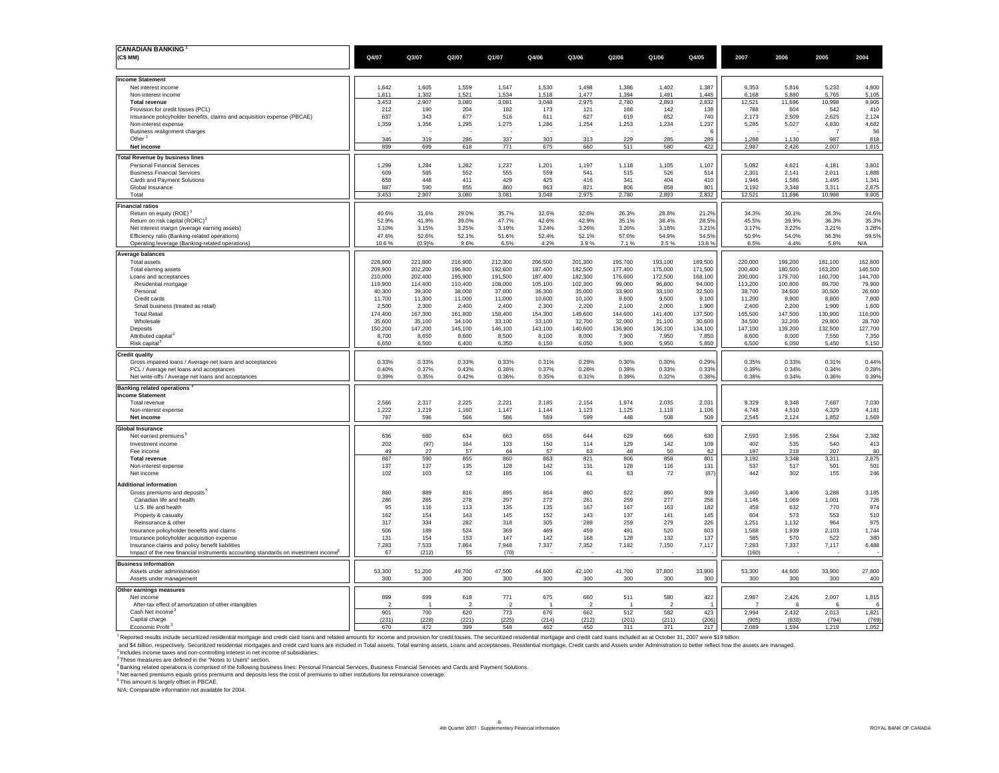| <b>CANADIAN BANKING</b><br>(C\$ MM)                                                                                                                                                                                                                                                                                                                                                                           | Q4/07                 | Q3/07              | Q2/07              | Q1/07              | Q4/06              | Q3/06                 | Q2/06              | Q1/06                 | Q4/05              | 2007               | 2006               | 2005               | 2004               |
|---------------------------------------------------------------------------------------------------------------------------------------------------------------------------------------------------------------------------------------------------------------------------------------------------------------------------------------------------------------------------------------------------------------|-----------------------|--------------------|--------------------|--------------------|--------------------|-----------------------|--------------------|-----------------------|--------------------|--------------------|--------------------|--------------------|--------------------|
|                                                                                                                                                                                                                                                                                                                                                                                                               |                       |                    |                    |                    |                    |                       |                    |                       |                    |                    |                    |                    |                    |
| <b>Income Statement</b><br>Net interest income                                                                                                                                                                                                                                                                                                                                                                | 1.642                 | 1.605              | 1.559              | 1.547              | 1.530              | 1.498                 | 1.386              | 1,402                 | 1.387              | 6.353              | 5.816              | 5.233              | 4,800              |
| Non-interest income                                                                                                                                                                                                                                                                                                                                                                                           | 1,811                 | 1,302              | 1,521              | 1,534              | 1,518              | 1,477                 | 1,394              | 1,491                 | 1,445              | 6,168              | 5,880              | 5,765              | 5,105              |
| <b>Total revenue</b>                                                                                                                                                                                                                                                                                                                                                                                          | 3,453                 | 2,907              | 3,080              | 3,081              | 3,048              | 2,975                 | 2,780              | 2,893                 | 2,832              | 12,521             | 11,696             | 10,998             | 9,905              |
| Provision for credit losses (PCL)<br>Insurance policyholder benefits, claims and acquisition expense (PBCAE)                                                                                                                                                                                                                                                                                                  | 212<br>637            | 190<br>343         | 204<br>677         | 182<br>516         | 173<br>611         | 121<br>627            | 168<br>619         | 142<br>652            | 138<br>740         | 788<br>2,173       | 604<br>2,509       | 542<br>2,625       | 410<br>2,124       |
| Non-interest expense                                                                                                                                                                                                                                                                                                                                                                                          | 1,359                 | 1,356              | 1,295              | 1,275              | 1,286              | 1,254                 | 1,253              | 1,234                 | 1,237              | 5,285              | 5,027              | 4,830              | 4,682              |
| Business realignment charges                                                                                                                                                                                                                                                                                                                                                                                  |                       |                    |                    |                    |                    |                       |                    |                       | 6                  |                    |                    | $\overline{7}$     | 56                 |
| Other <sup>2</sup><br>Net income                                                                                                                                                                                                                                                                                                                                                                              | 346<br>899            | 319<br>699         | 286<br>618         | 337<br>771         | 303<br>675         | 313<br>660            | 229<br>511         | 285<br>580            | 289<br>422         | 1,288<br>2,987     | 1,130<br>2,426     | 987<br>2,007       | 818<br>1,815       |
|                                                                                                                                                                                                                                                                                                                                                                                                               |                       |                    |                    |                    |                    |                       |                    |                       |                    |                    |                    |                    |                    |
| <b>Total Revenue by business lines</b><br><b>Personal Financial Services</b>                                                                                                                                                                                                                                                                                                                                  | 1,299                 | 1,284              | 1.262              | 1.237              | 1.201              | 1.197                 | 1,118              | 1,105                 | 1,107              | 5.082              | 4.621              | 4.181              | 3,801              |
| <b>Business Financial Services</b>                                                                                                                                                                                                                                                                                                                                                                            | 609                   | 585                | 552                | 555                | 559                | 541                   | 515                | 526                   | 514                | 2,301              | 2,141              | 2,011              | 1,888              |
| Cards and Payment Solutions<br>Global Insurance                                                                                                                                                                                                                                                                                                                                                               | 658<br>887            | 448<br>590         | 411<br>855         | 429<br>860         | 425<br>863         | 416<br>821            | 341<br>806         | 404<br>858            | 410<br>801         | 1.946<br>3.192     | 1,586<br>3,348     | 1.495<br>3,311     | 1,341<br>2,875     |
| Total                                                                                                                                                                                                                                                                                                                                                                                                         | 3,453                 | 2,907              | 3,080              | 3,081              | 3,048              | 2,975                 | 2,780              | 2,893                 | 2,832              | 12,521             | 11,696             | 10,998             | 9,905              |
| <b>Financial ratios</b>                                                                                                                                                                                                                                                                                                                                                                                       |                       |                    |                    |                    |                    |                       |                    |                       |                    |                    |                    |                    |                    |
| Return on equity (ROE) <sup>3</sup>                                                                                                                                                                                                                                                                                                                                                                           | 40.6%                 | 31.6%              | 29.0%              | 35.7%              | 32.6%              | 32.6%                 | 26.3%              | 28.8%                 | 21.2%              | 34.3%              | 30.1%              | 26.3%              | 24.6%              |
| Return on risk capital (RORC) <sup>3</sup>                                                                                                                                                                                                                                                                                                                                                                    | 52.9%                 | 41.9%              | 39.0%              | 47.7%              | 42.6%              | 42.9%                 | 35.1%              | 38.4%                 | 28.5%              | 45.5%              | 39.9%              | 36.3%              | 35.3%              |
| Net interest margin (average earning assets)<br>Efficiency ratio (Banking-related operations)                                                                                                                                                                                                                                                                                                                 | 3.10%<br>47.6%        | 3.15%<br>52.6%     | 3.25%<br>52.1%     | 3.19%<br>51.6%     | 3.24%<br>52.4%     | 3.26%<br>52.1%        | 3.20%<br>57.0%     | 3.18%<br>54.9%        | 3.21%<br>54.5%     | 3.17%<br>50.9%     | 3.22%<br>54.0%     | 3.21%<br>56.3%     | 3.28%<br>59.5%     |
| Operating leverage (Banking-related operations)                                                                                                                                                                                                                                                                                                                                                               | 10.6%                 | (0.9)%             | 9.6%               | 6.5%               | 4.2%               | 3.9%                  | 7.1%               | 2.5%                  | 13.8%              | 6.5%               | 4.4%               | 5.8%               | N/A                |
| <b>Average balances</b>                                                                                                                                                                                                                                                                                                                                                                                       |                       |                    |                    |                    |                    |                       |                    |                       |                    |                    |                    |                    |                    |
| Total assets                                                                                                                                                                                                                                                                                                                                                                                                  | 228,900               | 221.800            | 216,900            | 212,300            | 206,500            | 201.300               | 195.700            | 193.100               | 189,500            | 220,000            | 199.200            | 181.100            | 162,800            |
| Total earning assets                                                                                                                                                                                                                                                                                                                                                                                          | 209,900<br>210,000    | 202,200<br>202,400 | 196,800<br>195,900 | 192,600<br>191.500 | 187,400<br>187,400 | 182,500<br>182.300    | 177,400<br>176,600 | 175,000<br>172,500    | 171,500<br>168.100 | 200,400<br>200,000 | 180,500<br>179,700 | 163,200<br>160.700 | 146,500<br>144,700 |
| Loans and acceptances<br>Residential mortgage                                                                                                                                                                                                                                                                                                                                                                 | 119,900               | 114,400            | 110,400            | 108,000            | 105,100            | 102,300               | 99,000             | 96,800                | 94,000             | 113,200            | 100,800            | 89,700             | 79,900             |
| Personal                                                                                                                                                                                                                                                                                                                                                                                                      | 40,300                | 39,300             | 38,000             | 37,000             | 36,300             | 35,000                | 33,900             | 33,100                | 32,500             | 38,700             | 34,600             | 30,500             | 26,600             |
| Credit cards                                                                                                                                                                                                                                                                                                                                                                                                  | 11,700                | 11,300             | 11,000             | 11,000             | 10,600             | 10.100                | 9.600              | 9,500                 | 9,100              | 11.200             | 9,900              | 8.800              | 7,900              |
| Small business (treated as retail)<br><b>Total Retail</b>                                                                                                                                                                                                                                                                                                                                                     | 2,500<br>174,400      | 2,300<br>167,300   | 2,400<br>161,800   | 2.400<br>158,400   | 2.300<br>154,300   | 2.200<br>149,600      | 2.100<br>144.600   | 2.000<br>141.400      | 1,900<br>137,500   | 2.400<br>165,500   | 2.200<br>147,500   | 1,900<br>130,900   | 1,600<br>116,000   |
| Wholesale                                                                                                                                                                                                                                                                                                                                                                                                     | 35,600                | 35,100             | 34,100             | 33,100             | 33,100             | 32,700                | 32,000             | 31,100                | 30,600             | 34,500             | 32,200             | 29,800             | 28,700             |
| Deposits                                                                                                                                                                                                                                                                                                                                                                                                      | 150,200               | 147,200            | 145,100            | 146,100            | 143,100            | 140,600               | 136,900            | 136,100               | 134,100            | 147,100            | 139,200            | 132,500            | 127,700            |
| Attributed capital <sup>3</sup><br>Risk capital <sup>®</sup>                                                                                                                                                                                                                                                                                                                                                  | 8.700<br>6,650        | 8.650<br>6,500     | 8.600<br>6,400     | 8.500<br>6,350     | 8.100<br>6,150     | 8.000<br>6,050        | 7.900<br>5,900     | 7,950<br>5,950        | 7.850<br>5,850     | 8.600<br>6,500     | 8.000<br>6,050     | 7,550<br>5,450     | 7,350<br>5,150     |
| <b>Credit quality</b>                                                                                                                                                                                                                                                                                                                                                                                         |                       |                    |                    |                    |                    |                       |                    |                       |                    |                    |                    |                    |                    |
| Gross impaired loans / Average net loans and acceptances                                                                                                                                                                                                                                                                                                                                                      | 0.33%                 | 0.33%              | 0.33%              | 0.33%              | 0.31%              | 0.29%                 | 0.30%              | 0.30%                 | 0.29%              | 0.35%              | 0.33%              | 0.31%              | 0.44%              |
| PCL / Average net loans and acceptances                                                                                                                                                                                                                                                                                                                                                                       | 0.40%                 | 0.37%              | 0.43%              | 0.38%              | 0.37%              | 0.26%                 | 0.39%              | 0.33%                 | 0.33%              | 0.39%              | 0.34%              | 0.34%              | 0.28%              |
| Net write-offs / Average net loans and acceptances                                                                                                                                                                                                                                                                                                                                                            | 0.39%                 | 0.35%              | 0.42%              | 0.36%              | 0.35%              | 0.31%                 | 0.39%              | 0.32%                 | 0.38%              | 0.38%              | 0.34%              | 0.36%              | 0.39%              |
| <b>Banking related operations</b>                                                                                                                                                                                                                                                                                                                                                                             |                       |                    |                    |                    |                    |                       |                    |                       |                    |                    |                    |                    |                    |
| <b>Income Statement</b><br>Total revenue                                                                                                                                                                                                                                                                                                                                                                      | 2,566                 | 2,317              | 2,225              | 2,221              | 2,185              | 2,154                 | 1,974              | 2,035                 | 2,031              | 9,329              | 8,348              | 7,687              | 7,030              |
| Non-interest expense                                                                                                                                                                                                                                                                                                                                                                                          | 1,222                 | 1,219              | 1,160              | 1,147              | 1,144              | 1,123                 | 1,125              | 1,118                 | 1,106              | 4,748              | 4,510              | 4,329              | 4,181              |
| Net income                                                                                                                                                                                                                                                                                                                                                                                                    | 797                   | 596                | 566                | 586                | 569                | 599                   | 448                | 508                   | 509                | 2,545              | 2,124              | 1,852              | 1,569              |
| <b>Global Insurance</b>                                                                                                                                                                                                                                                                                                                                                                                       |                       |                    |                    |                    |                    |                       |                    |                       |                    |                    |                    |                    |                    |
| Net earned premiums <sup>5</sup><br>Investment income                                                                                                                                                                                                                                                                                                                                                         | 636<br>202            | 660<br>(97)        | 634<br>164         | 663<br>133         | 656<br>150         | 644<br>114            | 629<br>129         | 666<br>142            | 630<br>109         | 2,593<br>402       | 2,595<br>535       | 2,564<br>540       | 2,382<br>413       |
| Fee income                                                                                                                                                                                                                                                                                                                                                                                                    | 49                    | 27                 | 57                 | 64                 | 57                 | 63                    | 48                 | 50                    | 62                 | 197                | 218                | 207                | 80                 |
| <b>Total revenue</b>                                                                                                                                                                                                                                                                                                                                                                                          | 887                   | 590                | 855                | 860                | 863                | 821                   | 806                | 858                   | 801                | 3.192              | 3.348              | 3.311              | 2,875              |
| Non-interest expense<br>Net income                                                                                                                                                                                                                                                                                                                                                                            | 137<br>102            | 137<br>103         | 135<br>52          | 128<br>185         | 142<br>106         | 131<br>61             | 128<br>63          | 116<br>72             | 131<br>(87)        | 537<br>442         | 517<br>302         | 501<br>155         | 501<br>246         |
|                                                                                                                                                                                                                                                                                                                                                                                                               |                       |                    |                    |                    |                    |                       |                    |                       |                    |                    |                    |                    |                    |
| <b>Additional information</b><br>Gross premiums and deposits <sup>5</sup>                                                                                                                                                                                                                                                                                                                                     | 860                   | 889                | 816                | 895                | 864                | 860                   | 822                | 860                   | 809                | 3,460              | 3,406              | 3.288              | 3,185              |
| Canadian life and health                                                                                                                                                                                                                                                                                                                                                                                      | 286                   | 285                | 278                | 297                | 272                | 261                   | 259                | 277                   | 256                | 1,146              | 1,069              | 1,001              | 726                |
| U.S. life and health                                                                                                                                                                                                                                                                                                                                                                                          | 95                    | 116                | 113                | 135                | 135                | 167                   | 167                | 163                   | 182                | 459                | 632                | 770                | 974                |
| Property & casualty<br>Reinsurance & other                                                                                                                                                                                                                                                                                                                                                                    | 162<br>317            | 154<br>334         | 143<br>282         | 145<br>318         | 152<br>305         | 143<br>289            | 137<br>259         | 141<br>279            | 145<br>226         | 604<br>1,251       | 573<br>1,132       | 553<br>964         | 510<br>975         |
| Insurance policyholder benefits and claims                                                                                                                                                                                                                                                                                                                                                                    | 506                   | 189                | 524                | 369                | 469                | 459                   | 491                | 520                   | 603                | 1,588              | 1,939              | 2,103              | 1,744              |
| Insurance policyholder acquisition expense                                                                                                                                                                                                                                                                                                                                                                    | 131                   | 154                | 153                | 147                | 142                | 168                   | 128                | 132                   | 137                | 585                | 570                | 522                | 380                |
| Insurance claims and policy benefit liabilities<br>Impact of the new financial instruments accounting standards on investment income <sup>6</sup>                                                                                                                                                                                                                                                             | 7,283<br>67           | 7,533<br>(212)     | 7,864<br>55        | 7,948              | 7,337              | 7,352                 | 7,182              | 7,150                 | 7,117              | 7,283<br>(160)     | 7,337              | 7,117              | 6,488              |
|                                                                                                                                                                                                                                                                                                                                                                                                               |                       |                    |                    | (70)               |                    |                       |                    |                       |                    |                    |                    |                    |                    |
| <b>Business information</b><br>Assets under administration                                                                                                                                                                                                                                                                                                                                                    | 53,300                | 51,200             | 49,700             | 47,500             | 44,600             | 42,100                | 41,700             | 37,800                | 33,900             | 53,300             | 44,600             | 33,900             | 27,800             |
| Assets under management                                                                                                                                                                                                                                                                                                                                                                                       | 300                   | 300                | 300                | 300                | 300                | 300                   | 300                | 300                   | 300                | 300                | 300                | 300                | 400                |
| Other earnings measures                                                                                                                                                                                                                                                                                                                                                                                       |                       |                    |                    |                    |                    |                       |                    |                       |                    |                    |                    |                    |                    |
| Net income                                                                                                                                                                                                                                                                                                                                                                                                    | 899                   | 699                | 618                | 771                | 675                | 660                   | 511                | 580                   | 422                | 2,987              | 2,426              | 2,007              | 1,815              |
| After-tax effect of amortization of other intangibles<br>Cash Net income                                                                                                                                                                                                                                                                                                                                      | $\overline{2}$<br>901 | 700                | 2<br>620           | 773                | 676                | $\overline{2}$<br>662 | 512                | $\overline{2}$<br>582 | 423                | 2,994              | 2,432              | 2,013              | 1,821              |
| Capital charge                                                                                                                                                                                                                                                                                                                                                                                                | (231)                 | (228)              | (221)              | (225)              | (214)              | (212)                 | (201)              | (211)                 | (206)              | (905)              | (838)              | (794)              | (769)              |
| Economic Profit <sup>3</sup>                                                                                                                                                                                                                                                                                                                                                                                  | 670                   | 472                | 399                | 548                | 462                | 450                   | 311                | 371                   | 217                | 2,089              | 1,594              | 1,219              | 1,052              |
| <sup>1</sup> Reported results include securitized residential mortgage and credit card loans and related amounts for income and provision for credit losses. The securitized residential mortgage and credit card loans included as at                                                                                                                                                                        |                       |                    |                    |                    |                    |                       |                    |                       |                    |                    |                    |                    |                    |
| and \$4 billion, respectively. Securitized residential mortgages and credit card loans are included in Total assets, Total earning assets, Loans and acceptances, Residential mortgage, Credit cards and Assets under Administr<br><sup>2</sup> Includes income taxes and non-controlling interest in net income of subsidiaries.<br><sup>3</sup> These measures are defined in the "Notes to Users" section. |                       |                    |                    |                    |                    |                       |                    |                       |                    |                    |                    |                    |                    |

4 Banking related operations is comprised of the following business lines: Personal Financial Services, Business Financial Services and Cards and Payment Solutions.

5 Net earned premiums equals gross premiums and deposits less the cost of premiums to other institutions for reinsurance coverage.

6 This amount is largely offset in PBCAE.

N/A: Comparable information not available for 2004.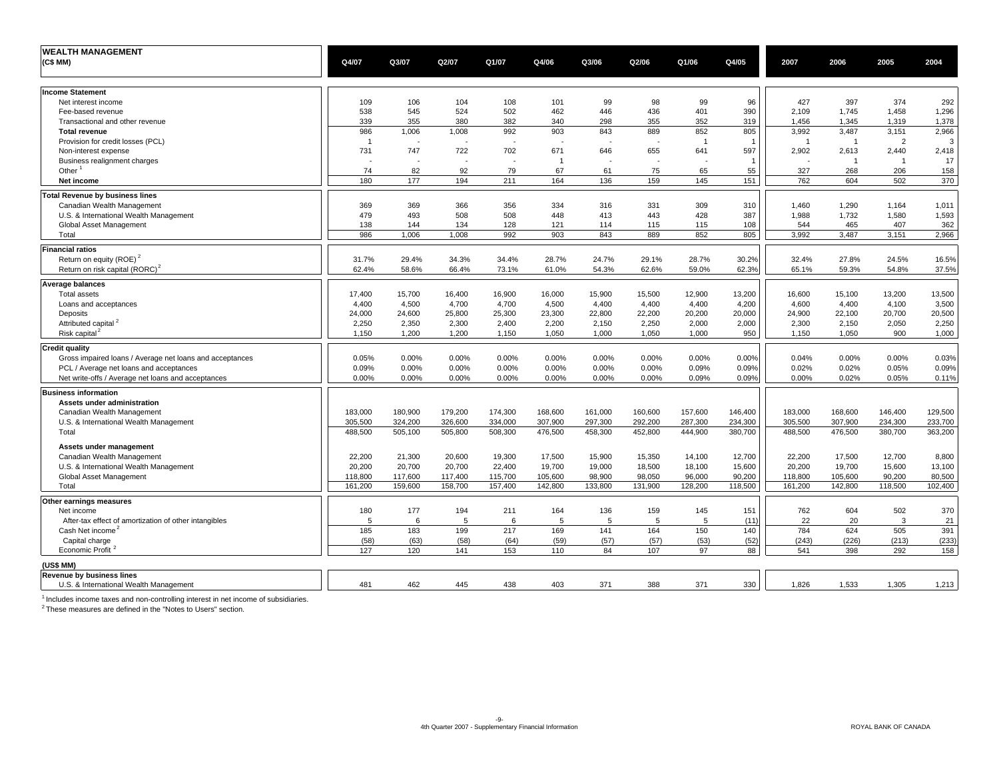| <b>WEALTH MANAGEMENT</b>                                 |                         |                    |         |                    |         |         |         |                         |                    |                |                |                |         |
|----------------------------------------------------------|-------------------------|--------------------|---------|--------------------|---------|---------|---------|-------------------------|--------------------|----------------|----------------|----------------|---------|
| (C\$ MM)                                                 | Q4/07                   | Q3/07              | Q2/07   | Q1/07              | Q4/06   | Q3/06   | Q2/06   | Q1/06                   | Q4/05              | 2007           | 2006           | 2005           | 2004    |
|                                                          |                         |                    |         |                    |         |         |         |                         |                    |                |                |                |         |
| <b>Income Statement</b>                                  |                         |                    |         |                    |         |         |         |                         |                    |                |                |                |         |
| Net interest income                                      | 109                     | 106                | 104     | 108                | 101     | 99      | 98      | 99                      | 96                 | 427            | 397            | 374            | 292     |
| Fee-based revenue                                        | 538                     | 545                | 524     | 502                | 462     | 446     | 436     | 401                     | 390                | 2,109          | 1,745          | 1,458          | 1,296   |
| Transactional and other revenue                          | 339                     | 355                | 380     | 382                | 340     | 298     | 355     | 352                     | 319                | 1,456          | 1,345          | 1,319          | 1,378   |
| <b>Total revenue</b>                                     | 986                     | 1,006              | 1,008   | 992                | 903     | 843     | 889     | 852                     | 805                | 3,992          | 3,487          | 3,151          | 2,966   |
|                                                          | $\overline{\mathbf{1}}$ | ÷,                 |         | ÷,                 |         |         | $\sim$  | $\overline{\mathbf{1}}$ |                    | $\overline{1}$ | -1             | $\overline{2}$ | 3       |
| Provision for credit losses (PCL)                        |                         |                    |         |                    |         |         |         |                         |                    |                |                |                |         |
| Non-interest expense                                     | 731                     | 747                | 722     | 702                | 671     | 646     | 655     | 641                     | 597                | 2,902          | 2,613          | 2,440          | 2,418   |
| Business realignment charges                             |                         |                    |         |                    | -1      |         |         |                         |                    |                | $\overline{1}$ | $\overline{1}$ | 17      |
| Other $1$                                                | 74                      | 82                 | 92      | 79                 | 67      | 61      | 75      | 65                      | 55                 | 327            | 268            | 206            | 158     |
| Net income                                               | 180                     | 177                | 194     | 211                | 164     | 136     | 159     | 145                     | 151                | 762            | 604            | 502            | 370     |
| <b>Total Revenue by business lines</b>                   |                         |                    |         |                    |         |         |         |                         |                    |                |                |                |         |
| Canadian Wealth Management                               | 369                     | 369                | 366     | 356                | 334     | 316     | 331     | 309                     | 310                | 1,460          | 1,290          | 1,164          | 1,011   |
| U.S. & International Wealth Management                   | 479                     | 493                | 508     | 508                | 448     | 413     | 443     | 428                     | 387                | 1,988          | 1,732          | 1,580          | 1,593   |
| Global Asset Management                                  | 138                     | 144                | 134     | 128                | 121     | 114     | 115     | 115                     | 108                | 544            | 465            | 407            | 362     |
| Total                                                    | 986                     | 1,006              | 1,008   | 992                | 903     | 843     | 889     | 852                     | 805                | 3,992          | 3,487          | 3,151          | 2,966   |
| <b>Financial ratios</b>                                  |                         |                    |         |                    |         |         |         |                         |                    |                |                |                |         |
| Return on equity (ROE) <sup>2</sup>                      | 31.7%                   | 29.4%              | 34.3%   | 34.4%              | 28.7%   | 24.7%   | 29.1%   | 28.7%                   | 30.2%              | 32.4%          | 27.8%          | 24.5%          | 16.5%   |
| Return on risk capital (RORC) <sup>2</sup>               | 62.4%                   | 58.6%              | 66.4%   | 73.1%              | 61.0%   | 54.3%   | 62.6%   | 59.0%                   | 62.3%              | 65.1%          | 59.3%          | 54.8%          | 37.5%   |
|                                                          |                         |                    |         |                    |         |         |         |                         |                    |                |                |                |         |
| <b>Average balances</b>                                  |                         |                    |         |                    |         |         |         |                         |                    |                |                |                |         |
| <b>Total assets</b>                                      | 17,400                  | 15,700             | 16,400  | 16,900             | 16,000  | 15,900  | 15,500  | 12,900                  | 13,200             | 16,600         | 15,100         | 13,200         | 13,500  |
| Loans and acceptances                                    | 4,400                   | 4,500              | 4,700   | 4,700              | 4,500   | 4,400   | 4,400   | 4,400                   | 4,200              | 4,600          | 4,400          | 4,100          | 3,500   |
| Deposits                                                 | 24,000                  | 24,600             | 25,800  | 25,300             | 23,300  | 22,800  | 22,200  | 20,200                  | 20,000             | 24,900         | 22,100         | 20,700         | 20,500  |
| Attributed capital <sup>2</sup>                          | 2,250                   | 2,350              | 2,300   | 2,400              | 2,200   | 2,150   | 2,250   | 2,000                   | 2,000              | 2,300          | 2,150          | 2,050          | 2,250   |
| Risk capital <sup>2</sup>                                | 1,150                   | 1,200              | 1,200   | 1,150              | 1,050   | 1,000   | 1,050   | 1.000                   | 950                | 1,150          | 1,050          | 900            | 1,000   |
| <b>Credit quality</b>                                    |                         |                    |         |                    |         |         |         |                         |                    |                |                |                |         |
| Gross impaired loans / Average net loans and acceptances | 0.05%                   | 0.00%              | 0.00%   | 0.00%              | 0.00%   | 0.00%   | 0.00%   | 0.00%                   | 0.00%              | 0.04%          | 0.00%          | 0.00%          | 0.03%   |
| PCL / Average net loans and acceptances                  | 0.09%                   | 0.00%              | 0.00%   | 0.00%              | 0.00%   | 0.00%   | 0.00%   | 0.09%                   | 0.09%              | 0.02%          | 0.02%          | 0.05%          | 0.09%   |
| Net write-offs / Average net loans and acceptances       | 0.00%                   | 0.00%              | 0.00%   | 0.00%              | 0.00%   | 0.00%   | 0.00%   | 0.09%                   | 0.09%              | 0.00%          | 0.02%          | 0.05%          | 0.11%   |
| <b>Business information</b>                              |                         |                    |         |                    |         |         |         |                         |                    |                |                |                |         |
| Assets under administration                              |                         |                    |         |                    |         |         |         |                         |                    |                |                |                |         |
| Canadian Wealth Management                               | 183,000                 | 180,900            | 179,200 | 174,300            | 168,600 | 161,000 | 160,600 | 157,600                 | 146,400            | 183,000        | 168,600        | 146,400        | 129,500 |
| U.S. & International Wealth Management                   |                         |                    |         |                    | 307,900 | 297,300 | 292,200 | 287,300                 |                    | 305,500        | 307,900        | 234,300        | 233,700 |
| Total                                                    | 305,500<br>488,500      | 324,200<br>505,100 | 326,600 | 334,000<br>508,300 | 476,500 | 458,300 | 452,800 | 444,900                 | 234,300<br>380,700 | 488,500        | 476,500        | 380,700        | 363,200 |
|                                                          |                         |                    | 505,800 |                    |         |         |         |                         |                    |                |                |                |         |
| Assets under management                                  |                         |                    |         |                    |         |         |         |                         |                    |                |                |                |         |
| Canadian Wealth Management                               | 22,200                  | 21,300             | 20,600  | 19,300             | 17,500  | 15,900  | 15,350  | 14,100                  | 12,700             | 22,200         | 17,500         | 12,700         | 8,800   |
| U.S. & International Wealth Management                   | 20,200                  | 20,700             | 20,700  | 22,400             | 19,700  | 19,000  | 18,500  | 18,100                  | 15,600             | 20,200         | 19,700         | 15,600         | 13,100  |
| Global Asset Management                                  | 118,800                 | 117,600            | 117,400 | 115,700            | 105,600 | 98,900  | 98,050  | 96,000                  | 90,200             | 118,800        | 105,600        | 90,200         | 80,500  |
| Total                                                    | 161,200                 | 159,600            | 158.700 | 157,400            | 142,800 | 133,800 | 131,900 | 128,200                 | 118,500            | 161,200        | 142,800        | 118,500        | 102,400 |
| Other earnings measures                                  |                         |                    |         |                    |         |         |         |                         |                    |                |                |                |         |
| Net income                                               | 180                     | 177                | 194     | 211                | 164     | 136     | 159     | 145                     | 151                | 762            | 604            | 502            | 370     |
| After-tax effect of amortization of other intangibles    | 5                       | 6                  | 5       | 6                  | 5       | 5       | 5       | 5                       | (11)               | 22             | 20             | 3              | 21      |
| Cash Net income <sup>2</sup>                             | 185                     | 183                | 199     | 217                | 169     | 141     | 164     | 150                     | 140                | 784            | 624            | 505            | 391     |
| Capital charge                                           | (58)                    | (63)               | (58)    | (64)               | (59)    | (57)    | (57)    | (53)                    | (52)               | (243)          | (226)          | (213)          | (233)   |
| Economic Profit <sup>2</sup>                             | 127                     | 120                | 141     | 153                | 110     | 84      | 107     | 97                      | 88                 | 541            | 398            | 292            | 158     |
|                                                          |                         |                    |         |                    |         |         |         |                         |                    |                |                |                |         |
| (US\$ MM)                                                |                         |                    |         |                    |         |         |         |                         |                    |                |                |                |         |
| <b>Revenue by business lines</b>                         |                         |                    |         |                    |         |         |         |                         |                    |                |                |                |         |
| U.S. & International Wealth Management                   | 481                     | 462                | 445     | 438                | 403     | 371     | 388     | 371                     | 330                | 1,826          | 1,533          | 1,305          | 1,213   |

<sup>1</sup> Includes income taxes and non-controlling interest in net income of subsidiaries.<br><sup>2</sup> These measures are defined in the "Notes to Users" section.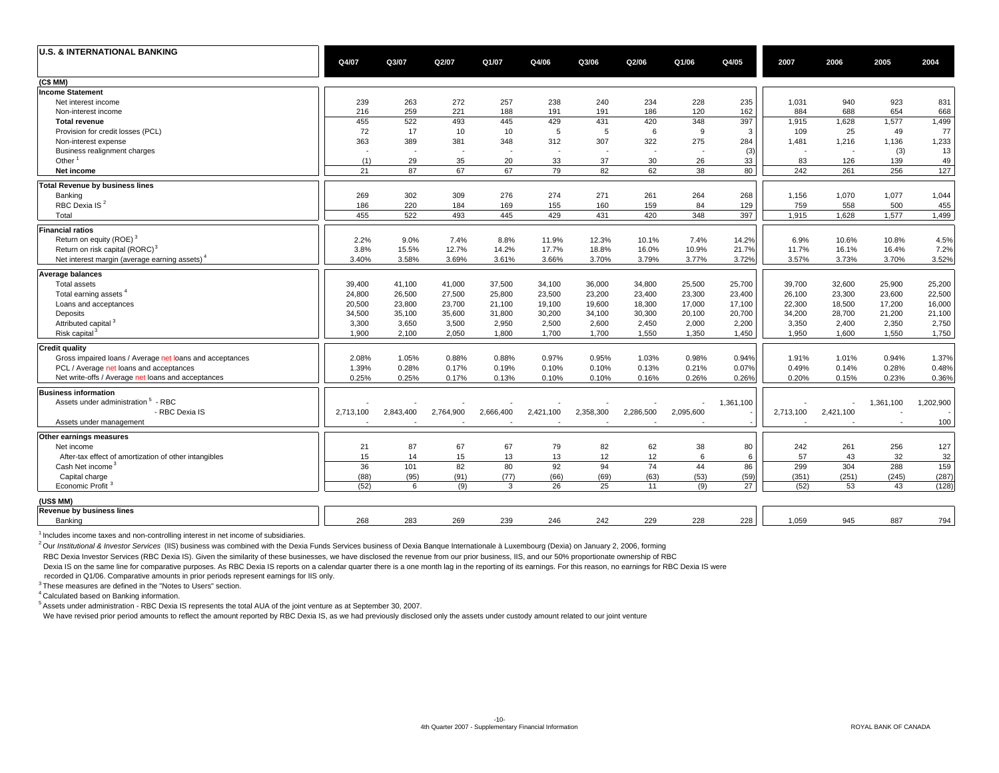| <b>U.S. &amp; INTERNATIONAL BANKING</b>                   | Q4/07     | Q3/07     | Q2/07     | Q1/07                    | Q4/06                    | Q3/06                    | Q2/06                    | Q1/06                    | Q4/05     | 2007      | 2006      | 2005      | 2004      |
|-----------------------------------------------------------|-----------|-----------|-----------|--------------------------|--------------------------|--------------------------|--------------------------|--------------------------|-----------|-----------|-----------|-----------|-----------|
| (C\$ MM)                                                  |           |           |           |                          |                          |                          |                          |                          |           |           |           |           |           |
| <b>Income Statement</b>                                   |           |           |           |                          |                          |                          |                          |                          |           |           |           |           |           |
| Net interest income                                       | 239       | 263       | 272       | 257                      | 238                      | 240                      | 234                      | 228                      | 235       | 1,031     | 940       | 923       | 831       |
| Non-interest income                                       | 216       | 259       | 221       | 188                      | 191                      | 191                      | 186                      | 120                      | 162       | 884       | 688       | 654       | 668       |
| <b>Total revenue</b>                                      | 455       | 522       | 493       | 445                      | 429                      | 431                      | 420                      | 348                      | 397       | 1,915     | 1,628     | 1,577     | 1,499     |
| Provision for credit losses (PCL)                         | 72        | 17        | 10        | 10                       | 5                        | 5                        | 6                        | 9                        | 3         | 109       | 25        | 49        | 77        |
| Non-interest expense                                      | 363       | 389       | 381       | 348                      | 312                      | 307                      | 322                      | 275                      | 284       | 1,481     | 1,216     | 1,136     | 1,233     |
| Business realignment charges                              |           |           |           | $\overline{\phantom{a}}$ | $\overline{\phantom{a}}$ | $\overline{\phantom{a}}$ | $\overline{\phantom{a}}$ | $\overline{\phantom{a}}$ | (3)       |           |           | (3)       | 13        |
| Other <sup>1</sup>                                        | (1)       | 29        | 35        | 20                       | 33                       | 37                       | 30                       | 26                       | 33        | 83        | 126       | 139       | 49        |
| Net income                                                | 21        | 87        | 67        | 67                       | 79                       | 82                       | 62                       | 38                       | 80        | 242       | 261       | 256       | 127       |
| <b>Total Revenue by business lines</b>                    |           |           |           |                          |                          |                          |                          |                          |           |           |           |           |           |
| Banking                                                   | 269       | 302       | 309       | 276                      | 274                      | 271                      | 261                      | 264                      | 268       | 1,156     | 1,070     | 1,077     | 1,044     |
| RBC Dexia IS <sup>2</sup>                                 | 186       | 220       | 184       | 169                      | 155                      | 160                      | 159                      | 84                       | 129       | 759       | 558       | 500       | 455       |
| Total                                                     | 455       | 522       | 493       | 445                      | 429                      | 431                      | 420                      | 348                      | 397       | 1,915     | 1,628     | 1,577     | 1,499     |
| <b>Financial ratios</b>                                   |           |           |           |                          |                          |                          |                          |                          |           |           |           |           |           |
| Return on equity (ROE) <sup>3</sup>                       | 2.2%      | 9.0%      | 7.4%      | 8.8%                     | 11.9%                    | 12.3%                    | 10.1%                    | 7.4%                     | 14.2%     | 6.9%      | 10.6%     | 10.8%     | 4.5%      |
| Return on risk capital (RORC) <sup>3</sup>                | 3.8%      | 15.5%     | 12.7%     | 14.2%                    | 17.7%                    | 18.8%                    | 16.0%                    | 10.9%                    | 21.7%     | 11.7%     | 16.1%     | 16.4%     | 7.2%      |
| Net interest margin (average earning assets) <sup>4</sup> | 3.40%     | 3.58%     | 3.69%     | 3.61%                    | 3.66%                    | 3.70%                    | 3.79%                    | 3.77%                    | 3.72%     | 3.57%     | 3.73%     | 3.70%     | 3.52%     |
| <b>Average balances</b>                                   |           |           |           |                          |                          |                          |                          |                          |           |           |           |           |           |
| <b>Total assets</b>                                       | 39,400    | 41,100    | 41,000    | 37,500                   | 34,100                   | 36,000                   | 34,800                   | 25,500                   | 25,700    | 39,700    | 32,600    | 25,900    | 25,200    |
| Total earning assets <sup>4</sup>                         | 24,800    | 26,500    | 27,500    | 25,800                   | 23,500                   | 23,200                   | 23,400                   | 23,300                   | 23,400    | 26,100    | 23,300    | 23,600    | 22,500    |
| Loans and acceptances                                     | 20,500    | 23,800    | 23,700    | 21,100                   | 19,100                   | 19,600                   | 18,300                   | 17,000                   | 17,100    | 22,300    | 18,500    | 17,200    | 16,000    |
| Deposits                                                  | 34,500    | 35,100    | 35,600    | 31,800                   | 30,200                   | 34,100                   | 30,300                   | 20,100                   | 20,700    | 34,200    | 28,700    | 21,200    | 21,100    |
| Attributed capital <sup>3</sup>                           | 3,300     | 3,650     | 3,500     | 2,950                    | 2,500                    | 2,600                    | 2,450                    | 2,000                    | 2,200     | 3,350     | 2,400     | 2,350     | 2,750     |
| Risk capital <sup>3</sup>                                 | 1,900     | 2,100     | 2,050     | 1,800                    | 1,700                    | 1,700                    | 1,550                    | 1,350                    | 1,450     | 1,950     | 1,600     | 1,550     | 1,750     |
| <b>Credit quality</b>                                     |           |           |           |                          |                          |                          |                          |                          |           |           |           |           |           |
| Gross impaired loans / Average net loans and acceptances  | 2.08%     | 1.05%     | 0.88%     | 0.88%                    | 0.97%                    | 0.95%                    | 1.03%                    | 0.98%                    | 0.94%     | 1.91%     | 1.01%     | 0.94%     | 1.37%     |
| PCL / Average net loans and acceptances                   | 1.39%     | 0.28%     | 0.17%     | 0.19%                    | 0.10%                    | 0.10%                    | 0.13%                    | 0.21%                    | 0.07%     | 0.49%     | 0.14%     | 0.28%     | 0.48%     |
| Net write-offs / Average net loans and acceptances        | 0.25%     | 0.25%     | 0.17%     | 0.13%                    | 0.10%                    | 0.10%                    | 0.16%                    | 0.26%                    | 0.26%     | 0.20%     | 0.15%     | 0.23%     | 0.36%     |
| <b>Business information</b>                               |           |           |           |                          |                          |                          |                          |                          |           |           |           |           |           |
| Assets under administration <sup>5</sup> - RBC            |           |           |           |                          |                          |                          |                          |                          | 1,361,100 |           |           | 1,361,100 | 1,202,900 |
| - RBC Dexia IS                                            | 2,713,100 | 2,843,400 | 2,764,900 | 2,666,400                | 2,421,100                | 2,358,300                | 2,286,500                | 2,095,600                |           | 2,713,100 | 2,421,100 |           |           |
| Assets under management                                   |           |           |           |                          |                          |                          |                          |                          |           |           |           |           | 100       |
| Other earnings measures                                   |           |           |           |                          |                          |                          |                          |                          |           |           |           |           |           |
| Net income                                                | 21        | 87        | 67        | 67                       | 79                       | 82                       | 62                       | 38                       | 80        | 242       | 261       | 256       | 127       |
| After-tax effect of amortization of other intangibles     | 15        | 14        | 15        | 13                       | 13                       | 12                       | 12                       | 6                        | 6         | 57        | 43        | 32        | 32        |
| Cash Net income <sup>3</sup>                              | 36        | 101       | 82        | 80                       | 92                       | 94                       | 74                       | 44                       | 86        | 299       | 304       | 288       | 159       |
| Capital charge                                            | (88)      | (95)      | (91)      | (77)                     | (66)                     | (69)                     | (63)                     | (53)                     | (59)      | (351)     | (251)     | (245)     | (287)     |
| Economic Profit <sup>3</sup>                              | (52)      | 6         | (9)       | 3                        | 26                       | 25                       | 11                       | (9)                      | 27        | (52)      | 53        | 43        | (128)     |
| (US\$ MM)                                                 |           |           |           |                          |                          |                          |                          |                          |           |           |           |           |           |
| <b>Revenue by business lines</b>                          |           |           |           |                          |                          |                          |                          |                          |           |           |           |           |           |
|                                                           |           |           |           |                          |                          |                          |                          |                          |           |           |           |           |           |

 $<sup>1</sup>$  Includes income taxes and non-controlling interest in net income of subsidiaries.</sup>

<sup>2</sup> Our Institutional & Investor Services (IIS) business was combined with the Dexia Funds Services business of Dexia Banque Internationale à Luxembourg (Dexia) on January 2, 2006, forming

RBC Dexia Investor Services (RBC Dexia IS). Given the similarity of these businesses, we have disclosed the revenue from our prior business, IIS, and our 50% proportionate ownership of RBC

Dexia IS on the same line for comparative purposes. As RBC Dexia IS reports on a calendar quarter there is a one month lag in the reporting of its earnings. For this reason, no earnings for RBC Dexia IS were

recorded in Q1/06. Comparative amounts in prior periods represent earnings for IIS only.

<sup>3</sup> These measures are defined in the "Notes to Users" section.

4 Calculated based on Banking information.

 $<sup>5</sup>$  Assets under administration - RBC Dexia IS represents the total AUA of the joint venture as at September 30, 2007.</sup>

We have revised prior period amounts to reflect the amount reported by RBC Dexia IS, as we had previously disclosed only the assets under custody amount related to our joint venture

Banking 283 268 269 239 246 242 229 228 228 1,059 945 887 794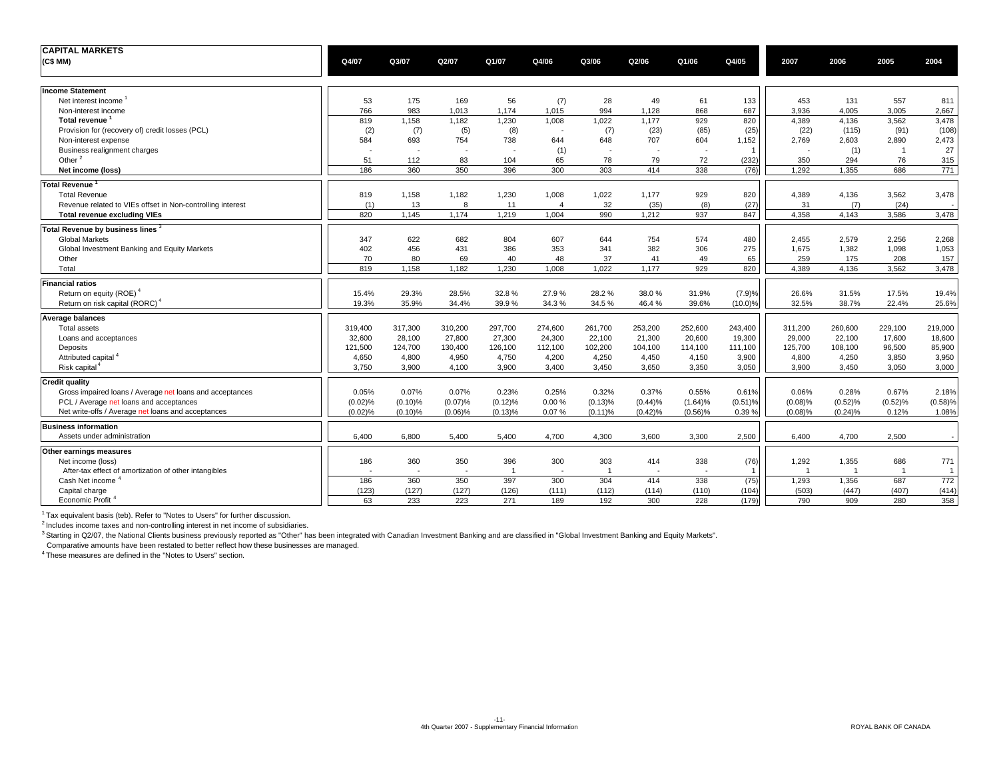| <b>CAPITAL MARKETS</b>                                     |         |                          |                          |                         |                          |                |                          |                          |                |                |                |                |         |
|------------------------------------------------------------|---------|--------------------------|--------------------------|-------------------------|--------------------------|----------------|--------------------------|--------------------------|----------------|----------------|----------------|----------------|---------|
| (C\$MM)                                                    | Q4/07   | Q3/07                    | Q2/07                    | Q1/07                   | Q4/06                    | Q3/06          | Q2/06                    | Q1/06                    | Q4/05          | 2007           | 2006           | 2005           | 2004    |
| <b>Income Statement</b>                                    |         |                          |                          |                         |                          |                |                          |                          |                |                |                |                |         |
| Net interest income                                        | 53      | 175                      | 169                      | 56                      | (7)                      | 28             | 49                       | 61                       | 133            | 453            | 131            | 557            | 811     |
| Non-interest income                                        | 766     | 983                      | 1,013                    | 1,174                   | 1,015                    | 994            | 1,128                    | 868                      | 687            | 3,936          | 4.005          | 3,005          | 2,667   |
| Total revenue <sup>1</sup>                                 | 819     | 1,158                    | 1,182                    | 1,230                   | 1,008                    | 1,022          | 1,177                    | 929                      | 820            | 4,389          | 4,136          | 3,562          | 3,478   |
| Provision for (recovery of) credit losses (PCL)            | (2)     | (7)                      | (5)                      | (8)                     | $\overline{\phantom{a}}$ | (7)            | (23)                     | (85)                     | (25)           | (22)           | (115)          | (91)           | (108)   |
| Non-interest expense                                       | 584     | 693                      | 754                      | 738                     | 644                      | 648            | 707                      | 604                      | 1,152          | 2,769          | 2,603          | 2,890          | 2,473   |
| Business realignment charges                               |         | $\overline{\phantom{a}}$ | $\overline{\phantom{a}}$ | $\sim$                  | (1)                      |                | $\overline{\phantom{a}}$ | $\overline{\phantom{a}}$ | $\overline{1}$ | $\blacksquare$ | (1)            | $\overline{1}$ | 27      |
| Other $^2$                                                 | 51      | 112                      | 83                       | 104                     | 65                       | 78             | 79                       | 72                       | (232)          | 350            | 294            | 76             | 315     |
| Net income (loss)                                          | 186     | 360                      | 350                      | 396                     | 300                      | 303            | 414                      | 338                      | (76)           | 1.292          | 1.355          | 686            | 771     |
| <b>Total Revenue</b>                                       |         |                          |                          |                         |                          |                |                          |                          |                |                |                |                |         |
| <b>Total Revenue</b>                                       | 819     | 1,158                    | 1,182                    | 1,230                   | 1,008                    | 1,022          | 1,177                    | 929                      | 820            | 4,389          | 4,136          | 3,562          | 3,478   |
| Revenue related to VIEs offset in Non-controlling interest | (1)     | 13                       | 8                        | 11                      | $\overline{4}$           | 32             | (35)                     | (8)                      | (27)           | 31             | (7)            | (24)           |         |
| <b>Total revenue excluding VIEs</b>                        | 820     | 1,145                    | 1,174                    | 1,219                   | 1,004                    | 990            | 1,212                    | 937                      | 847            | 4,358          | 4,143          | 3,586          | 3,478   |
| Total Revenue by business lines 3                          |         |                          |                          |                         |                          |                |                          |                          |                |                |                |                |         |
| <b>Global Markets</b>                                      | 347     | 622                      | 682                      | 804                     | 607                      | 644            | 754                      | 574                      | 480            | 2.455          | 2,579          | 2.256          | 2,268   |
| Global Investment Banking and Equity Markets               | 402     | 456                      | 431                      | 386                     | 353                      | 341            | 382                      | 306                      | 275            | 1,675          | 1,382          | 1,098          | 1,053   |
| Other                                                      | 70      | 80                       | 69                       | 40                      | 48                       | 37             | 41                       | 49                       | 65             | 259            | 175            | 208            | 157     |
| Total                                                      | 819     | 1,158                    | 1,182                    | 1,230                   | 1,008                    | 1,022          | 1,177                    | 929                      | 820            | 4,389          | 4,136          | 3,562          | 3,478   |
| <b>Financial ratios</b>                                    |         |                          |                          |                         |                          |                |                          |                          |                |                |                |                |         |
| Return on equity (ROE)                                     | 15.4%   | 29.3%                    | 28.5%                    | 32.8%                   | 27.9%                    | 28.2%          | 38.0%                    | 31.9%                    | (7.9)%         | 26.6%          | 31.5%          | 17.5%          | 19.4%   |
| Return on risk capital (RORC) <sup>4</sup>                 | 19.3%   | 35.9%                    | 34.4%                    | 39.9%                   | 34.3%                    | 34.5%          | 46.4%                    | 39.6%                    | $(10.0)\%$     | 32.5%          | 38.7%          | 22.4%          | 25.6%   |
| <b>Average balances</b>                                    |         |                          |                          |                         |                          |                |                          |                          |                |                |                |                |         |
| <b>Total assets</b>                                        | 319,400 | 317,300                  | 310,200                  | 297,700                 | 274,600                  | 261,700        | 253,200                  | 252,600                  | 243,400        | 311,200        | 260,600        | 229,100        | 219,000 |
| Loans and acceptances                                      | 32,600  | 28,100                   | 27,800                   | 27,300                  | 24,300                   | 22,100         | 21,300                   | 20,600                   | 19,300         | 29,000         | 22,100         | 17,600         | 18,600  |
| Deposits                                                   | 121,500 | 124,700                  | 130,400                  | 126,100                 | 112,100                  | 102,200        | 104,100                  | 114,100                  | 111,100        | 125,700        | 108,100        | 96,500         | 85,900  |
| Attributed capital <sup>4</sup>                            | 4,650   | 4,800                    | 4,950                    | 4,750                   | 4,200                    | 4,250          | 4,450                    | 4,150                    | 3,900          | 4,800          | 4,250          | 3,850          | 3,950   |
| Risk capital                                               | 3,750   | 3,900                    | 4,100                    | 3,900                   | 3,400                    | 3,450          | 3,650                    | 3,350                    | 3,050          | 3,900          | 3,450          | 3,050          | 3,000   |
| <b>Credit quality</b>                                      |         |                          |                          |                         |                          |                |                          |                          |                |                |                |                |         |
| Gross impaired loans / Average net loans and acceptances   | 0.05%   | 0.07%                    | 0.07%                    | 0.23%                   | 0.25%                    | 0.32%          | 0.37%                    | 0.55%                    | 0.61%          | 0.06%          | 0.28%          | 0.67%          | 2.18%   |
| PCL / Average net loans and acceptances                    | (0.02)% | (0.10)%                  | (0.07)%                  | (0.12)%                 | $0.00 \%$                | (0.13)%        | (0.44)%                  | (1.64)%                  | $(0.51)\%$     | (0.08)%        | (0.52)%        | (0.52)%        | (0.58)% |
| Net write-offs / Average net loans and acceptances         | (0.02)% | $(0.10)$ %               | $(0.06)$ %               | (0.13)%                 | 0.07%                    | (0.11)%        | (0.42)%                  | $(0.56)$ %               | 0.39%          | (0.08)%        | $(0.24)\%$     | 0.12%          | 1.08%   |
| <b>Business information</b>                                |         |                          |                          |                         |                          |                |                          |                          |                |                |                |                |         |
| Assets under administration                                | 6,400   | 6,800                    | 5,400                    | 5,400                   | 4,700                    | 4,300          | 3,600                    | 3,300                    | 2,500          | 6,400          | 4,700          | 2,500          |         |
| Other earnings measures                                    |         |                          |                          |                         |                          |                |                          |                          |                |                |                |                |         |
| Net income (loss)                                          | 186     | 360                      | 350                      | 396                     | 300                      | 303            | 414                      | 338                      | (76)           | 1,292          | 1,355          | 686            | 771     |
| After-tax effect of amortization of other intangibles      |         | $\overline{\phantom{a}}$ | $\overline{\phantom{a}}$ | $\overline{\mathbf{1}}$ | $\overline{\phantom{a}}$ | $\overline{1}$ | $\overline{\phantom{a}}$ | $\sim$                   |                | $\overline{1}$ | $\overline{1}$ |                |         |
| Cash Net income '                                          | 186     | 360                      | 350                      | 397                     | 300                      | 304            | 414                      | 338                      | (75)           | 1,293          | 1,356          | 687            | 772     |
| Capital charge                                             | (123)   | (127)                    | (127)                    | (126)                   | (111)                    | (112)          | (114)                    | (110)                    | (104)          | (503)          | (447)          | (407)          | (414)   |
| Economic Profit                                            | 63      | 233                      | 223                      | 271                     | 189                      | 192            | 300                      | 228                      | (179)          | 790            | 909            | 280            | 358     |

 $1$ <sup>1</sup> Tax equivalent basis (teb). Refer to "Notes to Users" for further discussion.

2 Includes income taxes and non-controlling interest in net income of subsidiaries.

<sup>3</sup> Starting in Q2/07, the National Clients business previously reported as "Other" has been integrated with Canadian Investment Banking and are classified in "Global Investment Banking and Equity Markets".

Comparative amounts have been restated to better reflect how these businesses are managed.

<sup>4</sup> These measures are defined in the "Notes to Users" section.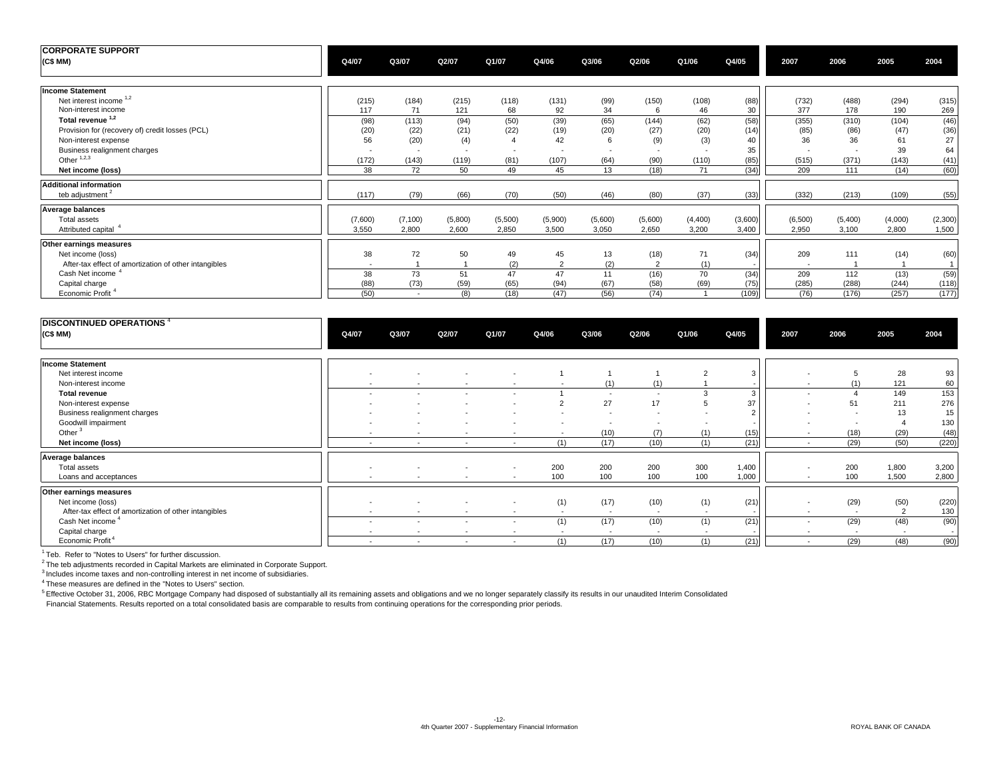| <b>CORPORATE SUPPORT</b><br>(C\$MM)                   | Q4/07                    | Q3/07                    | Q2/07                    | Q1/07   | Q4/06                    | Q3/06                    | Q2/06                    | Q1/06                    | Q4/05        | 2007                     | 2006                     | 2005    | 2004         |
|-------------------------------------------------------|--------------------------|--------------------------|--------------------------|---------|--------------------------|--------------------------|--------------------------|--------------------------|--------------|--------------------------|--------------------------|---------|--------------|
| <b>Income Statement</b>                               |                          |                          |                          |         |                          |                          |                          |                          |              |                          |                          |         |              |
| Net interest income 1,2                               | (215)                    | (184)                    | (215)                    | (118)   | (131)                    | (99)                     | (150)                    | (108)                    | (88)         | (732)                    | (488)                    | (294)   | (315)        |
| Non-interest income                                   | 117                      | 71                       | 121                      | 68      | 92                       | 34                       | 6                        | 46                       | 30           | 377                      | 178                      | 190     | 269          |
| Total revenue <sup>1,2</sup>                          | (98)                     | (113)                    | (94)                     | (50)    | (39)                     | (65)                     | (144)                    | (62)                     | (58)         | (355)                    | (310)                    | (104)   | (46)         |
| Provision for (recovery of) credit losses (PCL)       | (20)                     | (22)                     | (21)                     | (22)    | (19)                     | (20)                     | (27)                     | (20)                     | (14)         | (85)                     | (86)                     | (47)    | (36)         |
| Non-interest expense                                  | 56                       | (20)                     | (4)                      |         | 42                       | 6                        | (9)                      | (3)                      | 40           | 36                       | 36                       | 61      | 27           |
| Business realignment charges                          | $\overline{\phantom{a}}$ | $\overline{\phantom{a}}$ | $\overline{\phantom{a}}$ | $\sim$  | $\overline{\phantom{a}}$ | $\overline{\phantom{a}}$ | $\overline{\phantom{a}}$ | $\overline{\phantom{a}}$ | 35           | $\overline{\phantom{a}}$ | $\overline{\phantom{a}}$ | 39      | 64           |
| Other $1,2,3$                                         | (172)                    | (143)                    | (119)                    | (81)    | (107)                    | (64)                     | (90)                     | (110)                    |              | (515)                    | (371)                    | (143)   |              |
| Net income (loss)                                     | 38                       | 72                       | 50                       | 49      | 45                       | 13                       | (18)                     | 71                       | (85)<br>(34) | 209                      | 111                      | (14)    | (41)<br>(60) |
|                                                       |                          |                          |                          |         |                          |                          |                          |                          |              |                          |                          |         |              |
| <b>Additional information</b>                         |                          |                          |                          |         |                          |                          |                          |                          |              |                          |                          |         |              |
| teb adjustment <sup>2</sup>                           | (117)                    | (79)                     | (66)                     | (70)    | (50)                     | (46)                     | (80)                     | (37)                     | (33)         | (332)                    | (213)                    | (109)   | (55)         |
| <b>Average balances</b>                               |                          |                          |                          |         |                          |                          |                          |                          |              |                          |                          |         |              |
| Total assets                                          | (7,600)                  | (7, 100)                 | (5,800)                  | (5,500) | (5,900)                  | (5,600)                  | (5,600)                  | (4,400)                  | (3,600)      | (6,500)                  | (5,400)                  | (4,000) | (2,300)      |
| Attributed capital <sup>4</sup>                       | 3,550                    | 2,800                    | 2,600                    | 2,850   | 3,500                    | 3,050                    | 2,650                    | 3,200                    | 3,400        | 2,950                    | 3,100                    | 2,800   | 1,500        |
| Other earnings measures                               |                          |                          |                          |         |                          |                          |                          |                          |              |                          |                          |         |              |
| Net income (loss)                                     | 38                       | 72                       | 50                       | 49      | 45                       | 13                       | (18)                     | 71                       | (34)         | 209                      | 111                      | (14)    | (60)         |
| After-tax effect of amortization of other intangibles | $\overline{\phantom{a}}$ |                          |                          | (2)     | 2                        | (2)                      | $\overline{2}$           | (1)                      |              |                          |                          |         | 1            |
| Cash Net income                                       | 38                       | 73                       | 51                       | 47      | 47                       | 11                       | (16)                     | 70                       | (34)         | 209                      | 112                      | (13)    | (59)         |
| Capital charge                                        | (88)                     | (73)                     | (59)                     | (65)    | (94)                     | (67)                     | (58)                     | (69)                     | (75)         | (285)                    | (288)                    | (244)   | (118)        |
|                                                       |                          | $\sim$                   |                          |         |                          |                          |                          |                          |              |                          |                          |         | (177)        |
| Economic Profit <sup>4</sup>                          | (50)                     |                          | (8)                      | (18)    | (47)                     | (56)                     | (74)                     |                          | (109)        | (76)                     | (176)                    | (257)   |              |

| <b>DISCONTINUED OPERATIONS</b> <sup>4</sup><br>(C\$MM) | Q4/07                    | Q3/07                    | Q2/07                    | Q1/07                    | Q4/06                    | Q3/06                    | Q2/06                    | Q1/06                    | Q4/05                    | 2007                     | 2006                  | 2005                     | 2004  |
|--------------------------------------------------------|--------------------------|--------------------------|--------------------------|--------------------------|--------------------------|--------------------------|--------------------------|--------------------------|--------------------------|--------------------------|-----------------------|--------------------------|-------|
| <b>Income Statement</b>                                |                          |                          |                          |                          |                          |                          |                          |                          |                          |                          |                       |                          |       |
| Net interest income                                    | $\overline{\phantom{0}}$ |                          | $\overline{\phantom{a}}$ | $\overline{\phantom{a}}$ |                          |                          |                          |                          | 3                        | $\overline{\phantom{a}}$ | 5                     | 28                       | 93    |
| Non-interest income                                    |                          |                          |                          |                          |                          | (1)                      | (1)                      |                          |                          | $\overline{\phantom{a}}$ | (1)                   | 121                      | 60    |
| <b>Total revenue</b>                                   |                          |                          |                          |                          |                          | $\overline{\phantom{a}}$ | $\overline{\phantom{a}}$ |                          | 3                        | $\overline{\phantom{a}}$ | $\boldsymbol{\Delta}$ | 149                      | 153   |
| Non-interest expense                                   |                          |                          |                          | $\overline{\phantom{a}}$ | $\overline{2}$           | 27                       | 17                       |                          | 37                       | $\overline{\phantom{a}}$ | 51                    | 211                      | 276   |
| Business realignment charges                           |                          |                          |                          |                          | $\overline{\phantom{a}}$ | $\overline{\phantom{a}}$ |                          |                          | $\Omega$                 | $\overline{\phantom{a}}$ | $\overline{a}$        | 13                       | 15    |
| Goodwill impairment                                    |                          |                          | $\overline{\phantom{a}}$ | $\overline{\phantom{a}}$ | $\overline{\phantom{a}}$ | $\sim$                   | . .                      | $\overline{\phantom{a}}$ |                          | $\overline{\phantom{a}}$ | $\overline{a}$        |                          | 130   |
| Other <sup>3</sup>                                     | $\sim$                   | $\overline{\phantom{0}}$ | $\overline{\phantom{a}}$ | $\sim$                   | $\overline{a}$           | (10)                     | (7)                      | (1)                      | (15)                     | $\overline{\phantom{a}}$ | (18)                  | (29)                     | (48)  |
| Net income (loss)                                      | $\overline{a}$           | $\overline{\phantom{a}}$ | $\sim$                   | $\sim$                   | (1)                      | (17)                     | (10)                     | (1)                      | (21)                     | $\overline{\phantom{a}}$ | (29)                  | (50)                     | (220) |
| <b>Average balances</b>                                |                          |                          |                          |                          |                          |                          |                          |                          |                          |                          |                       |                          |       |
| Total assets                                           | $\overline{\phantom{a}}$ |                          | $\overline{\phantom{a}}$ | $\overline{\phantom{a}}$ | 200                      | 200                      | 200                      | 300                      | 1,400                    | $\overline{\phantom{a}}$ | 200                   | 1,800                    | 3,200 |
| Loans and acceptances                                  | $\overline{\phantom{a}}$ | $\overline{\phantom{a}}$ | $\sim$                   | $\sim$                   | 100                      | 100                      | 100                      | 100                      | 1,000                    | $\overline{\phantom{a}}$ | 100                   | 1,500                    | 2,800 |
| Other earnings measures                                |                          |                          |                          |                          |                          |                          |                          |                          |                          |                          |                       |                          |       |
| Net income (loss)                                      | $\overline{\phantom{a}}$ |                          | $\overline{\phantom{a}}$ | $\sim$                   | (1)                      | (17)                     | (10)                     | (1)                      | (21)                     | $\overline{\phantom{a}}$ | (29)                  | (50)                     | (220) |
| After-tax effect of amortization of other intangibles  | $\sim$                   | $\sim$                   | $\sim$                   | $\sim$                   | $\sim$                   | $\sim$                   | $\sim$                   | $\sim$                   | $\overline{\phantom{a}}$ | $\overline{\phantom{a}}$ | $\sim$                | $\overline{2}$           | 130   |
| Cash Net income <sup>4</sup>                           |                          | $\overline{\phantom{a}}$ | $\overline{\phantom{a}}$ | $\sim$                   | (1)                      | (17)                     | (10)                     | (1)                      | (21)                     | $\overline{\phantom{a}}$ | (29)                  | (48)                     | (90)  |
| Capital charge                                         | $\overline{\phantom{0}}$ | $\overline{\phantom{a}}$ | $\overline{\phantom{a}}$ | $\overline{\phantom{a}}$ | $\sim$                   | $\sim$                   | $\sim$                   | $\sim$                   |                          | $\overline{\phantom{a}}$ | $\sim$                | $\overline{\phantom{a}}$ |       |
| Economic Profit <sup>4</sup>                           | $\sim$                   | $\overline{a}$           | $\overline{\phantom{a}}$ | $\sim$                   | (1)                      | (17)                     | (10)                     | (1)                      | (21)                     | $\overline{\phantom{a}}$ | (29)                  | (48)                     | (90)  |

<sup>1</sup> Teb. Refer to "Notes to Users" for further discussion.<br><sup>2</sup> The teb adjustments recorded in Capital Markets are eliminated in Corporate Support.

<sup>3</sup> Includes income taxes and non-controlling interest in net income of subsidiaries.

4 These measures are defined in the "Notes to Users" section.

<sup>5</sup> Effective October 31, 2006, RBC Mortgage Company had disposed of substantially all its remaining assets and obligations and we no longer separately classify its results in our unaudited Interim Consolidated

Financial Statements. Results reported on a total consolidated basis are comparable to results from continuing operations for the corresponding prior periods.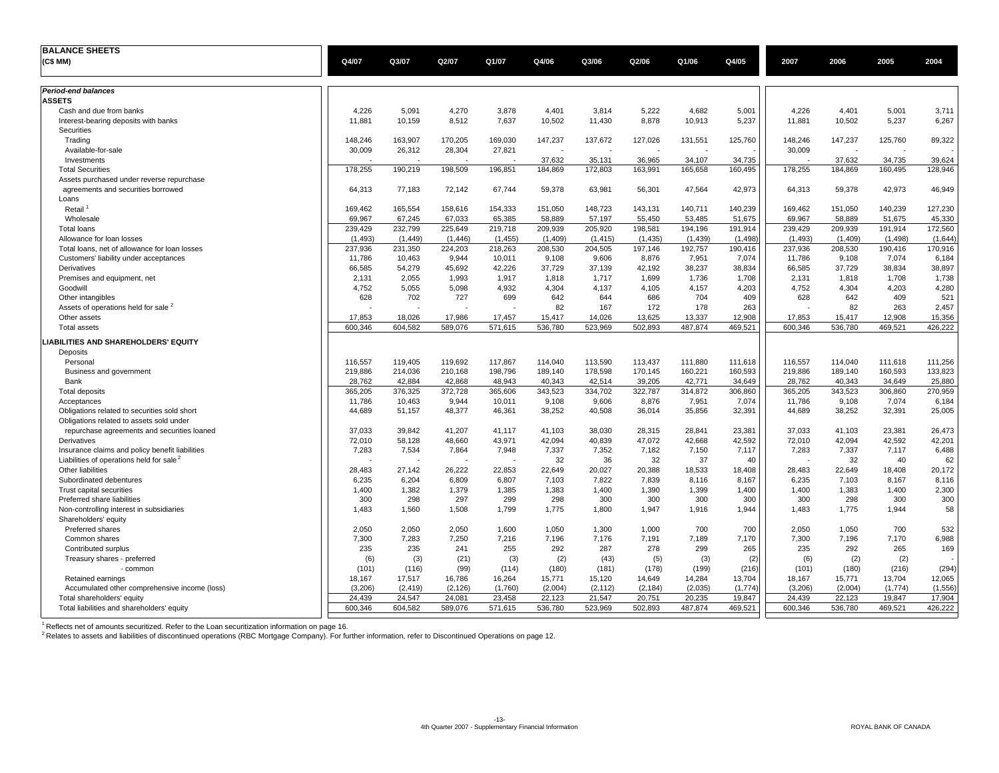| <b>BALANCE SHEETS</b>                                                                                   |                 |                 |                 |                 |                 |                 |                 |                 |                 |                 |                 |                 |                 |
|---------------------------------------------------------------------------------------------------------|-----------------|-----------------|-----------------|-----------------|-----------------|-----------------|-----------------|-----------------|-----------------|-----------------|-----------------|-----------------|-----------------|
| (C\$ MM)                                                                                                | Q4/07           | Q3/07           | Q2/07           | Q1/07           | Q4/06           | Q3/06           | Q2/06           | Q1/06           | Q4/05           | 2007            | 2006            | 2005            | 2004            |
|                                                                                                         |                 |                 |                 |                 |                 |                 |                 |                 |                 |                 |                 |                 |                 |
| <b>Period-end balances</b>                                                                              |                 |                 |                 |                 |                 |                 |                 |                 |                 |                 |                 |                 |                 |
| <b>ASSETS</b>                                                                                           |                 |                 |                 |                 |                 |                 |                 |                 |                 |                 |                 |                 |                 |
| Cash and due from banks                                                                                 | 4,226           | 5,091           | 4,270           | 3,878           | 4,401           | 3,814           | 5,222           | 4,682           | 5,001           | 4,226           | 4,401           | 5,001           | 3,711           |
| Interest-bearing deposits with banks                                                                    | 11,881          | 10,159          | 8,512           | 7,637           | 10,502          | 11,430          | 8,878           | 10,913          | 5,237           | 11,881          | 10,502          | 5,237           | 6,267           |
| Securities                                                                                              |                 |                 |                 |                 |                 |                 |                 |                 |                 |                 |                 |                 |                 |
| Trading                                                                                                 | 148.246         | 163,907         | 170,205         | 169,030         | 147,237         | 137,672         | 127,026         | 131,551         | 125,760         | 148,246         | 147,237         | 125,760         | 89,322          |
| Available-for-sale                                                                                      | 30,009          | 26,312          | 28,304          | 27,821          |                 |                 |                 |                 |                 | 30,009          |                 |                 |                 |
| Investments                                                                                             |                 |                 |                 |                 | 37,632          | 35,131          | 36,965          | 34,107          | 34,735          |                 | 37,632          | 34,735          | 39,624          |
| <b>Total Securities</b>                                                                                 | 178,255         | 190,219         | 198,509         | 196,851         | 184,869         | 172,803         | 163,991         | 165,658         | 160,495         | 178,255         | 184,869         | 160,495         | 128,946         |
| Assets purchased under reverse repurchase                                                               |                 |                 |                 |                 |                 |                 |                 |                 |                 |                 |                 |                 |                 |
| agreements and securities borrowed                                                                      | 64,313          | 77,183          | 72,142          | 67,744          | 59,378          | 63,981          | 56,301          | 47,564          | 42,973          | 64,313          | 59,378          | 42,973          | 46,949          |
| Loans                                                                                                   |                 |                 |                 |                 |                 |                 |                 |                 |                 |                 |                 |                 |                 |
| Retail <sup>1</sup>                                                                                     | 169,462         | 165,554         | 158,616         | 154,333         | 151,050         | 148,723         | 143,131         | 140,711         | 140,239         | 169,462         | 151,050         | 140,239         | 127,230         |
| Wholesale                                                                                               | 69,967          | 67,245          | 67,033          | 65,385          | 58,889          | 57,197          | 55,450          | 53,485          | 51,675          | 69,967          | 58,889          | 51,675          | 45,330          |
| <b>Total loans</b>                                                                                      | 239.429         | 232,799         | 225.649         | 219,718         | 209,939         | 205,920         | 198,581         | 194,196         | 191,914         | 239.429         | 209,939         | 191,914         | 172,560         |
| Allowance for loan losses                                                                               | (1, 493)        | (1.449)         | (1, 446)        | (1, 455)        | (1,409)         | (1, 415)        | (1, 435)        | (1,439)         | (1, 498)        | (1, 493)        | (1,409)         | (1, 498)        | (1,644)         |
| Total loans, net of allowance for loan losses                                                           | 237,936         | 231,350         | 224,203         | 218,263         | 208,530         | 204,505         | 197,146         | 192,757         | 190,416         | 237,936         | 208,530         | 190,416         | 170,916         |
| Customers' liability under acceptances                                                                  | 11,786          | 10,463          | 9,944           | 10,011          | 9,108           | 9,606           | 8,876           | 7,951           | 7,074           | 11,786          | 9,108           | 7,074           | 6,184           |
| Derivatives                                                                                             | 66,585          | 54,279          | 45,692          | 42,226          | 37,729          | 37,139          | 42,192          | 38,237          | 38,834          | 66,585          | 37,729          | 38,834          | 38,897          |
| Premises and equipment, net                                                                             | 2,131           | 2,055           | 1,993           | 1,917           | 1,818           | 1,717           | 1,699           | 1,736           | 1,708           | 2,131           | 1,818           | 1,708           | 1,738           |
| Goodwill                                                                                                | 4,752           | 5,055           | 5.098           | 4.932           | 4.304           | 4.137           | 4.105           | 4.157           | 4,203           | 4,752           | 4.304           | 4.203           | 4,280           |
| Other intangibles                                                                                       | 628             | 702             | 727             | 699             | 642             | 644             | 686             | 704             | 409             | 628             | 642             | 409             | 521             |
| Assets of operations held for sale 2                                                                    |                 |                 |                 | ٠.              | 82              | 167             | 172             | 178             | 263             |                 | 82              | 263             | 2,457           |
| Other assets                                                                                            | 17,853          | 18,026          | 17,986          | 17,457          | 15,417          | 14,026          | 13,625          | 13,337          | 12,908          | 17,853          | 15,417          | 12,908          | 15,356          |
| <b>Total assets</b>                                                                                     | 600,346         | 604,582         | 589,076         | 571,615         | 536,780         | 523,969         | 502,893         | 487,874         | 469,521         | 600,346         | 536,780         | 469,521         | 426,222         |
| LIABILITIES AND SHAREHOLDERS' EQUITY                                                                    |                 |                 |                 |                 |                 |                 |                 |                 |                 |                 |                 |                 |                 |
| Deposits                                                                                                |                 |                 |                 |                 |                 |                 |                 |                 |                 |                 |                 |                 |                 |
| Personal                                                                                                | 116,557         | 119,405         | 119,692         | 117,867         | 114,040         | 113,590         | 113,437         | 111,880         | 111,618         | 116,557         | 114,040         | 111,618         | 111,256         |
| Business and government                                                                                 | 219,886         | 214,036         | 210,168         | 198,796         | 189,140         | 178,598         | 170,145         | 160,221         | 160,593         | 219,886         | 189,140         | 160,593         | 133,823         |
| Bank                                                                                                    | 28.762          | 42.884          | 42.868          | 48,943          | 40,343          | 42,514          | 39,205          | 42,771          | 34,649          | 28.762          | 40,343          | 34,649          | 25,880          |
| <b>Total deposits</b>                                                                                   | 365,205         | 376,325         | 372,728         | 365,606         | 343,523         | 334,702         | 322,787         | 314,872         | 306,860         | 365,205         | 343,523         | 306,860         | 270,959         |
| Acceptances                                                                                             | 11,786          | 10,463          | 9,944           | 10,011          | 9,108           | 9,606           | 8,876           | 7,951           | 7,074           | 11,786          | 9,108           | 7,074           | 6,184           |
| Obligations related to securities sold short                                                            | 44,689          | 51,157          | 48,377          | 46,361          | 38,252          | 40,508          | 36,014          | 35,856          | 32,391          | 44,689          | 38,252          | 32,391          | 25,005          |
| Obligations related to assets sold under                                                                |                 |                 |                 |                 |                 |                 |                 |                 |                 |                 |                 |                 |                 |
| repurchase agreements and securities loaned                                                             | 37,033          | 39,842          | 41,207          | 41,117          | 41,103          | 38,030          | 28,315          | 28,841          | 23,381          | 37,033          | 41,103          | 23,381          | 26,473          |
| Derivatives                                                                                             | 72,010<br>7,283 | 58,128<br>7,534 | 48.660<br>7.864 | 43,971<br>7.948 | 42,094<br>7,337 | 40,839<br>7,352 | 47,072<br>7,182 | 42,668<br>7,150 | 42,592<br>7,117 | 72,010<br>7.283 | 42,094<br>7,337 | 42,592<br>7,117 | 42,201<br>6,488 |
| Insurance claims and policy benefit liabilities<br>Liabilities of operations held for sale <sup>2</sup> |                 |                 |                 | ÷,              | 32              | 36              | 32              | 37              | 40              |                 | 32              | 40              | 62              |
| Other liabilities                                                                                       | 28,483          | 27,142          | 26,222          | 22,853          | 22,649          |                 |                 |                 | 18,408          | 28,483          |                 |                 | 20,172          |
| Subordinated debentures                                                                                 | 6,235           | 6,204           | 6,809           | 6,807           | 7,103           | 20,027<br>7,822 | 20,388<br>7,839 | 18,533<br>8,116 | 8,167           | 6,235           | 22,649<br>7,103 | 18,408<br>8,167 | 8,116           |
| Trust capital securities                                                                                | 1,400           | 1,382           | 1,379           | 1,385           | 1,383           | 1,400           | 1,390           | 1,399           | 1,400           | 1,400           | 1,383           | 1,400           | 2,300           |
| Preferred share liabilities                                                                             | 300             | 298             | 297             | 299             | 298             | 300             | 300             | 300             | 300             | 300             | 298             | 300             | 300             |
| Non-controlling interest in subsidiaries                                                                | 1,483           | 1,560           | 1,508           | 1,799           | 1,775           | 1,800           | 1,947           | 1,916           | 1,944           | 1,483           | 1,775           | 1,944           | 58              |
| Shareholders' equity                                                                                    |                 |                 |                 |                 |                 |                 |                 |                 |                 |                 |                 |                 |                 |
| Preferred shares                                                                                        | 2,050           | 2,050           | 2,050           | 1,600           | 1,050           | 1,300           | 1,000           | 700             | 700             | 2,050           | 1,050           | 700             | 532             |
| Common shares                                                                                           | 7,300           | 7,283           | 7,250           | 7,216           | 7,196           | 7,176           | 7,191           | 7,189           | 7,170           | 7,300           | 7,196           | 7,170           | 6,988           |
| Contributed surplus                                                                                     | 235             | 235             | 241             | 255             | 292             | 287             | 278             | 299             | 265             | 235             | 292             | 265             | 169             |
| Treasury shares - preferred                                                                             | (6)             | (3)             | (21)            | (3)             | (2)             | (43)            | (5)             | (3)             | (2)             | (6)             | (2)             | (2)             |                 |
| - common                                                                                                | (101)           | (116)           | (99)            | (114)           | (180)           | (181)           | (178)           | (199)           | (216)           | (101)           | (180)           | (216)           | (294)           |
| Retained earnings                                                                                       | 18,167          | 17,517          | 16,786          | 16,264          | 15,771          | 15,120          | 14,649          | 14,284          | 13,704          | 18,167          | 15,771          | 13,704          | 12,065          |
| Accumulated other comprehensive income (loss)                                                           | (3,206)         | (2, 419)        | (2, 126)        | (1,760)         | (2,004)         | (2, 112)        | (2, 184)        | (2,035)         | (1,774)         | (3,206)         | (2,004)         | (1,774)         | (1, 556)        |
| Total shareholders' equity                                                                              | 24,439          | 24,547          | 24,081          | 23,458          | 22,123          | 21,547          | 20,751          | 20,235          | 19,847          | 24,439          | 22,123          | 19,847          | 17,904          |
| Total liabilities and shareholders' equity                                                              | 600.346         | 604,582         | 589,076         | 571,615         | 536,780         | 523,969         | 502,893         | 487,874         | 469,521         | 600.346         | 536,780         | 469,521         | 426,222         |
|                                                                                                         |                 |                 |                 |                 |                 |                 |                 |                 |                 |                 |                 |                 |                 |

<sup>1</sup> Reflects net of amounts securitized. Refer to the Loan securitization information on page 16.<br><sup>2</sup> Relates to assets and liabilities of discontinued operations (RBC Mortgage Company). For further information, refer to D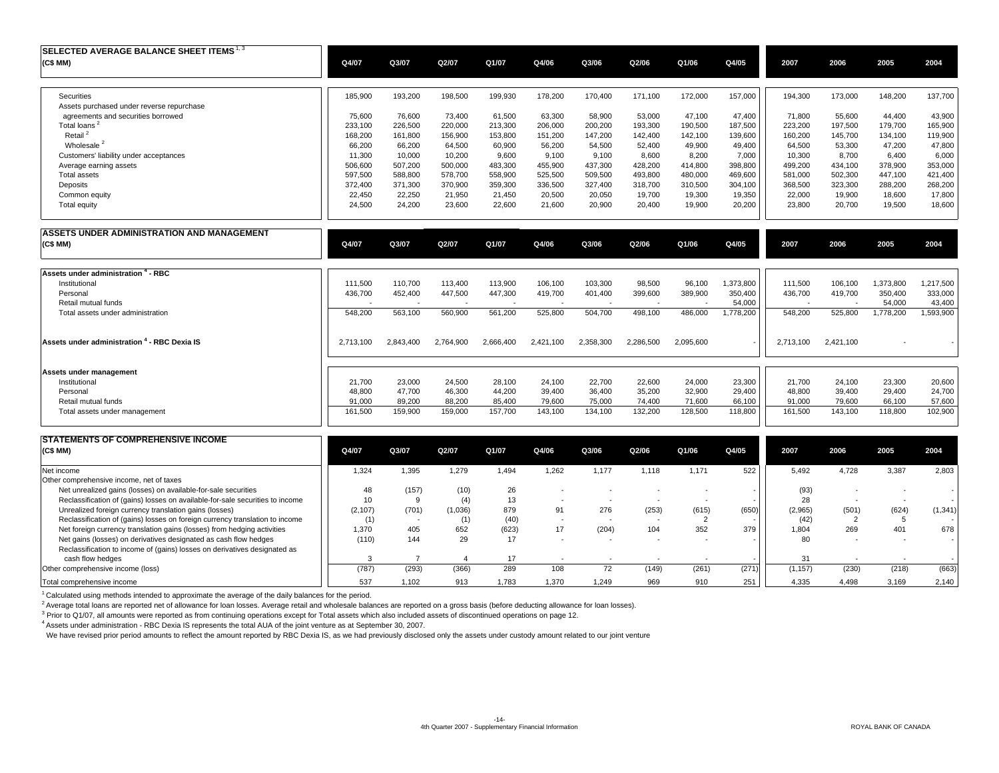| SELECTED AVERAGE BALANCE SHEET ITEMS $^{1,3}$<br>(C\$ MM) | Q4/07   | Q3/07   | Q2/07   | Q1/07   | Q4/06   | Q3/06   | Q2/06   | Q1/06   | Q4/05   | 2007    | 2006    | 2005    | 2004    |
|-----------------------------------------------------------|---------|---------|---------|---------|---------|---------|---------|---------|---------|---------|---------|---------|---------|
|                                                           |         |         |         |         |         |         |         |         |         |         |         |         |         |
| Securities                                                | 185,900 | 193,200 | 198,500 | 199,930 | 178,200 | 170,400 | 171,100 | 172,000 | 157,000 | 194,300 | 173,000 | 148,200 | 137,700 |
| Assets purchased under reverse repurchase                 |         |         |         |         |         |         |         |         |         |         |         |         |         |
| agreements and securities borrowed                        | 75,600  | 76,600  | 73.400  | 61,500  | 63,300  | 58,900  | 53,000  | 47,100  | 47.400  | 71,800  | 55,600  | 44,400  | 43,900  |
| Total loans <sup>2</sup>                                  | 233,100 | 226,500 | 220.000 | 213,300 | 206,000 | 200,200 | 193,300 | 190,500 | 187,500 | 223,200 | 197.500 | 179,700 | 165,900 |
| Retail <sup>2</sup>                                       | 168,200 | 161,800 | 156,900 | 153,800 | 151,200 | 147,200 | 142,400 | 142,100 | 139,600 | 160,200 | 145,700 | 134,100 | 119,900 |
| Wholesale <sup>2</sup>                                    | 66,200  | 66.200  | 64,500  | 60,900  | 56.200  | 54,500  | 52,400  | 49,900  | 49.400  | 64.500  | 53,300  | 47,200  | 47,800  |
| Customers' liability under acceptances                    | 11.300  | 10,000  | 10,200  | 9.600   | 9.100   | 9,100   | 8.600   | 8.200   | 7,000   | 10,300  | 8.700   | 6,400   | 6,000   |
| Average earning assets                                    | 506,600 | 507.200 | 500,000 | 483,300 | 455,900 | 437,300 | 428,200 | 414,800 | 398,800 | 499,200 | 434,100 | 378,900 | 353,000 |
| <b>Total assets</b>                                       | 597,500 | 588,800 | 578,700 | 558,900 | 525,500 | 509,500 | 493,800 | 480,000 | 469,600 | 581,000 | 502,300 | 447,100 | 421,400 |
| Deposits                                                  | 372,400 | 371,300 | 370,900 | 359,300 | 336,500 | 327,400 | 318,700 | 310,500 | 304,100 | 368,500 | 323,300 | 288,200 | 268,200 |
| Common equity                                             | 22.450  | 22,250  | 21,950  | 21,450  | 20,500  | 20,050  | 19,700  | 19,300  | 19,350  | 22,000  | 19,900  | 18,600  | 17,800  |
| <b>Total equity</b>                                       | 24,500  | 24,200  | 23,600  | 22,600  | 21,600  | 20,900  | 20,400  | 19,900  | 20,200  | 23,800  | 20,700  | 19,500  | 18,600  |

| ASSETS UNDER ADMINISTRATION AND MANAGEMENT<br>(C\$MM) | Q4/07     | Q3/07     | Q2/07     | Q1/07     | Q4/06     | Q3/06                    | Q2/06     | Q1/06     | Q4/05     | 2007      | 2006                     | 2005      | 2004      |
|-------------------------------------------------------|-----------|-----------|-----------|-----------|-----------|--------------------------|-----------|-----------|-----------|-----------|--------------------------|-----------|-----------|
| Assets under administration 4 - RBC                   |           |           |           |           |           |                          |           |           |           |           |                          |           |           |
| Institutional                                         | 111,500   | 110,700   | 113,400   | 113,900   | 106,100   | 103,300                  | 98,500    | 96,100    | 1,373,800 | 111,500   | 106,100                  | 1,373,800 | 1,217,500 |
| Personal                                              | 436,700   | 452,400   | 447,500   | 447,300   | 419,700   | 401,400                  | 399,600   | 389,900   | 350,400   | 436,700   | 419,700                  | 350,400   | 333,000   |
| Retail mutual funds                                   |           |           |           |           |           | $\overline{\phantom{a}}$ |           |           | 54,000    |           | $\overline{\phantom{a}}$ | 54,000    | 43,400    |
| Total assets under administration                     | 548,200   | 563,100   | 560,900   | 561,200   | 525,800   | 504,700                  | 498,100   | 486,000   | 1,778,200 | 548,200   | 525,800                  | 1,778,200 | 1,593,900 |
| Assets under administration 4 - RBC Dexia IS          | 2.713.100 | 2,843,400 | 2,764,900 | 2,666,400 | 2,421,100 | 2,358,300                | 2,286,500 | 2,095,600 |           | 2,713,100 | 2,421,100                |           |           |
| Assets under management                               |           |           |           |           |           |                          |           |           |           |           |                          |           |           |
| Institutional                                         | 21,700    | 23,000    | 24,500    | 28,100    | 24,100    | 22,700                   | 22,600    | 24,000    | 23,300    | 21,700    | 24,100                   | 23,300    | 20,600    |
| Personal                                              | 48,800    | 47,700    | 46,300    | 44,200    | 39,400    | 36,400                   | 35,200    | 32,900    | 29,400    | 48,800    | 39,400                   | 29,400    | 24,700    |
| Retail mutual funds                                   | 91,000    | 89,200    | 88,200    | 85,400    | 79,600    | 75,000                   | 74,400    | 71,600    | 66,100    | 91,000    | 79,600                   | 66,100    | 57,600    |
| Total assets under management                         | 161,500   | 159,900   | 159,000   | 157,700   | 143,100   | 134,100                  | 132,200   | 128,500   | 118,800   | 161,500   | 143,100                  | 118,800   | 102,900   |
|                                                       |           |           |           |           |           |                          |           |           |           |           |                          |           |           |

| <b>STATEMENTS OF COMPREHENSIVE INCOME</b>                                     |          |       |         |       |                          |       |                          |       |       |          |                          |       |         |
|-------------------------------------------------------------------------------|----------|-------|---------|-------|--------------------------|-------|--------------------------|-------|-------|----------|--------------------------|-------|---------|
| (C\$ MM)                                                                      | Q4/07    | Q3/07 | Q2/07   | Q1/07 | Q4/06                    | Q3/06 | Q2/06                    | Q1/06 | Q4/05 | 2007     | 2006                     | 2005  | 2004    |
| Net income                                                                    | .324     | .395  | 1,279   | 1,494 | ,262                     | 1.177 | 1,118                    | 1.171 | 522   | 5,492    | 4,728                    | 3,387 | 2,803   |
| Other comprehensive income, net of taxes                                      |          |       |         |       |                          |       |                          |       |       |          |                          |       |         |
| Net unrealized gains (losses) on available-for-sale securities                | 48       | (157) | (10)    | 26    |                          |       |                          |       |       | (93)     |                          |       |         |
| Reclassification of (gains) losses on available-for-sale securities to income | 10       | -9    | (4)     | 13    | $\overline{\phantom{a}}$ |       |                          |       |       | 28       | $\overline{\phantom{a}}$ |       |         |
| Unrealized foreign currency translation gains (losses)                        | (2, 107) | (701) | (1,036) | 879   | 91                       | 276   | (253)                    | (615) | (650) | (2,965)  | (501)                    | (624) | (1,341) |
| Reclassification of (gains) losses on foreign currency translation to income  | (1)      |       | (1)     | (40)  | $\overline{\phantom{a}}$ |       | $\overline{\phantom{a}}$ |       |       | (42)     |                          |       |         |
| Net foreign currency translation gains (losses) from hedging activities       | 1.370    | 405   | 652     | (623) | 17                       | (204) | 104                      | 352   | 379   | 1.804    | 269                      | 401   | 678     |
| Net gains (losses) on derivatives designated as cash flow hedges              | (110)    | 144   | 29      | 17    | $\overline{\phantom{a}}$ |       |                          |       |       | 80       | $\overline{\phantom{a}}$ |       |         |
| Reclassification to income of (gains) losses on derivatives designated as     |          |       |         |       |                          |       |                          |       |       |          |                          |       |         |
| cash flow hedges                                                              |          |       |         | 17    |                          |       |                          |       |       | 31       |                          |       |         |
| Other comprehensive income (loss)                                             | (787)    | (293) | (366)   | 289   | 108                      | 72    | (149)                    | (261) | (271) | (1, 157) | (230)                    | (218) | (663)   |
| Total comprehensive income                                                    | 537      | 1.102 | 913     | 1.783 | .370                     | 1.249 | 969                      | 910   | 251   | 4,335    | 4,498                    | 3,169 | 2,140   |

<sup>1</sup> Calculated using methods intended to approximate the average of the daily balances for the period.

<sup>2</sup> Average total loans are reported net of allowance for loan losses. Average retail and wholesale balances are reported on a gross basis (before deducting allowance for loan losses).<br><sup>3</sup> Prior to Q1/07, all amounts were

4 Assets under administration - RBC Dexia IS represents the total AUA of the joint venture as at September 30, 2007.

We have revised prior period amounts to reflect the amount reported by RBC Dexia IS, as we had previously disclosed only the assets under custody amount related to our joint venture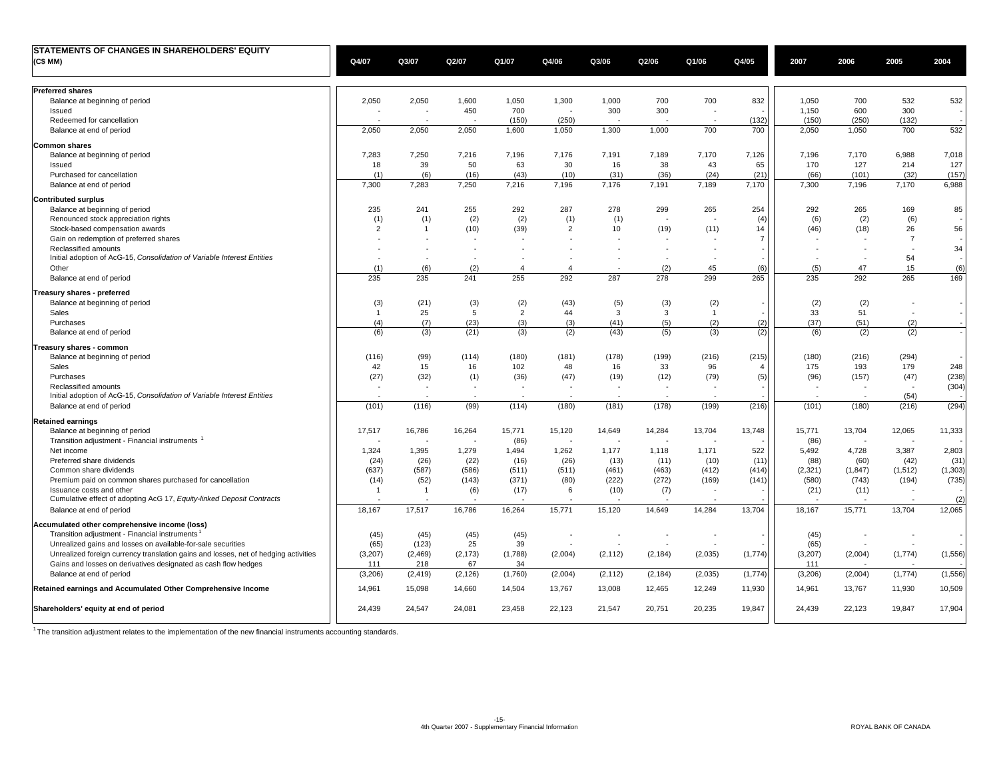| STATEMENTS OF CHANGES IN SHAREHOLDERS' EQUITY                                       |                |                |                          |                |                          |                          |          |                          |                |                          |                          |                          |          |
|-------------------------------------------------------------------------------------|----------------|----------------|--------------------------|----------------|--------------------------|--------------------------|----------|--------------------------|----------------|--------------------------|--------------------------|--------------------------|----------|
| (C\$ MM)                                                                            | Q4/07          | Q3/07          | Q2/07                    | Q1/07          | Q4/06                    | Q3/06                    | Q2/06    | Q1/06                    | Q4/05          | 2007                     | 2006                     | 2005                     | 2004     |
|                                                                                     |                |                |                          |                |                          |                          |          |                          |                |                          |                          |                          |          |
| <b>Preferred shares</b>                                                             |                |                |                          |                |                          |                          |          |                          |                |                          |                          |                          |          |
| Balance at beginning of period                                                      | 2,050          | 2,050          | 1,600                    | 1,050          | 1,300                    | 1,000                    | 700      | 700                      | 832            | 1,050                    | 700                      | 532                      | 532      |
| Issued                                                                              |                |                | 450                      | 700            | $\ddot{\phantom{1}}$     | 300                      | 300      |                          |                | 1,150                    | 600                      | 300                      |          |
| Redeemed for cancellation                                                           |                |                |                          | (150)          | (250)                    |                          |          |                          | (132)          | (150)                    | (250)                    | (132)                    |          |
| Balance at end of period                                                            | 2,050          | 2,050          | 2,050                    | 1,600          | 1,050                    | 1,300                    | 1,000    | 700                      | 700            | 2,050                    | 1,050                    | 700                      | 532      |
| <b>Common shares</b>                                                                |                |                |                          |                |                          |                          |          |                          |                |                          |                          |                          |          |
| Balance at beginning of period                                                      | 7,283          | 7,250          | 7,216                    | 7,196          | 7,176                    | 7,191                    | 7,189    | 7,170                    | 7,126          | 7,196                    | 7,170                    | 6,988                    | 7,018    |
| Issued                                                                              | 18             | 39             | 50                       | 63             | 30                       | 16                       | 38       | 43                       | 65             | 170                      | 127                      | 214                      | 127      |
| Purchased for cancellation                                                          | (1)            | (6)            | (16)                     | (43)           | (10)                     | (31)                     | (36)     | (24)                     | (21)           | (66)                     | (101)                    | (32)                     | (157)    |
| Balance at end of period                                                            | 7,300          | 7,283          | 7,250                    | 7,216          | 7,196                    | 7,176                    | 7,191    | 7,189                    | 7,170          | 7,300                    | 7,196                    | 7,170                    | 6,988    |
| <b>Contributed surplus</b>                                                          |                |                |                          |                |                          |                          |          |                          |                |                          |                          |                          |          |
| Balance at beginning of period                                                      | 235            | 241            | 255                      | 292            | 287                      | 278                      | 299      | 265                      | 254            | 292                      | 265                      | 169                      | 85       |
| Renounced stock appreciation rights                                                 | (1)            | (1)            | (2)                      | (2)            | (1)                      | (1)                      |          |                          | (4)            | (6)                      | (2)                      | (6)                      |          |
| Stock-based compensation awards                                                     | $\overline{2}$ | -1             | (10)                     | (39)           | $\overline{2}$           | 10                       | (19)     | (11)                     | 14             | (46)                     | (18)                     | 26                       | 56       |
| Gain on redemption of preferred shares                                              |                |                |                          |                |                          |                          |          |                          | $\overline{7}$ |                          |                          | $\overline{7}$           |          |
| Reclassified amounts                                                                |                |                | . –                      |                |                          |                          |          | $\sim$                   |                |                          | $\overline{\phantom{a}}$ | $\sim$                   | 34       |
| Initial adoption of AcG-15, Consolidation of Variable Interest Entities             |                |                |                          |                |                          |                          |          | ÷,                       |                |                          | $\sim$                   | 54                       |          |
| Other                                                                               | (1)            | (6)            | (2)                      | 4              | $\overline{4}$           |                          | (2)      | 45                       | (6)            | (5)                      | 47                       | 15                       | (6)      |
| Balance at end of period                                                            | 235            | 235            | 241                      | 255            | 292                      | 287                      | 278      | 299                      | 265            | 235                      | 292                      | 265                      | 169      |
| Treasury shares - preferred                                                         |                |                |                          |                |                          |                          |          |                          |                |                          |                          |                          |          |
| Balance at beginning of period                                                      | (3)            | (21)           | (3)                      | (2)            | (43)                     | (5)                      | (3)      | (2)                      |                | (2)                      | (2)                      | $\sim$                   |          |
| Sales                                                                               | $\overline{1}$ | 25             | -5                       | $\overline{2}$ | 44                       | $\mathbf{3}$             | 3        | $\overline{1}$           |                | 33                       | 51                       |                          |          |
| Purchases                                                                           | (4)            | (7)            | (23)                     | (3)            | (3)                      | (41)                     | (5)      | (2)                      | (2)            | (37)                     | (51)                     | (2)                      |          |
| Balance at end of period                                                            | (6)            | (3)            | (21)                     | (3)            | (2)                      | (43)                     | (5)      | (3)                      | (2)            | (6)                      | (2)                      | (2)                      |          |
| Treasury shares - common                                                            |                |                |                          |                |                          |                          |          |                          |                |                          |                          |                          |          |
| Balance at beginning of period                                                      | (116)          | (99)           | (114)                    | (180)          | (181)                    | (178)                    | (199)    | (216)                    | (215)          | (180)                    | (216)                    | (294)                    |          |
| Sales                                                                               | 42             | 15             | 16                       | 102            | 48                       | 16                       | 33       | 96                       | 4              | 175                      | 193                      | 179                      | 248      |
| Purchases                                                                           | (27)           | (32)           | (1)                      | (36)           | (47)                     | (19)                     | (12)     | (79)                     | (5)            | (96)                     | (157)                    | (47)                     | (238)    |
| Reclassified amounts                                                                |                |                | $\overline{\phantom{a}}$ |                | $\overline{\phantom{a}}$ | $\overline{\phantom{a}}$ | $\sim$   |                          |                | $\overline{\phantom{a}}$ | $\overline{\phantom{a}}$ | $\overline{\phantom{a}}$ | (304)    |
| Initial adoption of AcG-15, Consolidation of Variable Interest Entities             |                |                |                          |                |                          |                          |          |                          |                |                          | $\sim$                   | (54)                     |          |
| Balance at end of period                                                            | (101)          | (116)          | (99)                     | (114)          | (180)                    | (181)                    | (178)    | (199)                    | (216)          | (101)                    | (180)                    | (216)                    | (294)    |
| <b>Retained earnings</b>                                                            |                |                |                          |                |                          |                          |          |                          |                |                          |                          |                          |          |
| Balance at beginning of period                                                      | 17,517         | 16,786         | 16,264                   | 15,771         | 15,120                   | 14,649                   | 14,284   | 13,704                   | 13,748         | 15,771                   | 13,704                   | 12,065                   | 11,333   |
| Transition adjustment - Financial instruments                                       |                |                | ÷.                       | (86)           | $\overline{\phantom{a}}$ |                          |          |                          |                | (86)                     | $\overline{\phantom{a}}$ |                          |          |
| Net income                                                                          | 1,324          | 1,395          | 1,279                    | 1,494          | 1,262                    | 1,177                    | 1,118    | 1,171                    | 522            | 5,492                    | 4,728                    | 3,387                    | 2,803    |
| Preferred share dividends                                                           | (24)           | (26)           | (22)                     | (16)           | (26)                     | (13)                     | (11)     | (10)                     | (11)           | (88)                     | (60)                     | (42)                     | (31)     |
| Common share dividends                                                              | (637)          | (587)          | (586)                    | (511)          | (511)                    | (461)                    | (463)    | (412)                    | (414)          | (2, 321)                 | (1, 847)                 | (1, 512)                 | (1, 303) |
| Premium paid on common shares purchased for cancellation                            | (14)           | (52)           | (143)                    | (371)          | (80)                     | (222)                    | (272)    | (169)                    | (141)          | (580)                    | (743)                    | (194)                    | (735)    |
| Issuance costs and other                                                            | $\overline{1}$ | $\overline{1}$ | (6)                      | (17)           | 6                        | (10)                     | (7)      | $\sim$                   |                | (21)                     | (11)                     | $\sim$                   |          |
| Cumulative effect of adopting AcG 17, Equity-linked Deposit Contracts               |                |                |                          |                |                          |                          | $\sim$   | ÷,                       |                |                          |                          | $\sim$                   | (2)      |
| Balance at end of period                                                            | 18,167         | 17,517         | 16,786                   | 16,264         | 15,771                   | 15,120                   | 14,649   | 14,284                   | 13,704         | 18,167                   | 15,771                   | 13,704                   | 12,065   |
| Accumulated other comprehensive income (loss)                                       |                |                |                          |                |                          |                          |          |                          |                |                          |                          |                          |          |
| Transition adjustment - Financial instruments                                       | (45)           | (45)           | (45)                     | (45)           | $\overline{\phantom{a}}$ |                          |          | $\overline{\phantom{a}}$ |                | (45)                     | $\overline{\phantom{a}}$ | $\overline{\phantom{a}}$ |          |
| Unrealized gains and losses on available-for-sale securities                        | (65)           | (123)          | 25                       | 39             |                          |                          |          |                          |                | (65)                     |                          |                          |          |
| Unrealized foreign currency translation gains and losses, net of hedging activities | (3, 207)       | (2,469)        | (2, 173)                 | (1,788)        | (2,004)                  | (2, 112)                 | (2, 184) | (2,035)                  | (1,774)        | (3,207)                  | (2,004)                  | (1,774)                  | (1, 556) |
| Gains and losses on derivatives designated as cash flow hedges                      | 111            | 218            | 67                       | 34             |                          |                          |          |                          |                | 111                      |                          |                          |          |
| Balance at end of period                                                            | (3,206)        | (2, 419)       | (2, 126)                 | (1,760)        | (2,004)                  | (2, 112)                 | (2, 184) | (2,035)                  | (1,774)        | (3,206)                  | (2,004)                  | (1,774)                  | (1, 556) |
| Retained earnings and Accumulated Other Comprehensive Income                        | 14,961         | 15,098         | 14,660                   | 14,504         | 13,767                   | 13,008                   | 12,465   | 12,249                   | 11,930         | 14,961                   | 13,767                   | 11,930                   | 10,509   |
| Shareholders' equity at end of period                                               | 24,439         | 24,547         | 24,081                   | 23,458         | 22,123                   | 21,547                   | 20,751   | 20,235                   | 19,847         | 24,439                   | 22,123                   | 19,847                   | 17,904   |
|                                                                                     |                |                |                          |                |                          |                          |          |                          |                |                          |                          |                          |          |

1 The transition adjustment relates to the implementation of the new financial instruments accounting standards.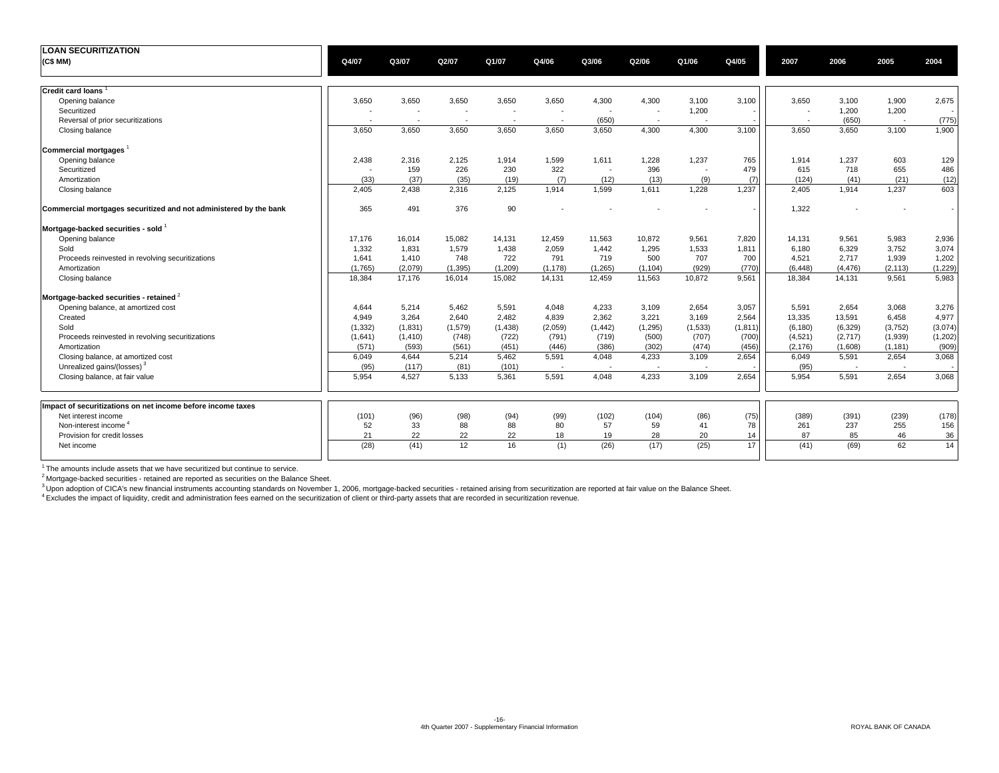| <b>LOAN SECURITIZATION</b>                                        |          |                          |                          |                          |                          |                          |                          |                          |          |                          |                          |                          |          |
|-------------------------------------------------------------------|----------|--------------------------|--------------------------|--------------------------|--------------------------|--------------------------|--------------------------|--------------------------|----------|--------------------------|--------------------------|--------------------------|----------|
| (C\$ MM)                                                          | Q4/07    | Q3/07                    | Q2/07                    | Q1/07                    | Q4/06                    | Q3/06                    | Q2/06                    | Q1/06                    | Q4/05    | 2007                     | 2006                     | 2005                     | 2004     |
| Credit card loans <sup>1</sup>                                    |          |                          |                          |                          |                          |                          |                          |                          |          |                          |                          |                          |          |
| Opening balance                                                   | 3,650    | 3,650                    | 3,650                    | 3,650                    | 3,650                    | 4,300                    | 4,300                    | 3,100                    | 3,100    | 3,650                    | 3,100                    | 1,900                    | 2,675    |
| Securitized                                                       |          |                          |                          |                          |                          |                          | ÷                        | 1,200                    |          | $\overline{\phantom{a}}$ | 1,200                    | 1,200                    |          |
| Reversal of prior securitizations                                 |          | $\overline{\phantom{a}}$ | $\overline{\phantom{a}}$ | $\overline{\phantom{a}}$ | $\overline{\phantom{a}}$ | (650)                    | $\overline{\phantom{a}}$ |                          |          | $\overline{\phantom{a}}$ | (650)                    | $\sim$                   | (775)    |
| Closing balance                                                   | 3,650    | 3,650                    | 3,650                    | 3,650                    | 3,650                    | 3.650                    | 4.300                    | 4,300                    | 3,100    | 3,650                    | 3,650                    | 3,100                    | 1,900    |
| Commercial mortgages                                              |          |                          |                          |                          |                          |                          |                          |                          |          |                          |                          |                          |          |
| Opening balance                                                   | 2,438    | 2,316                    | 2,125                    | 1,914                    | 1,599                    | 1,611                    | 1,228                    | 1,237                    | 765      | 1,914                    | 1,237                    | 603                      | 129      |
| Securitized                                                       |          | 159                      | 226                      | 230                      | 322                      |                          | 396                      | $\overline{\phantom{a}}$ | 479      | 615                      | 718                      | 655                      | 486      |
| Amortization                                                      | (33)     | (37)                     | (35)                     | (19)                     | (7)                      | (12)                     | (13)                     | (9)                      | (7)      | (124)                    | (41)                     | (21)                     | (12)     |
| Closing balance                                                   | 2,405    | 2,438                    | 2,316                    | 2,125                    | 1.914                    | 1,599                    | 1,611                    | 1,228                    | 1.237    | 2,405                    | 1,914                    | 1,237                    | 603      |
| Commercial mortgages securitized and not administered by the bank | 365      | 491                      | 376                      | 90                       |                          |                          |                          |                          |          | 1,322                    |                          |                          |          |
| Mortgage-backed securities - sold                                 |          |                          |                          |                          |                          |                          |                          |                          |          |                          |                          |                          |          |
| Opening balance                                                   | 17,176   | 16,014                   | 15,082                   | 14,131                   | 12,459                   | 11,563                   | 10,872                   | 9,561                    | 7,820    | 14,131                   | 9,561                    | 5,983                    | 2,936    |
| Sold                                                              | 1,332    | 1,831                    | 1,579                    | 1,438                    | 2,059                    | 1,442                    | 1,295                    | 1,533                    | 1,811    | 6.180                    | 6,329                    | 3,752                    | 3,074    |
| Proceeds reinvested in revolving securitizations                  | 1,641    | 1,410                    | 748                      | 722                      | 791                      | 719                      | 500                      | 707                      | 700      | 4,521                    | 2,717                    | 1,939                    | 1,202    |
| Amortization                                                      | (1.765)  | (2,079)                  | (1, 395)                 | (1,209)                  | (1, 178)                 | (1, 265)                 | (1, 104)                 | (929)                    | (770)    | (6, 448)                 | (4, 476)                 | (2, 113)                 | (1, 229) |
| Closing balance                                                   | 18,384   | 17,176                   | 16,014                   | 15,082                   | 14,131                   | 12,459                   | 11,563                   | 10,872                   | 9,561    | 18,384                   | 14,131                   | 9,561                    | 5,983    |
| Mortgage-backed securities - retained $2$                         |          |                          |                          |                          |                          |                          |                          |                          |          |                          |                          |                          |          |
| Opening balance, at amortized cost                                | 4.644    | 5,214                    | 5,462                    | 5,591                    | 4,048                    | 4,233                    | 3,109                    | 2,654                    | 3,057    | 5.591                    | 2.654                    | 3,068                    | 3,276    |
| Created                                                           | 4.949    | 3,264                    | 2,640                    | 2,482                    | 4,839                    | 2,362                    | 3,221                    | 3,169                    | 2,564    | 13,335                   | 13,591                   | 6,458                    | 4,977    |
| Sold                                                              | (1, 332) | (1,831)                  | (1, 579)                 | (1, 438)                 | (2,059)                  | (1, 442)                 | (1, 295)                 | (1,533)                  | (1, 811) | (6, 180)                 | (6,329)                  | (3,752)                  | (3,074)  |
| Proceeds reinvested in revolving securitizations                  | (1,641)  | (1, 410)                 | (748)                    | (722)                    | (791)                    | (719)                    | (500)                    | (707)                    | (700)    | (4,521)                  | (2,717)                  | (1,939)                  | (1,202)  |
| Amortization                                                      | (571)    | (593)                    | (561)                    | (451)                    | (446)                    | (386)                    | (302)                    | (474)                    | (456)    | (2, 176)                 | (1,608)                  | (1, 181)                 | (909)    |
| Closing balance, at amortized cost                                | 6,049    | 4,644                    | 5,214                    | 5,462                    | 5,591                    | 4,048                    | 4,233                    | 3,109                    | 2,654    | 6,049                    | 5,591                    | 2,654                    | 3,068    |
| Unrealized gains/(losses) <sup>3</sup>                            | (95)     | (117)                    | (81)                     | (101)                    | $\overline{\phantom{a}}$ | $\overline{\phantom{a}}$ | ÷.                       | $\overline{\phantom{a}}$ |          | (95)                     | $\overline{\phantom{a}}$ | $\overline{\phantom{a}}$ |          |
| Closing balance, at fair value                                    | 5.954    | 4,527                    | 5,133                    | 5.361                    | 5.591                    | 4.048                    | 4.233                    | 3.109                    | 2.654    | 5.954                    | 5,591                    | 2.654                    | 3,068    |
|                                                                   |          |                          |                          |                          |                          |                          |                          |                          |          |                          |                          |                          |          |
| Impact of securitizations on net income before income taxes       |          |                          |                          |                          |                          |                          |                          |                          |          |                          |                          |                          |          |
| Net interest income                                               | (101)    | (96)                     | (98)                     | (94)                     | (99)                     | (102)                    | (104)                    | (86)                     | (75)     | (389)                    | (391)                    | (239)                    | (178)    |
| Non-interest income <sup>4</sup>                                  | 52       | 33                       | 88                       | 88                       | 80                       | 57                       | 59                       | 41                       | 78       | 261                      | 237                      | 255                      | 156      |
| Provision for credit losses                                       | 21       | 22                       | 22                       | 22                       | 18                       | 19                       | 28                       | 20                       | 14       | 87                       | 85                       | 46                       | 36       |
| Net income                                                        | (28)     | (41)                     | 12                       | 16                       | (1)                      | (26)                     | (17)                     | (25)                     | 17       | (41)                     | (69)                     | 62                       | 14       |

<sup>1</sup> The amounts include assets that we have securitized but continue to service.

<sup>2</sup> Mortgage-backed securities - retained are reported as securities on the Balance Sheet.

<sup>3</sup> Upon adoption of CICA's new financial instruments accounting standards on November 1, 2006, mortgage-backed securities - retained arising from securitization are reported at fair value on the Balance Sheet.<br><sup>4</sup> Exclude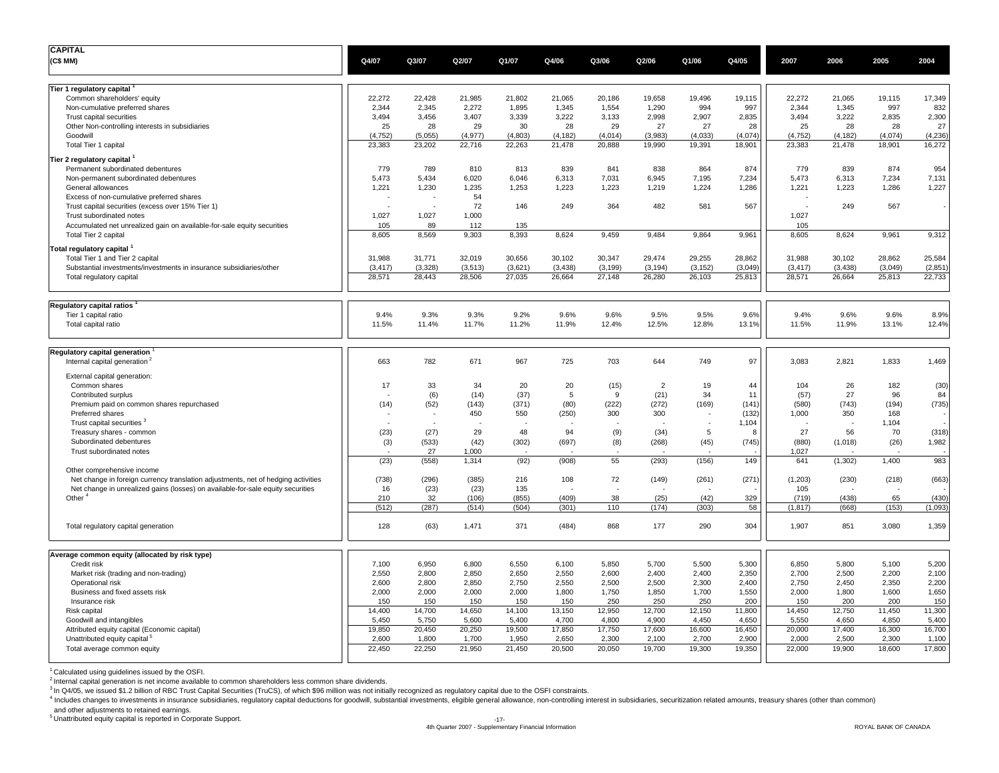| <b>CAPITAL</b><br>(C\$MM)                                                                      | Q4/07                | Q3/07           | Q2/07           | Q1/07           | Q4/06           | Q3/06           | Q2/06           | Q1/06           | Q4/05           | 2007            | 2006            | 2005            | 2004            |
|------------------------------------------------------------------------------------------------|----------------------|-----------------|-----------------|-----------------|-----------------|-----------------|-----------------|-----------------|-----------------|-----------------|-----------------|-----------------|-----------------|
|                                                                                                |                      |                 |                 |                 |                 |                 |                 |                 |                 |                 |                 |                 |                 |
| Tier 1 regulatory capital                                                                      |                      |                 | 21,985          |                 |                 |                 |                 |                 |                 | 22,272          |                 |                 | 17,349          |
| Common shareholders' equity<br>Non-cumulative preferred shares                                 | 22,272<br>2,344      | 22,428<br>2,345 | 2,272           | 21,802<br>1,895 | 21,065<br>1,345 | 20,186<br>1,554 | 19,658<br>1,290 | 19,496<br>994   | 19,115<br>997   | 2,344           | 21,065<br>1,345 | 19,115<br>997   | 832             |
| Trust capital securities                                                                       | 3,494                | 3,456           | 3,407           | 3,339           | 3,222           | 3,133           | 2,998           | 2,907           | 2,835           | 3,494           | 3,222           | 2,835           | 2,300           |
| Other Non-controlling interests in subsidiaries                                                | 25                   | 28              | 29              | 30              | 28              | 29              | 27              | 27              | 28              | 25              | 28              | 28              | 27              |
| Goodwill                                                                                       | (4, 752)             | (5,055)         | (4, 977)        | (4,803)         | (4, 182)        | (4,014)         | (3,983)         | (4,033)         | (4,074)         | (4, 752)        | (4, 182)        | (4,074)         | (4, 236)        |
| Total Tier 1 capital                                                                           | 23,383               | 23,202          | 22,716          | 22,263          | 21,478          | 20,888          | 19,990          | 19,391          | 18,901          | 23,383          | 21,478          | 18,901          | 16,272          |
| Tier 2 regulatory capital                                                                      |                      |                 |                 |                 |                 |                 |                 |                 |                 |                 |                 |                 |                 |
| Permanent subordinated debentures                                                              | 779                  | 789             | 810             | 813             | 839             | 841             | 838             | 864             | 874             | 779             | 839             | 874             | 954             |
| Non-permanent subordinated debentures                                                          | 5,473                | 5,434           | 6,020           | 6,046           | 6,313           | 7,031           | 6,945           | 7,195           | 7,234           | 5,473           | 6,313           | 7,234           | 7,131           |
| General allowances                                                                             | 1,221                | 1,230           | 1,235           | 1,253           | 1,223           | 1,223           | 1,219           | 1,224           | 1,286           | 1,221           | 1,223           | 1,286           | 1,227           |
| Excess of non-cumulative preferred shares<br>Trust capital securities (excess over 15% Tier 1) |                      |                 | 54<br>72        | 146             | 249             | 364             | 482             | 581             | 567             |                 | 249             | 567             |                 |
| Trust subordinated notes                                                                       | 1,027                | 1,027           | 1,000           |                 |                 |                 |                 |                 |                 | 1,027           |                 |                 |                 |
| Accumulated net unrealized gain on available-for-sale equity securities                        | 105                  | 89              | 112             | 135             |                 |                 |                 |                 |                 | 105             |                 |                 |                 |
| Total Tier 2 capital                                                                           | 8,605                | 8,569           | 9,303           | 8,393           | 8,624           | 9,459           | 9,484           | 9,864           | 9,961           | 8,605           | 8,624           | 9,961           | 9,312           |
| <b>Total regulatory capital</b>                                                                |                      |                 |                 |                 |                 |                 |                 |                 |                 |                 |                 |                 |                 |
| Total Tier 1 and Tier 2 capital                                                                | 31,988               | 31,771          | 32,019          | 30,656          | 30,102          | 30,347          | 29,474          | 29,255          | 28,862          | 31,988          | 30,102          | 28,862          | 25,584          |
| Substantial investments/investments in insurance subsidiaries/other                            | (3, 417)             | (3,328)         | (3,513)         | (3,621)         | (3, 438)        | (3, 199)        | (3, 194)        | (3, 152)        | (3,049)         | (3, 417)        | (3, 438)        | (3,049)         | (2, 851)        |
| Total regulatory capital                                                                       | 28,571               | 28,443          | 28,506          | 27,035          | 26,664          | 27,148          | 26,280          | 26,103          | 25,813          | 28,571          | 26,664          | 25,813          | 22,733          |
| <b>Regulatory capital ratios</b>                                                               |                      |                 |                 |                 |                 |                 |                 |                 |                 |                 |                 |                 |                 |
| Tier 1 capital ratio                                                                           | 9.4%                 | 9.3%            | 9.3%            | 9.2%            | 9.6%            | 9.6%            | 9.5%            | 9.5%            | 9.6%            | 9.4%            | 9.6%            | 9.6%            | 8.9%            |
| Total capital ratio                                                                            | 11.5%                | 11.4%           | 11.7%           | 11.2%           | 11.9%           | 12.4%           | 12.5%           | 12.8%           | 13.1%           | 11.5%           | 11.9%           | 13.1%           | 12.4%           |
| Regulatory capital generation                                                                  |                      |                 |                 |                 |                 |                 |                 |                 |                 |                 |                 |                 |                 |
| Internal capital generation <sup>2</sup>                                                       | 663                  | 782             | 671             | 967             | 725             | 703             | 644             | 749             | 97              | 3,083           | 2,821           | 1,833           | 1,469           |
| External capital generation:<br>Common shares                                                  | 17                   | 33              | 34              | 20              | 20              | (15)            | $\overline{2}$  | 19              | 44              | 104             | 26              | 182             | (30)            |
| Contributed surplus                                                                            |                      | (6)             | (14)            | (37)            | 5               | 9               | (21)            | 34              | 11              | (57)            | 27              | 96              | 84              |
| Premium paid on common shares repurchased                                                      | (14)                 | (52)            | (143)           | (371)           | (80)            | (222)           | (272)           | (169)           | (141)           | (580)           | (743)           | (194)           | (735)           |
| Preferred shares                                                                               |                      |                 | 450             | 550             | (250)           | 300             | 300             |                 | (132)           | 1,000           | 350             | 168             |                 |
| Trust capital securities <sup>3</sup>                                                          | $\ddot{\phantom{1}}$ |                 |                 |                 |                 |                 |                 | $\sim$          | 1,104           |                 | $\overline{a}$  | 1,104           |                 |
| Treasury shares - common                                                                       | (23)                 | (27)            | 29              | 48              | 94              | (9)             | (34)            | 5               | 8               | 27              | 56              | 70              | (318)           |
| Subordinated debentures                                                                        | (3)                  | (533)           | (42)            | (302)           | (697)           | (8)             | (268)           | (45)            | (745)           | (880)           | (1,018)         | (26)            | 1,982           |
| Trust subordinated notes                                                                       | (23)                 | 27<br>(558)     | 1,000<br>1,314  | (92)            | (908)           | 55              | (293)           | (156)           | 149             | 1,027           | (1, 302)        | 1,400           | 983             |
| Other comprehensive income                                                                     |                      |                 |                 |                 |                 |                 |                 |                 |                 | 641             |                 |                 |                 |
| Net change in foreign currency translation adjustments, net of hedging activities              | (738)                | (296)           | (385)           | 216             | 108             | 72              | (149)           | (261)           | (271)           | (1, 203)        | (230)           | (218)           | (663)           |
| Net change in unrealized gains (losses) on available-for-sale equity securities                | 16                   | (23)            | (23)            | 135             |                 |                 |                 |                 |                 | 105             |                 |                 |                 |
| Other <sup>4</sup>                                                                             | 210                  | 32              | (106)           | (855)           | (409)           | 38              | (25)            | (42)            | 329             | (719)           | (438)           | 65              | (430)           |
|                                                                                                | (512)                | (287)           | (514)           | (504)           | (301)           | 110             | (174)           | (303)           | 58              | (1, 817)        | (668)           | (153)           | (1,093)         |
| Total regulatory capital generation                                                            | 128                  | (63)            | 1,471           | 371             | (484)           | 868             | 177             | 290             | 304             | 1,907           | 851             | 3,080           | 1,359           |
| Average common equity (allocated by risk type)                                                 |                      |                 |                 |                 |                 |                 |                 |                 |                 |                 |                 |                 |                 |
| Credit risk                                                                                    | 7,100                | 6,950           | 6,800           | 6,550           | 6,100           | 5,850           | 5,700           | 5,500           | 5,300           | 6,850           | 5,800           | 5,100           | 5,200           |
| Market risk (trading and non-trading)                                                          | 2,550                | 2,800           | 2,850           | 2,650           | 2,550           | 2,600           | 2,400           | 2,400           | 2,350           | 2,700           | 2,500           | 2,200           | 2,100           |
| Operational risk                                                                               | 2,600                | 2,800           | 2,850           | 2,750           | 2,550           | 2,500           | 2,500           | 2,300           | 2,400           | 2,750           | 2,450           | 2,350           | 2,200           |
| Business and fixed assets risk                                                                 | 2,000                | 2,000           | 2,000           | 2,000           | 1,800           | 1,750           | 1,850           | 1,700           | 1,550           | 2,000           | 1,800           | 1,600           | 1,650           |
| Insurance risk                                                                                 | 150                  | 150             | 150             | 150             | 150             | 250             | 250             | 250             | 200             | 150             | 200             | 200             | 150             |
| Risk capital<br>Goodwill and intangibles                                                       | 14,400<br>5,450      | 14,700<br>5,750 | 14,650<br>5,600 | 14,100<br>5,400 | 13,150<br>4,700 | 12,950<br>4,800 | 12,700<br>4,900 | 12,150<br>4,450 | 11,800<br>4,650 | 14,450<br>5,550 | 12,750<br>4,650 | 11,450<br>4,850 | 11,300<br>5,400 |
| Attributed equity capital (Economic capital)                                                   | 19,850               | 20,450          | 20,250          | 19,500          | 17,850          | 17,750          | 17,600          | 16,600          | 16,450          | 20,000          | 17,400          | 16,300          | 16,700          |
| Unattributed equity capital <sup>5</sup>                                                       | 2,600                | 1,800           | 1,700           | 1,950           | 2,650           | 2,300           | 2,100           | 2,700           | 2,900           | 2,000           | 2,500           | 2,300           | 1,100           |
| Total average common equity                                                                    | 22,450               | 22,250          | 21,950          | 21,450          | 20,500          | 20,050          | 19,700          | 19,300          | 19,350          | 22,000          | 19,900          | 18,600          | 17,800          |
|                                                                                                |                      |                 |                 |                 |                 |                 |                 |                 |                 |                 |                 |                 |                 |

<sup>1</sup> Calculated using guidelines issued by the OSFI.

<sup>2</sup> Internal capital generation is net income available to common shareholders less common share dividends.<br><sup>3</sup> In Q4/05, we issued \$1.2 billion of RBC Trust Capital Securities (TruCS), of which \$96 million was not initial

4 Includes changes to investments in insurance subsidiaries, regulatory capital deductions for goodwill, substantial investments, eligible general allowance, non-controlling interest in subsidiaries, securitization related

and other adjustments to retained earnings.

 $5$  Unattributed equity capital is reported in Corporate Support.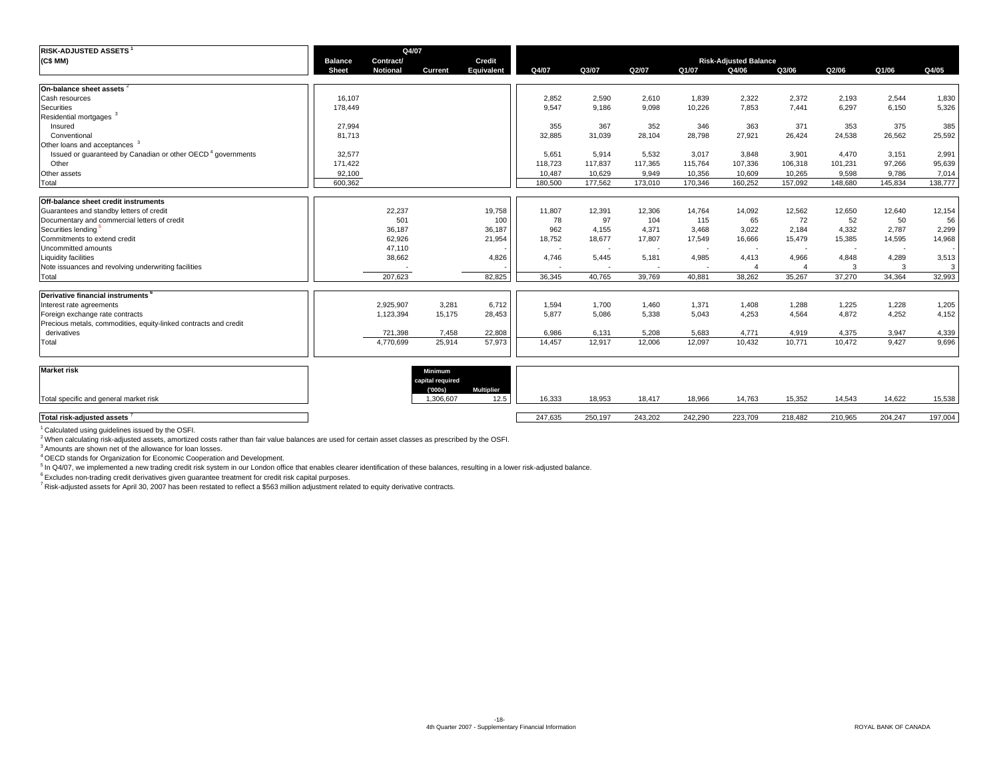| <b>RISK-ADJUSTED ASSETS</b>                                             |                                | Q4/07                        |                             |                           |         |                          |                          |                          |                                       |                |                          |                          |         |
|-------------------------------------------------------------------------|--------------------------------|------------------------------|-----------------------------|---------------------------|---------|--------------------------|--------------------------|--------------------------|---------------------------------------|----------------|--------------------------|--------------------------|---------|
| (C\$MM)                                                                 | <b>Balance</b><br><b>Sheet</b> | Contract/<br><b>Notional</b> | <b>Current</b>              | Credit<br>Equivalent      | Q4/07   | Q3/07                    | Q2/07                    | Q1/07                    | <b>Risk-Adjusted Balance</b><br>Q4/06 | Q3/06          | Q2/06                    | Q1/06                    | Q4/05   |
| On-balance sheet assets <sup>2</sup>                                    |                                |                              |                             |                           |         |                          |                          |                          |                                       |                |                          |                          |         |
| Cash resources                                                          | 16.107                         |                              |                             |                           | 2.852   | 2.590                    | 2,610                    | 1.839                    | 2,322                                 | 2,372          | 2,193                    | 2,544                    | 1,830   |
| Securities                                                              | 178,449                        |                              |                             |                           | 9,547   | 9,186                    | 9,098                    | 10,226                   | 7,853                                 | 7,441          | 6,297                    | 6,150                    | 5,326   |
| Residential mortgages <sup>3</sup>                                      |                                |                              |                             |                           |         |                          |                          |                          |                                       |                |                          |                          |         |
| Insured                                                                 | 27,994                         |                              |                             |                           | 355     | 367                      | 352                      | 346                      | 363                                   | 371            | 353                      | 375                      | 385     |
| Conventional                                                            | 81.713                         |                              |                             |                           | 32,885  | 31,039                   | 28,104                   | 28,798                   | 27,921                                | 26,424         | 24,538                   | 26,562                   | 25,592  |
| Other loans and acceptances <sup>3</sup>                                |                                |                              |                             |                           |         |                          |                          |                          |                                       |                |                          |                          |         |
| Issued or quaranteed by Canadian or other OECD <sup>4</sup> governments | 32.577                         |                              |                             |                           | 5.651   | 5.914                    | 5.532                    | 3,017                    | 3,848                                 | 3,901          | 4.470                    | 3.151                    | 2,991   |
| Other                                                                   | 171,422                        |                              |                             |                           | 118,723 | 117.837                  | 117,365                  | 115,764                  | 107,336                               | 106,318        | 101,231                  | 97,266                   | 95,639  |
| Other assets                                                            | 92,100                         |                              |                             |                           | 10,487  | 10,629                   | 9,949                    | 10,356                   | 10,609                                | 10,265         | 9,598                    | 9,786                    | 7,014   |
| Total                                                                   | 600,362                        |                              |                             |                           | 180,500 | 177,562                  | 173,010                  | 170,346                  | 160,252                               | 157,092        | 148,680                  | 145,834                  | 138,777 |
| Off-balance sheet credit instruments                                    |                                |                              |                             |                           |         |                          |                          |                          |                                       |                |                          |                          |         |
| Guarantees and standby letters of credit                                |                                | 22,237                       |                             | 19,758                    | 11,807  | 12,391                   | 12,306                   | 14,764                   | 14,092                                | 12,562         | 12,650                   | 12,640                   | 12,154  |
| Documentary and commercial letters of credit                            |                                | 501                          |                             | 100                       | 78      | 97                       | 104                      | 115                      | 65                                    | 72             | 52                       | 50                       | 56      |
| Securities lending                                                      |                                | 36,187                       |                             | 36,187                    | 962     | 4,155                    | 4,371                    | 3,468                    | 3,022                                 | 2,184          | 4,332                    | 2,787                    | 2,299   |
| Commitments to extend credit                                            |                                | 62,926                       |                             | 21,954                    | 18,752  | 18,677                   | 17,807                   | 17,549                   | 16,666                                | 15,479         | 15,385                   | 14,595                   | 14,968  |
| Uncommitted amounts                                                     |                                | 47,110                       |                             |                           | $\sim$  | $\overline{\phantom{a}}$ | $\overline{\phantom{a}}$ | $\overline{\phantom{a}}$ | $\overline{\phantom{a}}$              | ٠              | $\overline{\phantom{a}}$ | $\overline{\phantom{a}}$ |         |
| Liquidity facilities                                                    |                                | 38,662                       |                             | 4,826                     | 4,746   | 5,445                    | 5,181                    | 4,985                    | 4,413                                 | 4,966          | 4,848                    | 4,289                    | 3,513   |
| Note issuances and revolving underwriting facilities                    |                                |                              |                             |                           |         | $\overline{\phantom{a}}$ | $\overline{\phantom{a}}$ | $\overline{\phantom{a}}$ |                                       | $\overline{4}$ | 3                        | 3                        | 3       |
| Total                                                                   |                                | 207.623                      |                             | 82,825                    | 36.345  | 40.765                   | 39.769                   | 40.881                   | 38,262                                | 35,267         | 37,270                   | 34,364                   | 32,993  |
| Derivative financial instruments                                        |                                |                              |                             |                           |         |                          |                          |                          |                                       |                |                          |                          |         |
| Interest rate agreements                                                |                                | 2,925,907                    | 3,281                       | 6,712                     | 1,594   | 1,700                    | 1,460                    | 1,371                    | 1,408                                 | 1,288          | 1,225                    | 1,228                    | 1,205   |
| Foreign exchange rate contracts                                         |                                | 1,123,394                    | 15,175                      | 28,453                    | 5,877   | 5,086                    | 5,338                    | 5,043                    | 4,253                                 | 4,564          | 4,872                    | 4,252                    | 4,152   |
| Precious metals, commodities, equity-linked contracts and credit        |                                |                              |                             |                           |         |                          |                          |                          |                                       |                |                          |                          |         |
| derivatives                                                             |                                | 721,398                      | 7,458                       | 22,808                    | 6.986   | 6.131                    | 5.208                    | 5.683                    | 4,771                                 | 4,919          | 4,375                    | 3,947                    | 4,339   |
| Total                                                                   |                                | 4,770,699                    | 25,914                      | 57.973                    | 14,457  | 12,917                   | 12,006                   | 12,097                   | 10,432                                | 10,771         | 10,472                   | 9.427                    | 9,696   |
|                                                                         |                                |                              |                             |                           |         |                          |                          |                          |                                       |                |                          |                          |         |
| <b>Market risk</b>                                                      |                                |                              | Minimum<br>capital required |                           |         |                          |                          |                          |                                       |                |                          |                          |         |
| Total specific and general market risk                                  |                                |                              | (000s)<br>1,306,607         | <b>Multiplier</b><br>12.5 | 16,333  | 18,953                   | 18,417                   | 18,966                   | 14,763                                | 15,352         | 14,543                   | 14,622                   | 15,538  |
|                                                                         |                                |                              |                             |                           |         |                          |                          |                          |                                       |                |                          |                          |         |
| Total risk-adjusted assets                                              |                                |                              |                             |                           | 247.635 | 250.197                  | 243.202                  | 242.290                  | 223.709                               | 218.482        | 210.965                  | 204.247                  | 197.004 |

<sup>1</sup> Calculated using guidelines issued by the OSFI.

<sup>2</sup> When calculating risk-adjusted assets, amortized costs rather than fair value balances are used for certain asset classes as prescribed by the OSFI.<br><sup>3</sup> Amounts are shown net of the allowance for loan losses.

4 OECD stands for Organization for Economic Cooperation and Development.

5 In Q4/07, we implemented a new trading credit risk system in our London office that enables clearer identification of these balances, resulting in a lower risk-adjusted balance.

 $6$  Excludes non-trading credit derivatives given guarantee treatment for credit risk capital purposes.

7 Risk-adjusted assets for April 30, 2007 has been restated to reflect a \$563 million adjustment related to equity derivative contracts.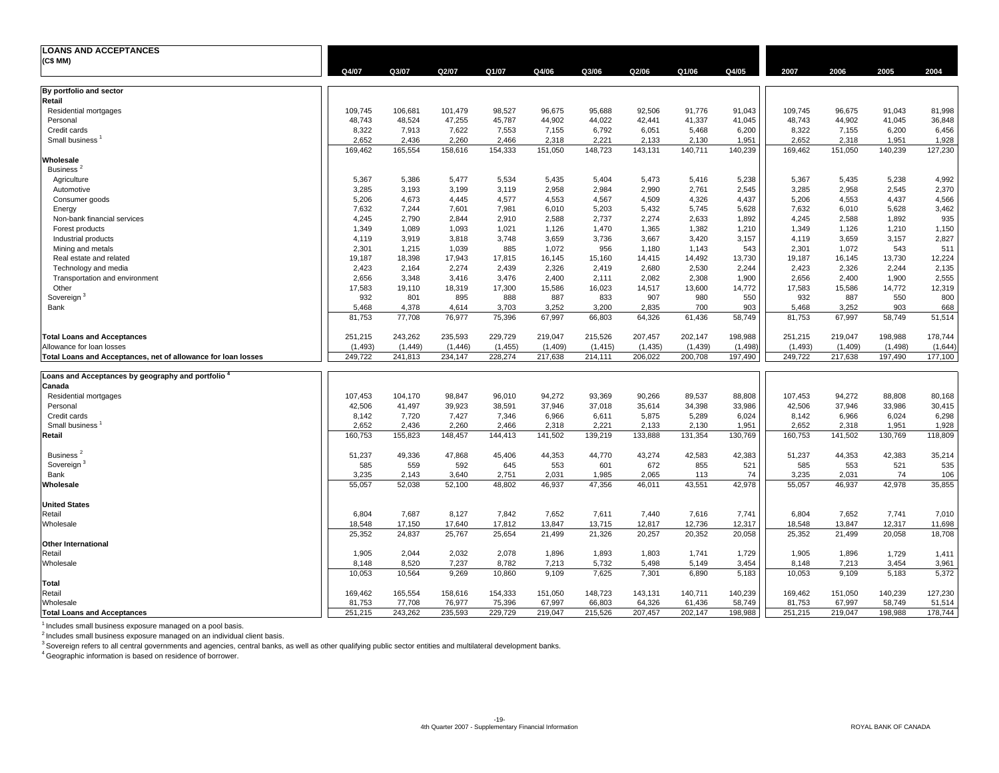| <b>LOANS AND ACCEPTANCES</b>                                  |          |         |          |          |         |          |          |         |          |          |         |          |         |
|---------------------------------------------------------------|----------|---------|----------|----------|---------|----------|----------|---------|----------|----------|---------|----------|---------|
| (C\$ MM)                                                      |          |         |          |          |         |          |          |         |          |          |         |          |         |
|                                                               | Q4/07    | Q3/07   | Q2/07    | Q1/07    | Q4/06   | Q3/06    | Q2/06    | Q1/06   | Q4/05    | 2007     | 2006    | 2005     | 2004    |
|                                                               |          |         |          |          |         |          |          |         |          |          |         |          |         |
| By portfolio and sector<br>Retail                             |          |         |          |          |         |          |          |         |          |          |         |          |         |
| Residential mortgages                                         | 109,745  | 106,681 | 101.479  | 98,527   | 96,675  | 95,688   | 92,506   | 91,776  | 91,043   | 109,745  | 96,675  | 91,043   | 81,998  |
| Personal                                                      | 48,743   | 48,524  | 47,255   | 45,787   | 44,902  | 44,022   | 42,441   | 41,337  | 41,045   | 48,743   | 44,902  | 41,045   | 36,848  |
| Credit cards                                                  | 8,322    | 7,913   | 7,622    | 7,553    | 7,155   | 6,792    | 6,051    | 5,468   | 6,200    | 8,322    | 7,155   | 6,200    | 6,456   |
| Small business                                                | 2,652    | 2,436   | 2,260    | 2,466    | 2,318   | 2,221    | 2,133    | 2,130   | 1,951    | 2,652    | 2,318   | 1,951    | 1,928   |
|                                                               | 169,462  | 165,554 | 158,616  | 154,333  | 151,050 | 148,723  | 143,131  | 140,711 | 140,239  | 169,462  | 151,050 | 140,239  | 127,230 |
| Wholesale                                                     |          |         |          |          |         |          |          |         |          |          |         |          |         |
| Business <sup>2</sup>                                         |          |         |          |          |         |          |          |         |          |          |         |          |         |
| Agriculture                                                   | 5,367    | 5,386   | 5,477    | 5,534    | 5,435   | 5,404    | 5,473    | 5,416   | 5,238    | 5,367    | 5,435   | 5,238    | 4,992   |
| Automotive                                                    | 3,285    | 3,193   | 3,199    | 3,119    | 2,958   | 2,984    | 2,990    | 2,761   | 2,545    | 3,285    | 2,958   | 2,545    | 2,370   |
| Consumer goods                                                | 5,206    | 4,673   | 4,445    | 4,577    | 4,553   | 4,567    | 4,509    | 4,326   | 4,437    | 5,206    | 4,553   | 4,437    | 4,566   |
| Energy                                                        | 7,632    | 7,244   | 7,601    | 7,981    | 6,010   | 5,203    | 5,432    | 5,745   | 5,628    | 7,632    | 6,010   | 5,628    | 3,462   |
| Non-bank financial services                                   | 4,245    | 2,790   | 2,844    | 2,910    | 2,588   | 2,737    | 2,274    | 2,633   | 1,892    | 4,245    | 2,588   | 1,892    | 935     |
| Forest products                                               | 1,349    | 1,089   | 1,093    | 1,021    | 1,126   | 1,470    | 1,365    | 1,382   | 1,210    | 1,349    | 1,126   | 1,210    | 1,150   |
| Industrial products                                           | 4,119    | 3.919   | 3,818    | 3,748    | 3,659   | 3,736    | 3,667    | 3,420   | 3,157    | 4,119    | 3,659   | 3,157    | 2,827   |
| Mining and metals                                             | 2,301    | 1,215   | 1,039    | 885      | 1,072   | 956      | 1,180    | 1,143   | 543      | 2,301    | 1,072   | 543      | 511     |
| Real estate and related                                       | 19,187   | 18,398  | 17,943   | 17,815   | 16,145  | 15,160   | 14,415   | 14,492  | 13,730   | 19,187   | 16,145  | 13,730   | 12,224  |
| Technology and media                                          | 2,423    | 2,164   | 2,274    | 2,439    | 2,326   | 2,419    | 2,680    | 2,530   | 2,244    | 2,423    | 2,326   | 2,244    | 2,135   |
| Transportation and environment                                | 2,656    | 3,348   | 3,416    | 3,476    | 2,400   | 2,111    | 2,082    | 2,308   | 1,900    | 2,656    | 2,400   | 1,900    | 2,555   |
| Other                                                         | 17,583   | 19,110  | 18,319   | 17,300   | 15,586  | 16,023   | 14,517   | 13,600  | 14,772   | 17,583   | 15,586  | 14,772   | 12,319  |
| Sovereign <sup>3</sup>                                        | 932      | 801     | 895      | 888      | 887     | 833      | 907      | 980     | 550      | 932      | 887     | 550      | 800     |
| Bank                                                          | 5,468    | 4,378   | 4,614    | 3,703    | 3,252   | 3,200    | 2,835    | 700     | 903      | 5,468    | 3,252   | 903      | 668     |
|                                                               | 81,753   | 77,708  | 76,977   | 75,396   | 67,997  | 66,803   | 64,326   | 61,436  | 58,749   | 81,753   | 67,997  | 58,749   | 51,514  |
| <b>Total Loans and Acceptances</b>                            | 251,215  | 243,262 | 235,593  | 229,729  | 219,047 | 215,526  | 207,457  | 202,147 | 198,988  | 251,215  | 219,047 | 198,988  | 178,744 |
| Allowance for loan losses                                     | (1, 493) | (1,449) | (1, 446) | (1, 455) | (1,409) | (1, 415) | (1, 435) | (1,439) | (1, 498) | (1, 493) | (1,409) | (1, 498) | (1,644) |
| Total Loans and Acceptances, net of allowance for loan losses | 249,722  | 241,813 | 234,147  | 228,274  | 217,638 | 214,111  | 206,022  | 200,708 | 197,490  | 249,722  | 217,638 | 197,490  | 177,100 |
| Loans and Acceptances by geography and portfolio              |          |         |          |          |         |          |          |         |          |          |         |          |         |
| Canada                                                        |          |         |          |          |         |          |          |         |          |          |         |          |         |
| Residential mortgages                                         | 107,453  | 104,170 | 98,847   | 96,010   | 94,272  | 93,369   | 90,266   | 89,537  | 88,808   | 107,453  | 94,272  | 88,808   | 80,168  |
| Personal                                                      | 42,506   | 41,497  | 39,923   | 38,591   | 37,946  | 37,018   | 35,614   | 34,398  | 33,986   | 42,506   | 37,946  | 33,986   | 30,415  |
| Credit cards                                                  | 8,142    | 7,720   | 7,427    | 7,346    | 6,966   | 6,611    | 5,875    | 5,289   | 6,024    | 8,142    | 6,966   | 6,024    | 6,298   |
| Small business <sup>1</sup>                                   | 2,652    | 2,436   | 2,260    | 2,466    | 2,318   | 2,221    | 2,133    | 2,130   | 1,951    | 2,652    | 2,318   | 1,951    | 1,928   |
| Retail                                                        | 160,753  | 155,823 | 148,457  | 144,413  | 141,502 | 139,219  | 133,888  | 131,354 | 130,769  | 160,753  | 141,502 | 130,769  | 118,809 |
| Business <sup>2</sup>                                         | 51,237   | 49,336  | 47,868   | 45,406   | 44,353  | 44,770   | 43,274   | 42,583  | 42,383   | 51,237   | 44,353  | 42,383   | 35,214  |
| Sovereign <sup>3</sup>                                        | 585      | 559     | 592      | 645      | 553     | 601      | 672      | 855     | 521      | 585      | 553     | 521      | 535     |
| Bank                                                          | 3,235    | 2,143   | 3,640    | 2,751    | 2,031   | 1,985    | 2,065    | 113     | 74       | 3,235    | 2,031   | 74       | 106     |
| Wholesale                                                     | 55,057   | 52,038  | 52,100   | 48,802   | 46,937  | 47,356   | 46,011   | 43,551  | 42,978   | 55,057   | 46,937  | 42,978   | 35,855  |
| <b>United States</b>                                          |          |         |          |          |         |          |          |         |          |          |         |          |         |
| Retail                                                        | 6,804    | 7,687   | 8,127    | 7,842    | 7,652   | 7,611    | 7,440    | 7,616   | 7,741    | 6,804    | 7,652   | 7,741    | 7,010   |
| Wholesale                                                     | 18.548   | 17,150  | 17,640   | 17,812   | 13,847  | 13,715   | 12,817   | 12,736  | 12,317   | 18,548   | 13,847  | 12,317   | 11,698  |
|                                                               | 25,352   | 24,837  | 25,767   | 25,654   | 21,499  | 21,326   | 20,257   | 20,352  | 20,058   | 25,352   | 21,499  | 20,058   | 18,708  |
| <b>Other International</b>                                    |          |         |          |          |         |          |          |         |          |          |         |          |         |
| Retail                                                        | 1,905    | 2,044   | 2,032    | 2,078    | 1,896   | 1,893    | 1,803    | 1,741   | 1,729    | 1,905    | 1,896   | 1,729    | 1,411   |
| Wholesale                                                     | 8,148    | 8,520   | 7,237    | 8,782    | 7,213   | 5,732    | 5,498    | 5,149   | 3,454    | 8,148    | 7,213   | 3,454    | 3,961   |
|                                                               | 10,053   | 10,564  | 9.269    | 10,860   | 9,109   | 7,625    | 7,301    | 6,890   | 5,183    | 10,053   | 9,109   | 5,183    | 5,372   |
| Total                                                         |          |         |          |          |         |          |          |         |          |          |         |          |         |
| Retail                                                        | 169,462  | 165,554 | 158,616  | 154,333  | 151,050 | 148,723  | 143,131  | 140,711 | 140,239  | 169,462  | 151,050 | 140,239  | 127,230 |
| Wholesale                                                     | 81,753   | 77.708  | 76,977   | 75,396   | 67,997  | 66,803   | 64,326   | 61,436  | 58,749   | 81,753   | 67,997  | 58,749   | 51,514  |
| <b>Total Loans and Acceptances</b>                            | 251.215  | 243,262 | 235,593  | 229,729  | 219.047 | 215,526  | 207.457  | 202.147 | 198,988  | 251,215  | 219.047 | 198,988  | 178,744 |

 $<sup>1</sup>$  Includes small business exposure managed on a pool basis.</sup>

<sup>2</sup> Includes small business exposure managed on an individual client basis.<br><sup>3</sup> Sovereign refers to all central governments and agencies, central banks, as well as other qualifying public sector entities and multilateral d

4 Geographic information is based on residence of borrower.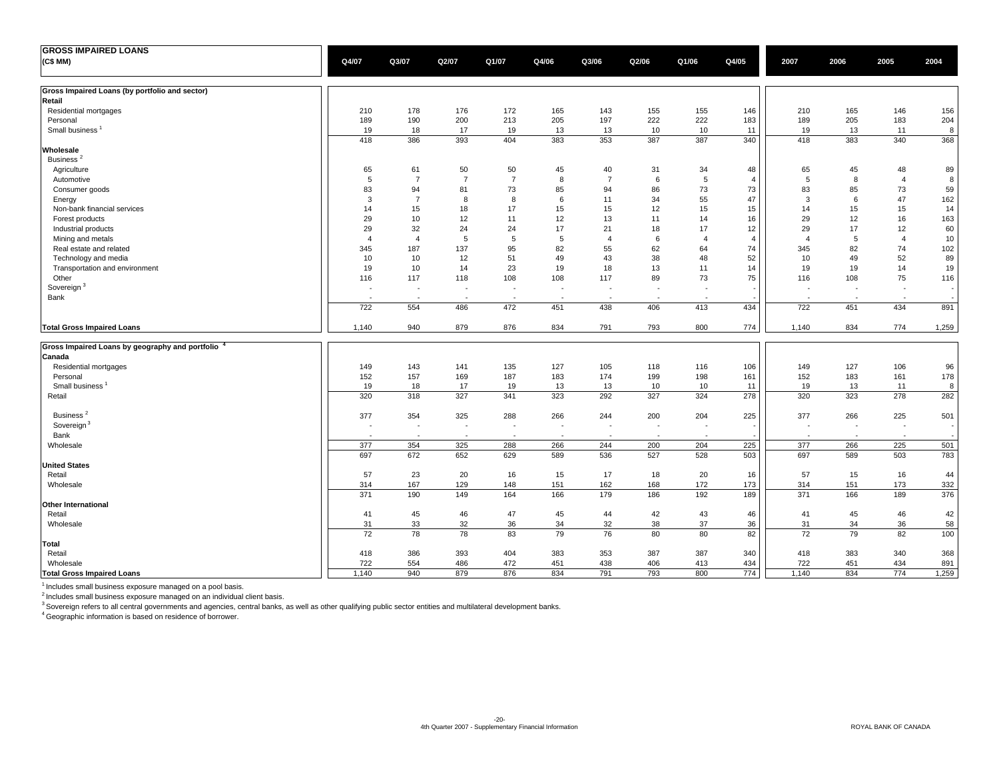| <b>GROSS IMPAIRED LOANS</b>                     |                          |                |                          |                |                          |                          |         |                          |                |                          |        |                          |       |
|-------------------------------------------------|--------------------------|----------------|--------------------------|----------------|--------------------------|--------------------------|---------|--------------------------|----------------|--------------------------|--------|--------------------------|-------|
| (C\$ MM)                                        | Q4/07                    | Q3/07          | Q2/07                    | Q1/07          | Q4/06                    | Q3/06                    | Q2/06   | Q1/06                    | Q4/05          | 2007                     | 2006   | 2005                     | 2004  |
|                                                 |                          |                |                          |                |                          |                          |         |                          |                |                          |        |                          |       |
| Gross Impaired Loans (by portfolio and sector)  |                          |                |                          |                |                          |                          |         |                          |                |                          |        |                          |       |
| Retail                                          |                          |                |                          |                |                          |                          |         |                          |                |                          |        |                          |       |
| Residential mortgages                           | 210                      | 178            | 176                      | 172            | 165                      | 143                      | 155     | 155                      | 146            | 210                      | 165    | 146                      | 156   |
| Personal                                        | 189                      | 190            | 200                      | 213            | 205                      | 197                      | 222     | 222                      | 183            | 189                      | 205    | 183                      | 204   |
| Small business <sup>1</sup>                     | 19                       | 18             | 17                       | 19             | 13                       | 13                       | 10      | 10                       | 11             | 19                       | 13     | 11                       | 8     |
| Wholesale                                       | 418                      | 386            | 393                      | 404            | 383                      | 353                      | 387     | 387                      | 340            | 418                      | 383    | 340                      | 368   |
| Business <sup>2</sup>                           |                          |                |                          |                |                          |                          |         |                          |                |                          |        |                          |       |
| Agriculture                                     | 65                       | 61             | 50                       | 50             | 45                       | 40                       | 31      | 34                       | 48             | 65                       | 45     | 48                       | 89    |
| Automotive                                      | $\overline{5}$           | $\overline{7}$ | $\overline{7}$           | $\overline{7}$ | 8                        | $\overline{7}$           | $\,6\,$ | 5                        | $\overline{4}$ | $\,$ 5 $\,$              | 8      | $\overline{4}$           | 8     |
| Consumer goods                                  | 83                       | 94             | 81                       | 73             | 85                       | 94                       | 86      | 73                       | 73             | 83                       | 85     | 73                       | 59    |
| Energy                                          | 3                        | $\overline{7}$ | 8                        | 8              | 6                        | 11                       | 34      | 55                       | 47             | 3                        | 6      | 47                       | 162   |
| Non-bank financial services                     | 14                       | 15             | 18                       | 17             | 15                       | 15                       | 12      | 15                       | 15             | 14                       | 15     | 15                       | 14    |
| Forest products                                 | 29                       | 10             | 12                       | 11             | 12                       | 13                       | 11      | 14                       | 16             | 29                       | 12     | 16                       | 163   |
| Industrial products                             | 29                       | 32             | 24                       | 24             | 17                       | 21                       | 18      | 17                       | 12             | 29                       | 17     | 12                       | 60    |
| Mining and metals                               | $\overline{4}$           | $\overline{4}$ | 5                        | 5              | 5                        | $\overline{4}$           | 6       | $\overline{4}$           | $\overline{4}$ | $\overline{4}$           | 5      | $\overline{4}$           | 10    |
| Real estate and related                         | 345                      | 187            | 137                      | 95             | 82                       | 55                       | 62      | 64                       | 74             | 345                      | 82     | 74                       | 102   |
| Technology and media                            | 10                       | 10             | 12                       | 51             | 49                       | 43                       | 38      | 48                       | 52             | 10                       | 49     | 52                       | 89    |
| Transportation and environment                  | 19                       | 10             | 14                       | 23             | 19                       | 18                       | 13      | 11                       | 14             | 19                       | 19     | 14                       | 19    |
| Other                                           | 116                      | 117            | 118                      | 108            | 108                      | 117                      | 89      | 73                       | 75             | 116                      | 108    | 75                       | 116   |
| Sovereign <sup>3</sup>                          |                          | $\sim$         | $\overline{\phantom{a}}$ | ÷,             |                          |                          |         |                          |                |                          |        | ÷,                       |       |
| Bank                                            | $\overline{\phantom{a}}$ | $\sim$         | $\overline{\phantom{a}}$ | $\sim$         | $\sim$                   | $\overline{\phantom{a}}$ | $\sim$  | $\overline{\phantom{a}}$ |                | $\overline{\phantom{a}}$ | $\sim$ | $\overline{\phantom{a}}$ |       |
|                                                 | 722                      | 554            | 486                      | 472            | 451                      | 438                      | 406     | 413                      | 434            | 722                      | 451    | 434                      | 891   |
| <b>Total Gross Impaired Loans</b>               | 1,140                    | 940            | 879                      | 876            | 834                      | 791                      | 793     | 800                      | 774            | 1,140                    | 834    | 774                      | 1,259 |
| Gross Impaired Loans by geography and portfolio |                          |                |                          |                |                          |                          |         |                          |                |                          |        |                          |       |
| Canada                                          |                          |                |                          |                |                          |                          |         |                          |                |                          |        |                          |       |
| Residential mortgages                           | 149                      | 143            | 141                      | 135            | 127                      | 105                      | 118     | 116                      | 106            | 149                      | 127    | 106                      | 96    |
| Personal                                        | 152                      | 157            | 169                      | 187            | 183                      | 174                      | 199     | 198                      | 161            | 152                      | 183    | 161                      | 178   |
| Small business <sup>1</sup>                     | 19                       | 18             | 17                       | 19             | 13                       | 13                       | 10      | 10                       | 11             | 19                       | 13     | 11                       | 8     |
| Retail                                          | 320                      | 318            | 327                      | 341            | 323                      | 292                      | 327     | 324                      | 278            | 320                      | 323    | 278                      | 282   |
| Business <sup>2</sup>                           | 377                      | 354            | 325                      | 288            | 266                      | 244                      | 200     | 204                      | 225            | 377                      | 266    | 225                      | 501   |
| Sovereign <sup>3</sup>                          | $\sim$                   | $\sim$         | $\overline{\phantom{a}}$ | $\sim$         | $\overline{\phantom{a}}$ | $\sim$                   | $\sim$  | $\overline{\phantom{a}}$ |                | $\overline{\phantom{a}}$ | $\sim$ | $\sim$                   |       |
| Bank                                            |                          | $\sim$         |                          | $\sim$         | $\sim$                   |                          | ÷,      |                          |                | $\overline{a}$           |        | $\sim$                   |       |
| Wholesale                                       | 377                      | 354            | 325                      | 288            | 266                      | 244                      | 200     | 204                      | 225            | 377                      | 266    | 225                      | 501   |
|                                                 | 697                      | 672            | 652                      | 629            | 589                      | 536                      | 527     | 528                      | 503            | 697                      | 589    | 503                      | 783   |
| <b>United States</b>                            |                          |                |                          |                |                          |                          |         |                          |                |                          |        |                          |       |
| Retail                                          | 57                       | 23             | 20                       | 16             | 15                       | 17                       | 18      | 20                       | 16             | 57                       | 15     | 16                       | 44    |
| Wholesale                                       | 314                      | 167            | 129                      | 148            | 151                      | 162                      | 168     | 172                      | 173            | 314                      | 151    | 173                      | 332   |
|                                                 | 371                      | 190            | 149                      | 164            | 166                      | 179                      | 186     | 192                      | 189            | 371                      | 166    | 189                      | 376   |
| <b>Other International</b>                      |                          |                |                          |                |                          |                          |         |                          |                |                          |        |                          |       |
| Retail                                          | 41                       | 45             | 46                       | 47             | 45                       | 44                       | 42      | 43                       | 46             | 41                       | 45     | 46                       | 42    |
| Wholesale                                       | 31                       | 33             | 32                       | 36             | 34                       | 32                       | 38      | 37                       | 36             | 31                       | 34     | 36                       | 58    |
|                                                 | 72                       | 78             | 78                       | 83             | 79                       | 76                       | 80      | 80                       | 82             | 72                       | 79     | 82                       | 100   |
| Total                                           |                          |                |                          |                |                          |                          |         |                          |                |                          |        |                          |       |
| Retail                                          | 418                      | 386            | 393                      | 404            | 383                      | 353                      | 387     | 387                      | 340            | 418                      | 383    | 340                      | 368   |
| Wholesale                                       | 722                      | 554            | 486                      | 472            | 451                      | 438                      | 406     | 413                      | 434            | 722                      | 451    | 434                      | 891   |
| <b>Total Gross Impaired Loans</b>               | 1.140                    | 940            | 879                      | 876            | 834                      | 791                      | 793     | 800                      | 774            | 1,140                    | 834    | 774                      | 1,259 |

<sup>1</sup> Includes small business exposure managed on a pool basis.<br><sup>2</sup> includes small business exposure managed on an individual client basis.<br><sup>3</sup> Sovereign refers to all central governments and agencies, central banks, as well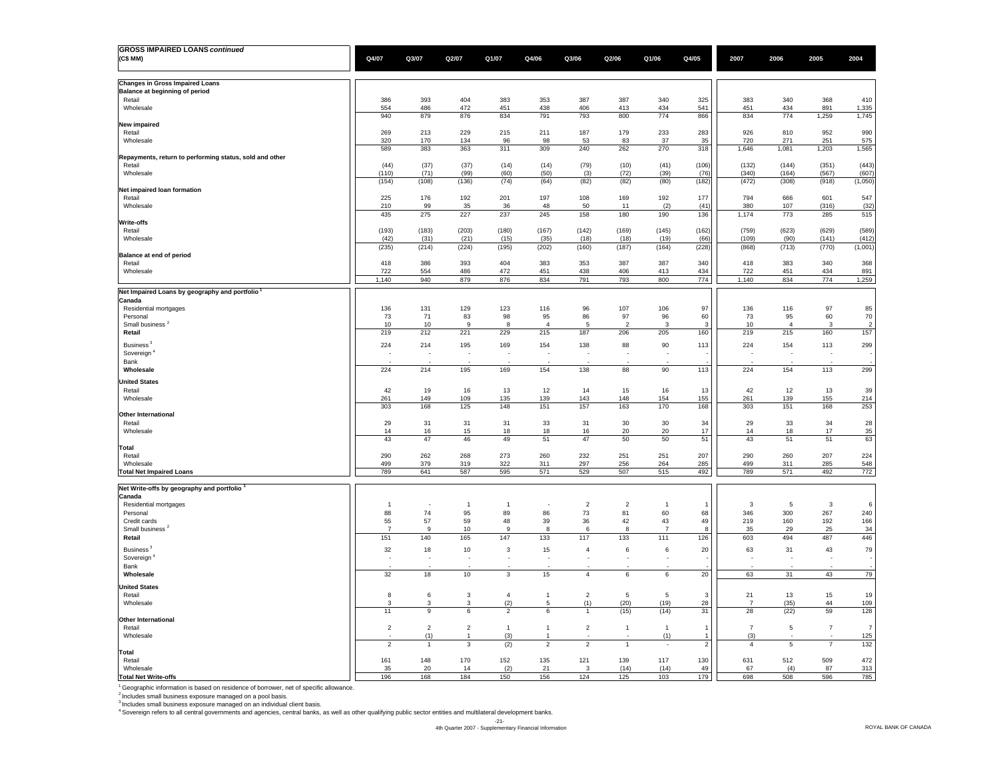| <b>GROSS IMPAIRED LOANS continued</b>                             |                                |                |                |                                          |                                |                |                          |                          |                |                                |               |                         |                  |
|-------------------------------------------------------------------|--------------------------------|----------------|----------------|------------------------------------------|--------------------------------|----------------|--------------------------|--------------------------|----------------|--------------------------------|---------------|-------------------------|------------------|
| (C\$ MM)                                                          | Q4/07                          | Q3/07          | Q2/07          | Q1/07                                    | Q4/06                          | Q3/06          | Q2/06                    | Q1/06                    | Q4/05          | 2007                           | 2006          | 2005                    | 2004             |
|                                                                   |                                |                |                |                                          |                                |                |                          |                          |                |                                |               |                         |                  |
| <b>Changes in Gross Impaired Loans</b>                            |                                |                |                |                                          |                                |                |                          |                          |                |                                |               |                         |                  |
| Balance at beginning of period                                    |                                |                |                |                                          |                                |                |                          |                          |                |                                |               |                         |                  |
| Retail                                                            | 386                            | 393            | 404            | 383                                      | 353                            | 387            | 387                      | 340                      | 325            | 383                            | 340           | 368                     | 410              |
| Wholesale                                                         | 554<br>940                     | 486<br>879     | 472<br>876     | 451<br>834                               | 438<br>791                     | 406<br>793     | 413<br>800               | 434<br>774               | 541<br>866     | 451<br>834                     | 434<br>774    | 891<br>1,259            | 1,335<br>1,745   |
| New impaired                                                      |                                |                |                |                                          |                                |                |                          |                          |                |                                |               |                         |                  |
| Retail                                                            | 269                            | 213            | 229            | 215                                      | 211                            | 187            | 179                      | 233                      | 283            | 926                            | 810           | 952                     | 990              |
| Wholesale                                                         | 320                            | 170            | 134            | 96                                       | 98                             | 53             | 83                       | 37                       | 35             | 720                            | 271           | 251                     | 575              |
|                                                                   | 589                            | 383            | 363            | 311                                      | 309                            | 240            | 262                      | 270                      | 318            | 1,646                          | 1,081         | 1,203                   | 1,565            |
| Repayments, return to performing status, sold and other<br>Retail | (44)                           | (37)           | (37)           | (14)                                     | (14)                           | (79)           | (10)                     | (41)                     | (106)          | (132)                          | (144)         | (351)                   | (443)            |
| Wholesale                                                         | (110)                          | (71)           | (99)           | (60)                                     | (50)                           | (3)            | (72)                     | (39)                     | (76)           | (340)                          | (164)         | (567)                   | (607)            |
|                                                                   | (154)                          | (108)          | (136)          | (74)                                     | (64)                           | (82)           | (82)                     | (80)                     | (182)          | (472)                          | (308)         | (918)                   | (1,050)          |
| Net impaired loan formation                                       |                                |                |                |                                          |                                |                |                          |                          |                |                                |               |                         |                  |
| Retail<br>Wholesale                                               | 225<br>210                     | 176<br>99      | 192<br>35      | 201<br>36                                | 197<br>48                      | 108<br>50      | 169<br>11                | 192<br>(2)               | 177<br>(41)    | 794<br>380                     | 666<br>107    | 601<br>(316)            | 547<br>(32)      |
|                                                                   | 435                            | 275            | 227            | 237                                      | 245                            | 158            | 180                      | 190                      | 136            | 1,174                          | 773           | 285                     | 515              |
| Write-offs                                                        |                                |                |                |                                          |                                |                |                          |                          |                |                                |               |                         |                  |
| Retail                                                            | (193)                          | (183)          | (203)          | (180)                                    | (167)                          | (142)          | (169)                    | (145)                    | (162)          | (759)                          | (623)         | (629)                   | (589)            |
| Wholesale                                                         | (42)<br>(235)                  | (31)<br>(214)  | (21)<br>(224)  | (15)<br>(195)                            | (35)<br>(202)                  | (18)<br>(160)  | (18)<br>(187)            | (19)<br>(164)            | (66)<br>(228)  | (109)<br>(868)                 | (90)<br>(713) | (141)<br>(770)          | (412)<br>(1,001) |
| Balance at end of period                                          |                                |                |                |                                          |                                |                |                          |                          |                |                                |               |                         |                  |
| Retail                                                            | 418                            | 386            | 393            | 404                                      | 383                            | 353            | 387                      | 387                      | 340            | 418                            | 383           | 340                     | 368              |
| Wholesale                                                         | 722                            | 554            | 486            | 472                                      | 451                            | 438            | 406                      | 413                      | 434            | 722                            | 451           | 434                     | 891              |
|                                                                   | 1,140                          | 940            | 879            | 876                                      | 834                            | 791            | 793                      | 800                      | 774            | 1,140                          | 834           | 774                     | 1,259            |
| Net Impaired Loans by geography and portfolio                     |                                |                |                |                                          |                                |                |                          |                          |                |                                |               |                         |                  |
| Canada                                                            |                                |                |                |                                          |                                |                |                          |                          |                |                                |               |                         |                  |
| Residential mortgages<br>Personal                                 | 136<br>73                      | 131<br>71      | 129<br>83      | 123<br>98                                | 116<br>95                      | 96<br>86       | 107<br>97                | 106<br>96                | 97<br>60       | 136<br>73                      | 116<br>95     | 97<br>60                | 85<br>70         |
| Small business <sup>2</sup>                                       | 10                             | $10$           | -9             | 8                                        | $\overline{4}$                 | 5              | $\overline{\phantom{0}}$ | 3                        | 3              | 10                             | $\mathbf{A}$  | 3                       | $\overline{2}$   |
| Retail                                                            | 219                            | 212            | 221            | 229                                      | 215                            | 187            | 206                      | 205                      | 160            | 219                            | 215           | 160                     | 157              |
| Business <sup>3</sup>                                             | 224                            | 214            | 195            | 169                                      | 154                            | 138            | 88                       | 90                       | 113            | 224                            | 154           | 113                     | 299              |
| Sovereign <sup>4</sup>                                            |                                |                | $\sim$         | ÷                                        | $\overline{\phantom{a}}$       | ÷              |                          | $\overline{\phantom{a}}$ |                | ÷                              |               | $\sim$                  |                  |
| Bank                                                              |                                |                |                |                                          |                                |                |                          |                          |                |                                |               |                         |                  |
| Wholesale                                                         | 224                            | 214            | 195            | 169                                      | 154                            | 138            | 88                       | 90                       | 113            | 224                            | 154           | 113                     | 299              |
| <b>United States</b>                                              |                                |                |                |                                          |                                |                |                          |                          |                |                                |               |                         |                  |
| Retail<br>Wholesale                                               | 42<br>261                      | 19<br>149      | 16<br>109      | 13<br>135                                | 12<br>139                      | 14<br>143      | 15<br>148                | 16<br>154                | 13             | 42<br>261                      | 12<br>139     | 13<br>155               | 39               |
|                                                                   | 303                            | 168            | 125            | 148                                      | 151                            | 157            | 163                      | 170                      | 155<br>168     | 303                            | 151           | 168                     | 214<br>253       |
| <b>Other International</b>                                        |                                |                |                |                                          |                                |                |                          |                          |                |                                |               |                         |                  |
| Retail                                                            | 29                             | 31             | 31             | 31                                       | 33                             | 31             | 30                       | 30                       | 34             | 29                             | 33            | 34                      | 28               |
| Wholesale                                                         | 14<br>43                       | 16<br>47       | 15             | 18                                       | 18                             | 16<br>47       | 20                       | 20                       | 17             | 14                             | 18            | 17                      | 35               |
| Total                                                             |                                |                | 46             | 49                                       | 51                             |                | 50                       | 50                       | 51             | 43                             | 51            | 51                      | 63               |
| Retail                                                            | 290                            | 262            | 268            | 273                                      | 260                            | 232            | 251                      | 251                      | 207            | 290                            | 260           | 207                     | 224              |
| Wholesale                                                         | 499                            | 379            | 319            | 322                                      | 311                            | 297            | 256                      | 264                      | 285            | 499                            | 311           | 285                     | 548              |
| <b>Total Net Impaired Loans</b>                                   | 789                            | 641            | 587            | 595                                      | 571                            | 529            | 507                      | 515                      | 492            | 789                            | 571           | 492                     | 772              |
| Net Write-offs by geography and portfolio                         |                                |                |                |                                          |                                |                |                          |                          |                |                                |               |                         |                  |
| Canada                                                            |                                |                |                |                                          |                                |                |                          |                          |                |                                |               |                         |                  |
| Residential mortgages                                             | $\overline{1}$                 |                | $\overline{1}$ | $\overline{1}$                           |                                | $\overline{2}$ | $\overline{2}$           | $\overline{1}$           | $\mathbf{1}$   | 3                              | 5             | $\overline{\mathbf{3}}$ | 6                |
| Personal                                                          | 88                             | 74             | 95             | 89                                       | 86                             | 73             | 81                       | 60                       | 68             | 346                            | 300           | 267                     | 240              |
| Credit cards<br>Small business <sup>2</sup>                       | 55<br>$\overline{7}$           | 57<br>9        | 59<br>10       | 48<br>9                                  | 39<br>8                        | 36<br>6        | 42<br>8                  | 43<br>$\overline{7}$     | 49<br>8        | 219<br>35                      | 160<br>29     | 192<br>25               | 166<br>34        |
| Retail                                                            | 151                            | 140            | 165            | 147                                      | 133                            | 117            | 133                      | 111                      | 126            | 603                            | 494           | 487                     | 446              |
| Business <sup>3</sup>                                             |                                |                |                |                                          |                                |                |                          |                          |                |                                |               |                         |                  |
| Sovereign                                                         | 32<br>$\overline{\phantom{a}}$ | 18             | 10<br>٠.       | $\mathbf{3}$<br>$\overline{\phantom{a}}$ | 15<br>$\overline{\phantom{a}}$ | $\sqrt{4}$     | 6                        | $\,6\,$<br>÷             | 20             | 63<br>$\overline{\phantom{a}}$ | 31            | 43<br>$\overline{a}$    | 79               |
| Bank                                                              |                                |                |                |                                          |                                |                |                          |                          |                |                                |               |                         |                  |
| Wholesale                                                         | 32                             | 18             | 10             | $\mathbf 3$                              | 15                             | $\overline{4}$ | 6                        | $\,6\,$                  | 20             | 63                             | 31            | 43                      | 79               |
| <b>United States</b>                                              |                                |                |                |                                          |                                |                |                          |                          |                |                                |               |                         |                  |
| Retail                                                            | 8                              | 6              | 3              | $\overline{4}$                           | $\ddot{\phantom{0}}$           | $\overline{2}$ | $\,$ 5 $\,$              | $\,$ 5 $\,$              | 3              | 21                             | $13\,$        | 15                      | 19               |
| Wholesale                                                         | 3                              | 3              | 3              | (2)                                      | 5                              | (1)            | (20)                     | (19)                     | 28             | $\overline{7}$                 | (35)          | 44                      | 109              |
| Other International                                               | 11                             | $\mathsf g$    | 6              | $\overline{2}$                           | 6                              | $\overline{1}$ | (15)                     | (14)                     | 31             | 28                             | (22)          | 59                      | 128              |
| Retail                                                            | $\overline{2}$                 | $\overline{2}$ | $\overline{2}$ | $\overline{1}$                           | $\overline{1}$                 | $\sqrt{2}$     | $\mathbf{1}$             | $\overline{1}$           | $\mathbf{1}$   | $\overline{7}$                 | 5             | $\overline{7}$          | $\overline{7}$   |
| Wholesale                                                         |                                | (1)            |                | (3)                                      |                                |                |                          | (1)                      | $\mathbf{1}$   | (3)                            |               |                         | 125              |
|                                                                   | $\overline{2}$                 | $\mathbf{1}$   | 3              | (2)                                      | $\overline{2}$                 | $\overline{2}$ | $\mathbf{1}$             | $\overline{\phantom{a}}$ | $\overline{2}$ | $\overline{4}$                 | $\,$ 5 $\,$   | $\overline{7}$          | 132              |
| Total<br>Retail                                                   |                                |                |                |                                          |                                |                |                          |                          |                |                                |               |                         |                  |
| Wholesale                                                         | 161<br>35                      | 148<br>20      | 170<br>14      | 152<br>(2)                               | 135<br>21                      | 121<br>3       | 139<br>(14)              | 117<br>(14)              | 130<br>49      | 631<br>67                      | 512<br>(4)    | 509<br>87               | 472<br>313       |
| <b>Total Net Write-offs</b>                                       | 196                            | 168            | 184            | 150                                      | 156                            | 124            | 125                      | 103                      | 179            | 698                            | 508           | 596                     | 785              |

 $1$  Geographic information is based on residence of borrower, net of specific allowance.

<sup>2</sup> includes small business exposure managed on a pool basis.<br><sup>3</sup> includes small business exposure managed on an individual client basis.<br><sup>4</sup> Sovereign refers to all central governments and agencies, central banks, as well

-21- 4th Quarter 2007 - Supplementary Financial Information ROYAL BANK OF CANADA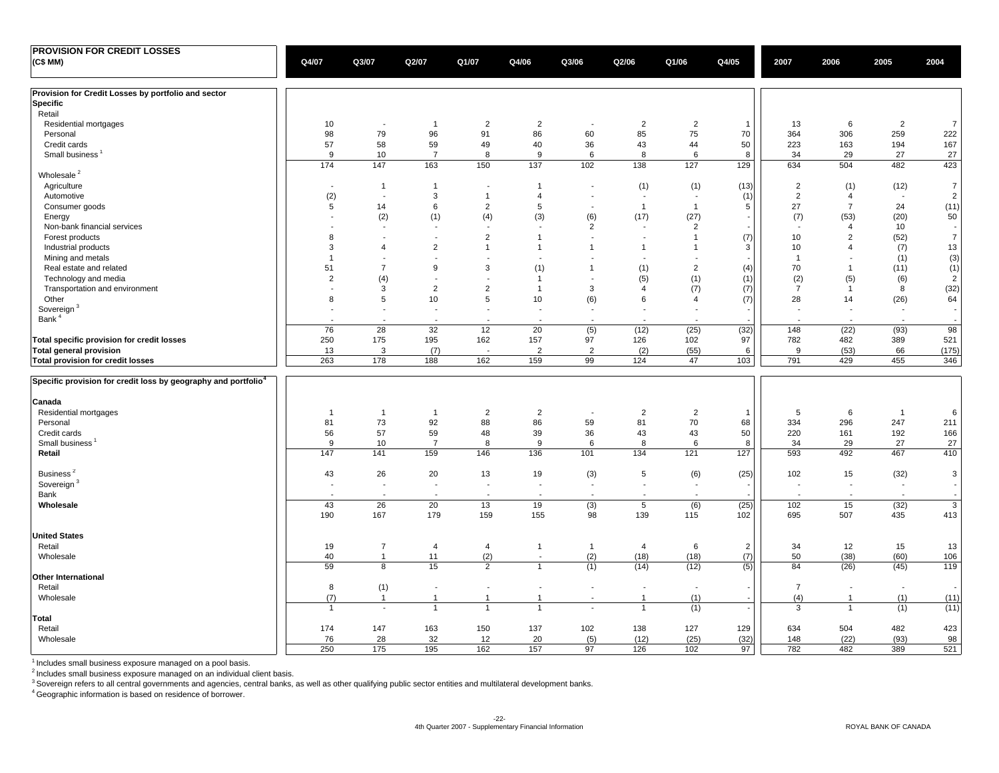| <b>PROVISION FOR CREDIT LOSSES</b>                                         |                          |                          |                          |                |                                |                          |                          |                          |                          |                          |                          |                |                          |
|----------------------------------------------------------------------------|--------------------------|--------------------------|--------------------------|----------------|--------------------------------|--------------------------|--------------------------|--------------------------|--------------------------|--------------------------|--------------------------|----------------|--------------------------|
| (C\$MM)                                                                    | Q4/07                    | Q3/07                    | Q2/07                    | Q1/07          | Q4/06                          | Q3/06                    | Q2/06                    | Q1/06                    | Q4/05                    | 2007                     | 2006                     | 2005           | 2004                     |
|                                                                            |                          |                          |                          |                |                                |                          |                          |                          |                          |                          |                          |                |                          |
| Provision for Credit Losses by portfolio and sector                        |                          |                          |                          |                |                                |                          |                          |                          |                          |                          |                          |                |                          |
| Specific                                                                   |                          |                          |                          |                |                                |                          |                          |                          |                          |                          |                          |                |                          |
| Retail                                                                     |                          |                          |                          |                |                                |                          |                          |                          |                          |                          |                          |                |                          |
| Residential mortgages                                                      | 10                       | $\overline{\phantom{a}}$ | $\mathbf{1}$             | $\overline{2}$ | $\overline{2}$                 | $\overline{\phantom{a}}$ | $\overline{2}$           | $\overline{2}$           | $\overline{1}$           | 13                       | 6                        | $\overline{2}$ | $\overline{7}$           |
| Personal                                                                   | 98                       | 79                       | 96                       | 91             | 86                             | 60                       | 85                       | 75                       | 70                       | 364                      | 306                      | 259            | 222                      |
| Credit cards                                                               | 57                       | 58                       | 59                       | 49             | 40                             | 36                       | 43                       | 44                       | 50                       | 223                      | 163                      | 194            | 167                      |
| Small business <sup>1</sup>                                                | 9                        | 10                       | $\overline{7}$           | 8              | 9                              | 6                        | 8                        | 6                        | 8                        | 34                       | 29                       | 27             | 27                       |
|                                                                            | 174                      | 147                      | 163                      | 150            | 137                            | 102                      | 138                      | 127                      | 129                      | 634                      | 504                      | 482            | 423                      |
| Wholesale <sup>2</sup>                                                     |                          |                          |                          |                |                                |                          |                          |                          |                          |                          |                          |                |                          |
|                                                                            |                          |                          |                          |                |                                |                          |                          |                          |                          |                          |                          |                |                          |
| Agriculture                                                                | $\overline{\phantom{a}}$ | $\mathbf{1}$             | $\mathbf{1}$             |                | $\mathbf{1}$<br>$\overline{4}$ |                          | (1)                      | (1)                      | (13)                     | $\overline{2}$           | (1)                      | (12)           | $\overline{7}$           |
| Automotive                                                                 | (2)                      | $\blacksquare$           | 3                        | $\overline{1}$ |                                | $\blacksquare$           | $\overline{\phantom{a}}$ | $\overline{\phantom{a}}$ | (1)                      | $\overline{2}$           | $\overline{4}$           | $\blacksquare$ | $\overline{2}$           |
| Consumer goods                                                             | 5                        | 14                       | 6                        | $\overline{2}$ | 5                              |                          | $\overline{1}$           | $\mathbf{1}$             | 5                        | 27                       | $\overline{7}$           | 24             | (11)                     |
| Energy                                                                     | $\overline{\phantom{a}}$ | (2)                      | (1)                      | (4)            | (3)                            | (6)                      | (17)                     | (27)                     | $\overline{\phantom{a}}$ | (7)                      | (53)                     | (20)           | 50                       |
| Non-bank financial services                                                |                          | $\sim$                   | $\overline{\phantom{a}}$ |                | $\overline{\phantom{a}}$       | $\overline{2}$           | $\overline{\phantom{a}}$ | 2                        |                          | $\overline{\phantom{a}}$ | $\overline{4}$           | 10             | $\overline{\phantom{a}}$ |
| Forest products                                                            | 8                        | $\overline{a}$           | $\overline{\phantom{a}}$ | $\overline{2}$ | $\mathbf{1}$                   | $\overline{a}$           | $\overline{a}$           | $\mathbf{1}$             | (7)                      | 10                       | $\overline{2}$           | (52)           | $\overline{7}$           |
| Industrial products                                                        | 3                        | $\overline{4}$           | $\overline{2}$           | $\overline{1}$ | $\mathbf{1}$                   | $\overline{1}$           |                          | $\mathbf{1}$             | 3                        | 10                       | $\overline{4}$           | (7)            | 13                       |
| Mining and metals                                                          | $\overline{1}$           | ÷                        | $\sim$                   |                |                                |                          | $\overline{a}$           |                          |                          | $\overline{1}$           | $\sim$                   | (1)            | (3)                      |
| Real estate and related                                                    | 51                       | $\overline{7}$           | 9                        | 3              | (1)                            | $\overline{1}$           | (1)                      | $\overline{2}$           | (4)                      | 70                       | $\overline{1}$           | (11)           | (1)                      |
| Technology and media                                                       | 2                        | (4)                      | $\overline{\phantom{a}}$ |                | $\mathbf{1}$                   |                          | (5)                      | (1)                      | (1)                      | (2)                      | (5)                      | (6)            | $\overline{2}$           |
| Transportation and environment                                             |                          | 3                        | 2                        | $\overline{2}$ | $\mathbf{1}$                   | 3                        | $\overline{4}$           | (7)                      | (7)                      | $\overline{7}$           | $\overline{1}$           | 8              | (32)                     |
| Other                                                                      | 8                        | $\,$ 5 $\,$              | 10                       | 5              | 10                             | (6)                      | 6                        | $\overline{4}$           | (7)                      | 28                       | 14                       | (26)           | 64                       |
| Sovereign <sup>3</sup>                                                     |                          | $\blacksquare$           | $\blacksquare$           |                | $\overline{\phantom{a}}$       |                          |                          |                          |                          |                          | $\overline{\phantom{a}}$ | $\blacksquare$ | $\overline{\phantom{a}}$ |
| Bank <sup>4</sup>                                                          |                          |                          |                          |                |                                |                          |                          |                          | $\overline{\phantom{a}}$ |                          |                          |                | $\overline{\phantom{a}}$ |
|                                                                            |                          | $\sim$                   | $\overline{\phantom{a}}$ |                |                                |                          |                          |                          |                          |                          |                          |                |                          |
|                                                                            | 76                       | 28                       | 32                       | 12             | $\overline{20}$                | (5)                      | (12)                     | (25)                     | (32)                     | 148                      | (22)                     | (93)           | 98                       |
| Total specific provision for credit losses                                 | 250                      | 175                      | 195                      | 162            | 157                            | 97                       | 126                      | 102                      | 97                       | 782                      | 482                      | 389            | 521                      |
| Total general provision                                                    | 13                       | 3                        | (7)                      |                | $\overline{2}$                 | $\overline{2}$           | (2)                      | (55)                     | 6                        | 9                        | (53)                     | 66             | (175)                    |
| Total provision for credit losses                                          | 263                      | 178                      | 188                      | 162            | 159                            | 99                       | 124                      | 47                       | 103                      | 791                      | 429                      | 455            | 346                      |
| Specific provision for credit loss by geography and portfolio <sup>4</sup> |                          |                          |                          |                |                                |                          |                          |                          |                          |                          |                          |                |                          |
|                                                                            |                          |                          |                          |                |                                |                          |                          |                          |                          |                          |                          |                |                          |
| Canada                                                                     |                          |                          |                          |                |                                |                          |                          |                          |                          |                          |                          |                |                          |
| Residential mortgages                                                      | -1                       | $\overline{1}$           | $\mathbf{1}$             | $\overline{2}$ | $\overline{2}$                 | $\overline{a}$           | $\overline{2}$           | $\overline{2}$           | $\overline{1}$           | 5                        | 6                        | $\overline{1}$ | 6                        |
| Personal                                                                   | 81                       | 73                       | 92                       | 88             | 86                             | 59                       | 81                       | 70                       | 68                       | 334                      | 296                      | 247            | 211                      |
| Credit cards                                                               | 56                       | 57                       | 59                       | 48             | 39                             | 36                       | 43                       | 43                       | 50                       | 220                      | 161                      | 192            | 166                      |
| Small business <sup>1</sup>                                                | 9                        | 10                       | $\overline{7}$           | 8              | 9                              | 6                        | 8                        | 6                        | 8                        | 34                       | 29                       | 27             | 27                       |
|                                                                            |                          |                          |                          |                |                                |                          |                          |                          |                          |                          |                          |                |                          |
| Retail                                                                     | 147                      | 141                      | 159                      | 146            | 136                            | 101                      | 134                      | 121                      | 127                      | 593                      | 492                      | 467            | 410                      |
| Business <sup>2</sup>                                                      | 43                       | 26                       | 20                       | 13             | 19                             | (3)                      | 5                        | (6)                      | (25)                     | 102                      | 15                       | (32)           | 3                        |
| Sovereign <sup>3</sup>                                                     | $\overline{\phantom{a}}$ | $\blacksquare$           | $\blacksquare$           |                | $\overline{\phantom{a}}$       | $\blacksquare$           | $\blacksquare$           | $\overline{\phantom{a}}$ | ٠.                       | $\sim$                   | $\blacksquare$           | $\blacksquare$ | $\overline{\phantom{a}}$ |
| Bank                                                                       |                          |                          | $\sim$                   |                |                                |                          |                          |                          |                          |                          |                          |                |                          |
| Wholesale                                                                  | 43                       | 26                       | 20                       | 13             | 19                             |                          | 5                        | (6)                      | (25)                     | 102                      | 15                       | (32)           | $\overline{3}$           |
|                                                                            |                          |                          |                          |                |                                | (3)                      |                          |                          |                          |                          |                          |                |                          |
|                                                                            | 190                      | 167                      | 179                      | 159            | 155                            | 98                       | 139                      | 115                      | 102                      | 695                      | 507                      | 435            | 413                      |
| <b>United States</b>                                                       |                          |                          |                          |                |                                |                          |                          |                          |                          |                          |                          |                |                          |
| Retail                                                                     | 19                       | $\overline{7}$           | $\overline{4}$           | 4              | $\mathbf{1}$                   | $\overline{1}$           | 4                        | 6                        | $\overline{2}$           | 34                       | 12                       | 15             | 13                       |
| Wholesale                                                                  | 40                       | $\overline{1}$           | 11                       | (2)            | $\sim$                         | (2)                      | (18)                     | (18)                     | (7)                      | 50                       | (38)                     | (60)           | 106                      |
|                                                                            | 59                       | 8                        | 15                       | $\overline{2}$ | $\mathbf{1}$                   | (1)                      | (14)                     | (12)                     |                          | 84                       |                          | (45)           | 119                      |
|                                                                            |                          |                          |                          |                |                                |                          |                          |                          | (5)                      |                          | (26)                     |                |                          |
| <b>Other International</b>                                                 |                          |                          |                          |                |                                |                          |                          |                          |                          |                          |                          |                |                          |
| Retail                                                                     | 8                        | (1)                      | $\overline{\phantom{a}}$ |                | $\sim$                         | $\sim$                   | $\overline{\phantom{a}}$ | $\overline{\phantom{a}}$ |                          | $\overline{7}$           | $\blacksquare$           | $\blacksquare$ | $\overline{\phantom{a}}$ |
| Wholesale                                                                  | (7)                      | $\mathbf{1}$             | $\mathbf{1}$             | $\overline{1}$ | $\mathbf{1}$                   | ÷                        | $\mathbf{1}$             | (1)                      |                          | (4)                      | $\overline{1}$           | (1)            | (11)                     |
|                                                                            | $\mathbf{1}$             | $\blacksquare$           | $\mathbf{1}$             | $\overline{1}$ | $\mathbf{1}$                   | ÷,                       | $\overline{1}$           | (1)                      |                          | 3                        | $\overline{1}$           | (1)            | (11)                     |
| Total                                                                      |                          |                          |                          |                |                                |                          |                          |                          |                          |                          |                          |                |                          |
| Retail                                                                     | 174                      | 147                      | 163                      | 150            | 137                            | 102                      | 138                      | 127                      | 129                      | 634                      | 504                      | 482            | 423                      |
| Wholesale                                                                  | 76                       | 28                       | 32                       | 12             | 20                             | (5)                      | (12)                     | (25)                     | (32)                     | 148                      | (22)                     | (93)           | 98                       |
|                                                                            | 250                      | 175                      | 195                      | 162            | 157                            | 97                       | 126                      | 102                      | 97                       | 782                      | 482                      | 389            | 521                      |
|                                                                            |                          |                          |                          |                |                                |                          |                          |                          |                          |                          |                          |                |                          |

<sup>1</sup> Includes small business exposure managed on a pool basis.<br><sup>2</sup> Includes small business exposure managed on an individual client basis.<br><sup>3</sup> Sovereign refers to all central governments and agencies, central banks, as well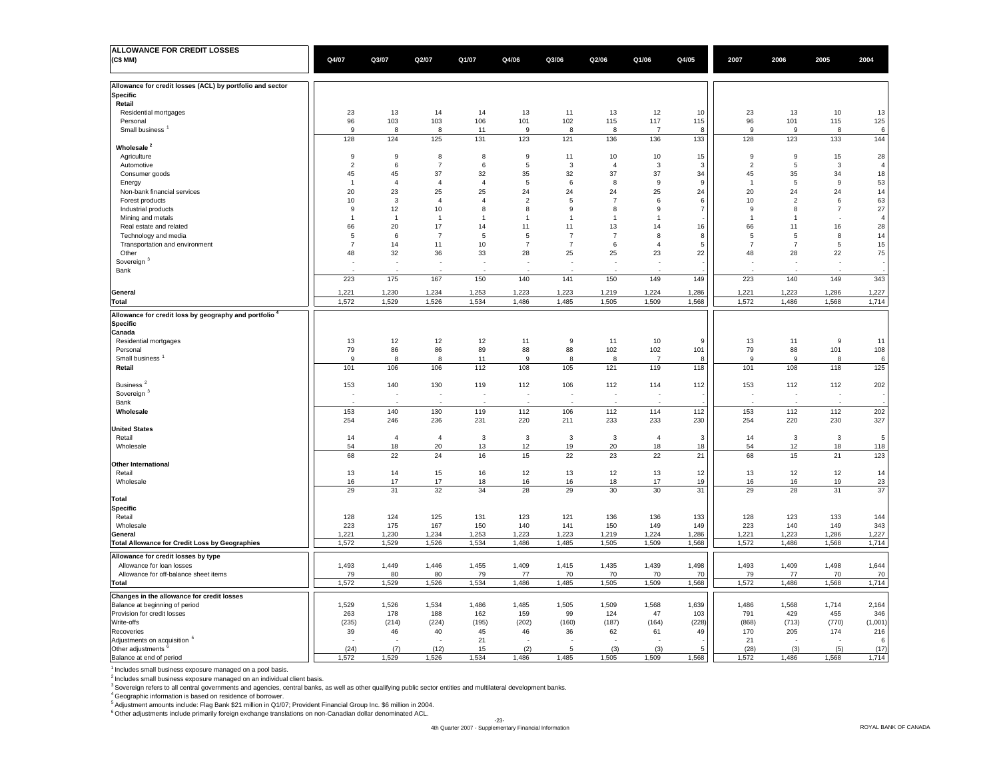| <b>ALLOWANCE FOR CREDIT LOSSES</b>                        |                |                |                          |                |                |                |                |                |                         |                |                          |                |                |
|-----------------------------------------------------------|----------------|----------------|--------------------------|----------------|----------------|----------------|----------------|----------------|-------------------------|----------------|--------------------------|----------------|----------------|
| (C\$ MM)                                                  | Q4/07          | Q3/07          | Q2/07                    | Q1/07          | Q4/06          | Q3/06          | Q2/06          | Q1/06          | Q4/05                   | 2007           | 2006                     | 2005           | 2004           |
|                                                           |                |                |                          |                |                |                |                |                |                         |                |                          |                |                |
|                                                           |                |                |                          |                |                |                |                |                |                         |                |                          |                |                |
| Allowance for credit losses (ACL) by portfolio and sector |                |                |                          |                |                |                |                |                |                         |                |                          |                |                |
| <b>Specific</b>                                           |                |                |                          |                |                |                |                |                |                         |                |                          |                |                |
| Retail                                                    |                |                |                          |                |                |                |                |                |                         |                |                          |                |                |
| Residential mortgages                                     | 23             | 13             | 14                       | 14             | 13             | 11             | 13             | 12             | 10                      | 23             | 13                       | 10             | 13             |
| Personal                                                  | 96             | 103            | 103                      | 106            | 101            | 102            | 115            | 117            | 115                     | 96             | 101                      | 115            | 125            |
| Small business <sup>1</sup>                               | 9              | 8              | 8                        | 11             | 9              | 8              | 8              | $\overline{7}$ | 8                       | 9              | 9                        | 8              | 6              |
|                                                           | 128            | 124            | 125                      | 131            | 123            | 121            | 136            | 136            | 133                     | 128            | 123                      | 133            | 144            |
| Wholesale <sup>2</sup>                                    |                |                |                          |                |                |                |                |                |                         |                |                          |                |                |
| Agriculture                                               | 9              | 9              | 8                        | 8              | 9              | 11             | 10             | 10             | 15                      | 9              | 9                        | 15             | 28             |
| Automotive                                                | $\overline{2}$ | 6              | $\overline{7}$           | 6              | 5              | 3              | $\overline{4}$ | 3              | $\overline{\mathbf{3}}$ | $\overline{2}$ | 5                        | 3              | $\overline{4}$ |
|                                                           |                |                |                          |                |                |                |                |                |                         |                |                          |                |                |
| Consumer goods                                            | 45             | 45             | 37                       | 32             | 35             | 32             | 37             | 37             | 34                      | 45             | 35                       | 34             | 18             |
| Energy                                                    | $\overline{1}$ | $\overline{4}$ | $\overline{4}$           | $\overline{4}$ | 5              | 6              | 8              | 9              | 9                       | $\overline{1}$ | 5                        | 9              | 53             |
| Non-bank financial services                               | 20             | 23             | 25                       | 25             | 24             | 24             | 24             | 25             | 24                      | 20             | 24                       | 24             | 14             |
| Forest products                                           | 10             | 3              | $\overline{4}$           | $\overline{4}$ | $\overline{2}$ | 5              | $\overline{7}$ | 6              | 6                       | 10             | $\overline{2}$           | 6              | 63             |
| Industrial products                                       | $\mathbf{Q}$   | 12             | 10                       | 8              | 8              | 9              | $\mathbf{R}$   | $\mathsf g$    | $\overline{7}$          | 9              | 8                        | $\overline{7}$ | $27\,$         |
| Mining and metals                                         | $\overline{1}$ | $\overline{1}$ | $\overline{1}$           | $\overline{1}$ | $\overline{1}$ | $\overline{1}$ | $\overline{1}$ | $\overline{1}$ |                         | $\overline{1}$ | $\mathbf{1}$             |                | $\overline{4}$ |
| Real estate and related                                   | 66             | 20             | 17                       | 14             | 11             | 11             | 13             | 14             | 16                      | 66             | 11                       | 16             | 28             |
| Technology and media                                      | 5              | 6              | $\overline{7}$           | 5              | 5              | $\overline{7}$ | $\overline{7}$ | 8              | 8                       | 5              | 5                        | 8              | 14             |
| Transportation and environment                            | $\overline{7}$ | 14             | 11                       | 10             | $\overline{7}$ | $\overline{7}$ | 6              | $\overline{4}$ | 5                       | $\overline{7}$ | $\overline{7}$           | 5              | 15             |
| Other                                                     | 48             | 32             | 36                       | 33             | 28             | 25             | 25             | 23             | 22                      | 48             | 28                       | 22             | 75             |
| Sovereign                                                 |                |                |                          |                |                | ÷,             |                |                |                         |                |                          |                |                |
|                                                           |                |                |                          |                |                |                |                |                |                         |                |                          |                |                |
| Bank                                                      |                |                |                          |                |                |                |                |                |                         |                |                          |                |                |
|                                                           | 223            | 175            | 167                      | 150            | 140            | 141            | 150            | 149            | 149                     | 223            | 140                      | 149            | 343            |
| Genera                                                    | 1,221          | 1,230          | 1,234                    | 1,253          | 1,223          | 1,223          | 1,219          | 1,224          | 1,286                   | 1,221          | 1,223                    | 1,286          | 1,227          |
| Total                                                     | 1,572          | 1,529          | 1,526                    | 1,534          | 1,486          | 1,485          | 1,505          | 1,509          | 1,568                   | 1,572          | 1,486                    | 1,568          | 1,714          |
|                                                           |                |                |                          |                |                |                |                |                |                         |                |                          |                |                |
| Allowance for credit loss by geography and portfolio      |                |                |                          |                |                |                |                |                |                         |                |                          |                |                |
| <b>Specific</b>                                           |                |                |                          |                |                |                |                |                |                         |                |                          |                |                |
| Canada                                                    |                |                |                          |                |                |                |                |                |                         |                |                          |                |                |
| Residential mortgages                                     | 13             | 12             | 12                       | 12             | 11             | 9              | 11             | $10$           | 9                       | 13             | 11                       | $\overline{9}$ | 11             |
| Personal                                                  | 79             | 86             | 86                       | 89             | 88             | 88             | 102            | 102            | 101                     | 79             | 88                       | 101            | 108            |
| Small business                                            | 9              | 8              | 8                        | 11             | 9              | 8              | 8              | $\overline{7}$ | 8                       | 9              | 9                        | 8              |                |
|                                                           |                |                |                          |                |                |                |                |                |                         |                |                          |                | 6              |
| Retail                                                    | 101            | 106            | 106                      | 112            | 108            | 105            | 121            | 119            | 118                     | 101            | 108                      | 118            | 125            |
|                                                           |                |                |                          |                |                |                |                |                |                         |                |                          |                |                |
| Business <sup>2</sup>                                     | 153            | 140            | 130                      | 119            | 112            | 106            | 112            | 114            | 112                     | 153            | 112                      | 112            | 202            |
| Sovereign                                                 |                |                | $\overline{\phantom{a}}$ |                |                | Ĭ.             |                |                |                         |                | $\overline{\phantom{a}}$ |                |                |
| Bank                                                      |                |                |                          |                |                |                |                |                |                         |                |                          |                |                |
| Wholesale                                                 | 153            | 140            | 130                      | 119            | 112            | 106            | 112            | 114            | 112                     | 153            | 112                      | 112            | 202            |
|                                                           | 254            | 246            | 236                      | 231            | 220            | 211            | 233            | 233            | 230                     | 254            | 220                      | 230            | 327            |
| <b>United States</b>                                      |                |                |                          |                |                |                |                |                |                         |                |                          |                |                |
| Retail                                                    | 14             | $\overline{4}$ | $\overline{4}$           | 3              | 3              | 3              | 3              | $\overline{4}$ | $\overline{3}$          | 14             | 3                        | 3              | 5              |
| Wholesale                                                 | 54             | 18             | 20                       | 13             | 12             | 19             | 20             | 18             | 18                      | 54             | 12                       | 18             | 118            |
|                                                           | 68             | 22             | 24                       | 16             | 15             | 22             | 23             | 22             | 21                      | 68             | 15                       | 21             | 123            |
|                                                           |                |                |                          |                |                |                |                |                |                         |                |                          |                |                |
| <b>Other International</b>                                |                |                |                          | 16             |                |                |                | 13             | 12                      | 13             |                          |                |                |
| Retail                                                    | 13             | 14             | 15                       |                | 12             | 13             | 12             |                |                         |                | 12                       | 12             | 14             |
| Wholesale                                                 | 16             | 17             | 17                       | 18             | 16             | 16             | 18             | 17             | 19                      | 16             | 16                       | 19             | 23             |
|                                                           | 29             | 31             | 32                       | 34             | 28             | 29             | 30             | 30             | 31                      | 29             | 28                       | 31             | 37             |
| Total                                                     |                |                |                          |                |                |                |                |                |                         |                |                          |                |                |
| <b>Specific</b>                                           |                |                |                          |                |                |                |                |                |                         |                |                          |                |                |
| Retail                                                    | 128            | 124            | 125                      | 131            | 123            | 121            | 136            | 136            | 133                     | 128            | 123                      | 133            | 144            |
| Wholesale                                                 | 223            | 175            | 167                      | 150            | 140            | 141            | 150            | 149            | 149                     | 223            | 140                      | 149            | 343            |
| General                                                   | 1,221          | 1,230          | 1,234                    | 1,253          | 1,223          | 1,223          | 1,219          | 1,224          | 1,286                   | 1,221          | 1,223                    | 1,286          | 1,227          |
| <b>Total Allowance for Credit Loss by Geographies</b>     | 1,572          | 1,529          | 1,526                    | 1,534          | 1,486          | 1,485          | 1,505          | 1,509          | 1,568                   | 1,572          | 1,486                    | 1,568          | 1,714          |
|                                                           |                |                |                          |                |                |                |                |                |                         |                |                          |                |                |
| Allowance for credit losses by type                       |                |                |                          |                |                |                |                |                |                         |                |                          |                |                |
| Allowance for loan losses                                 | 1,493          | 1,449          | 1,446                    | 1,455          | 1,409          | 1,415          | 1,435          | 1,439          | 1,498                   | 1,493          | 1,409                    | 1,498          | 1,644          |
| Allowance for off-balance sheet items                     | 79             | 80             | 80                       | 79             | 77             | 70             | 70             | 70             | 70                      | 79             | 77                       | 70             | 70             |
| Total                                                     | 1,572          | 1,529          | 1,526                    | 1,534          | 1,486          | 1,485          | 1,505          | 1,509          | 1,568                   | 1,572          | 1,486                    | 1,568          | 1,714          |
|                                                           |                |                |                          |                |                |                |                |                |                         |                |                          |                |                |
| Changes in the allowance for credit losses                |                |                |                          |                |                |                |                |                |                         |                |                          |                |                |
| Balance at beginning of period                            | 1,529          | 1,526          | 1,534                    | 1,486          | 1,485          | 1,505          | 1,509          | 1,568          | 1,639                   | 1,486          | 1,568                    | 1,714          | 2,164          |
| Provision for credit losses                               | 263            | 178            | 188                      | 162            | 159            | 99             | 124            | 47             | 103                     | 791            | 429                      | 455            | 346            |
| Write-offs                                                | (235)          | (214)          | (224)                    | (195)          | (202)          | (160)          | (187)          | (164)          | (228)                   | (868)          | (713)                    | (770)          | (1,001)        |
| Recoveries                                                | 39             | 46             | 40                       | 45             | 46             | 36             | 62             | 61             | 49                      | 170            | 205                      | 174            | 216            |
| Adjustments on acquisition <sup>5</sup>                   |                |                |                          | 21             |                |                |                |                |                         | 21             |                          |                | 6              |
| Other adjustments <sup>6</sup>                            | (24)           | (7)            | (12)                     | 15             | (2)            | 5              | (3)            | (3)            | 5                       | (28)           | (3)                      | (5)            | (17)           |
| Balance at end of period                                  | 1.572          | 1,529          | 1,526                    | 1,534          | 1,486          | 1,485          | 1,505          | 1.509          | 1,568                   | 1.572          | 1,486                    | 1,568          | 1,714          |

1 Includes small business exposure managed on a pool basis.

<sup>2</sup> Includes small business exposure managed on an individual client basis.

3 Sovereign refers to all central governments and agencies, central banks, as well as other qualifying public sector entities and multilateral development banks.

<sup>4</sup> Geographic information is based on residence of borrower.<br><sup>5</sup> Adjustment amounts include: Flag Bank \$21 million in Q1/07; Provident Financial Group Inc. \$6 million in 2004.

6 Other adjustments include primarily foreign exchange translations on non-Canadian dollar denominated ACL.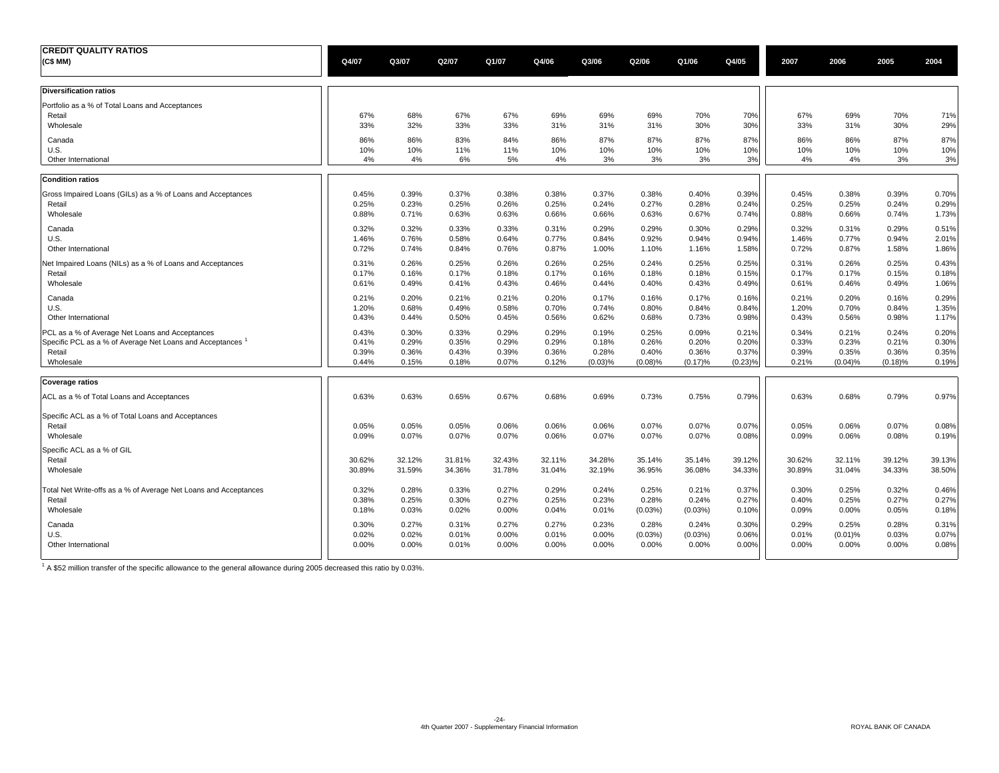| <b>CREDIT QUALITY RATIOS</b><br>(C\$ MM)                         | Q4/07          | Q3/07          | Q2/07          | Q1/07          | Q4/06          | Q3/06          | Q2/06               | Q1/06          | Q4/05               | 2007           | 2006           | 2005           | 2004           |
|------------------------------------------------------------------|----------------|----------------|----------------|----------------|----------------|----------------|---------------------|----------------|---------------------|----------------|----------------|----------------|----------------|
| <b>Diversification ratios</b>                                    |                |                |                |                |                |                |                     |                |                     |                |                |                |                |
| Portfolio as a % of Total Loans and Acceptances                  |                |                |                |                |                |                |                     |                |                     |                |                |                |                |
| Retail<br>Wholesale                                              | 67%<br>33%     | 68%<br>32%     | 67%<br>33%     | 67%<br>33%     | 69%<br>31%     | 69%<br>31%     | 69%<br>31%          | 70%<br>30%     | 70%<br>30%          | 67%<br>33%     | 69%<br>31%     | 70%<br>30%     | 71%<br>29%     |
| Canada                                                           | 86%            | 86%            | 83%            | 84%            | 86%            | 87%            | 87%                 | 87%            | 87%                 | 86%            | 86%            | 87%            | 87%            |
| U.S.<br>Other International                                      | 10%<br>4%      | 10%<br>4%      | 11%<br>6%      | 11%<br>5%      | 10%<br>4%      | 10%<br>3%      | 10%<br>3%           | 10%<br>3%      | 10%<br>3%           | 10%<br>4%      | 10%<br>4%      | 10%<br>3%      | 10%<br>3%      |
| <b>Condition ratios</b>                                          |                |                |                |                |                |                |                     |                |                     |                |                |                |                |
| Gross Impaired Loans (GILs) as a % of Loans and Acceptances      | 0.45%          | 0.39%          | 0.37%          | 0.38%          | 0.38%          | 0.37%          | 0.38%               | 0.40%          | 0.39%               | 0.45%          | 0.38%          | 0.39%          | 0.70%          |
| Retail                                                           | 0.25%          | 0.23%          | 0.25%          | 0.26%          | 0.25%          | 0.24%          | 0.27%               | 0.28%          | 0.24%               | 0.25%          | 0.25%          | 0.24%          | 0.29%          |
| Wholesale                                                        | 0.88%          | 0.71%          | 0.63%          | 0.63%          | 0.66%          | 0.66%          | 0.63%               | 0.67%          | 0.74%               | 0.88%          | 0.66%          | 0.74%          | 1.73%          |
| Canada                                                           | 0.32%          | 0.32%          | 0.33%          | 0.33%          | 0.31%          | 0.29%          | 0.29%               | 0.30%          | 0.29%               | 0.32%          | 0.31%          | 0.29%          | 0.51%          |
| U.S.<br>Other International                                      | 1.46%<br>0.72% | 0.76%<br>0.74% | 0.58%<br>0.84% | 0.64%<br>0.76% | 0.77%<br>0.87% | 0.84%<br>1.00% | 0.92%<br>1.10%      | 0.94%<br>1.16% | 0.94%<br>1.58%      | 1.46%<br>0.72% | 0.77%<br>0.87% | 0.94%<br>1.58% | 2.01%<br>1.86% |
| Net Impaired Loans (NILs) as a % of Loans and Acceptances        | 0.31%          | 0.26%          | 0.25%          | 0.26%          | 0.26%          | 0.25%          | 0.24%               | 0.25%          | 0.25%               | 0.31%          | 0.26%          | 0.25%          | 0.43%          |
| Retail                                                           | 0.17%          | 0.16%          | 0.17%          | 0.18%          | 0.17%          | 0.16%          | 0.18%               | 0.18%          | 0.15%               | 0.17%          | 0.17%          | 0.15%          | 0.18%          |
| Wholesale                                                        | 0.61%          | 0.49%          | 0.41%          | 0.43%          | 0.46%          | 0.44%          | 0.40%               | 0.43%          | 0.49%               | 0.61%          | 0.46%          | 0.49%          | 1.06%          |
| Canada                                                           | 0.21%          | 0.20%          | 0.21%          | 0.21%          | 0.20%          | 0.17%          | 0.16%               | 0.17%          | 0.16%               | 0.21%          | 0.20%          | 0.16%          | 0.29%          |
| U.S.                                                             | 1.20%          | 0.68%          | 0.49%          | 0.58%          | 0.70%          | 0.74%          | 0.80%               | 0.84%          | 0.84%               | 1.20%          | 0.70%          | 0.84%          | 1.35%          |
| Other International                                              | 0.43%          | 0.44%          | 0.50%          | 0.45%          | 0.56%          | 0.62%          | 0.68%               | 0.73%          | 0.98%               | 0.43%          | 0.56%          | 0.98%          | 1.17%          |
| PCL as a % of Average Net Loans and Acceptances                  | 0.43%          | 0.30%          | 0.33%          | 0.29%          | 0.29%          | 0.19%          | 0.25%               | 0.09%          | 0.21%               | 0.34%          | 0.21%          | 0.24%          | 0.20%          |
| Specific PCL as a % of Average Net Loans and Acceptances         | 0.41%<br>0.39% | 0.29%<br>0.36% | 0.35%<br>0.43% | 0.29%          | 0.29%          | 0.18%<br>0.28% | 0.26%               | 0.20%<br>0.36% | 0.20%               | 0.33%<br>0.39% | 0.23%<br>0.35% | 0.21%<br>0.36% | 0.30%<br>0.35% |
| Retail<br>Wholesale                                              | 0.44%          | 0.15%          | 0.18%          | 0.39%<br>0.07% | 0.36%<br>0.12% | (0.03)%        | 0.40%<br>$(0.08)\%$ | (0.17)%        | 0.37%<br>$(0.23)\%$ | 0.21%          | (0.04)%        | (0.18)%        | 0.19%          |
| <b>Coverage ratios</b>                                           |                |                |                |                |                |                |                     |                |                     |                |                |                |                |
| ACL as a % of Total Loans and Acceptances                        | 0.63%          | 0.63%          | 0.65%          | 0.67%          | 0.68%          | 0.69%          | 0.73%               | 0.75%          | 0.79%               | 0.63%          | 0.68%          | 0.79%          | 0.97%          |
| Specific ACL as a % of Total Loans and Acceptances               |                |                |                |                |                |                |                     |                |                     |                |                |                |                |
| Retail                                                           | 0.05%          | 0.05%          | 0.05%          | 0.06%          | 0.06%          | 0.06%          | 0.07%               | 0.07%          | 0.07%               | 0.05%          | 0.06%          | 0.07%          | 0.08%          |
| Wholesale                                                        | 0.09%          | 0.07%          | 0.07%          | 0.07%          | 0.06%          | 0.07%          | 0.07%               | 0.07%          | 0.08%               | 0.09%          | 0.06%          | 0.08%          | 0.19%          |
| Specific ACL as a % of GIL                                       |                |                |                |                |                |                |                     |                |                     |                |                |                |                |
| Retail                                                           | 30.62%         | 32.12%         | 31.81%         | 32.43%         | 32.11%         | 34.28%         | 35.14%              | 35.14%         | 39.12%              | 30.62%         | 32.11%         | 39.12%         | 39.13%         |
| Wholesale                                                        | 30.89%         | 31.59%         | 34.36%         | 31.78%         | 31.04%         | 32.19%         | 36.95%              | 36.08%         | 34.33%              | 30.89%         | 31.04%         | 34.33%         | 38.50%         |
| Total Net Write-offs as a % of Average Net Loans and Acceptances | 0.32%          | 0.28%          | 0.33%          | 0.27%          | 0.29%          | 0.24%          | 0.25%               | 0.21%          | 0.37%               | 0.30%          | 0.25%          | 0.32%          | 0.46%          |
| Retail                                                           | 0.38%          | 0.25%          | 0.30%          | 0.27%          | 0.25%          | 0.23%          | 0.28%               | 0.24%          | 0.27%               | 0.40%          | 0.25%          | 0.27%          | 0.27%          |
| Wholesale                                                        | 0.18%          | 0.03%          | 0.02%          | 0.00%          | 0.04%          | 0.01%          | (0.03%)             | (0.03%)        | 0.10%               | 0.09%          | 0.00%          | 0.05%          | 0.18%          |
| Canada                                                           | 0.30%          | 0.27%          | 0.31%          | 0.27%          | 0.27%          | 0.23%          | 0.28%               | 0.24%          | 0.30%               | 0.29%          | 0.25%          | 0.28%          | 0.31%          |
| U.S.                                                             | 0.02%          | 0.02%          | 0.01%          | 0.00%          | 0.01%          | 0.00%          | (0.03%)             | (0.03%)        | 0.06%               | 0.01%          | (0.01)%        | 0.03%          | 0.07%          |
| Other International                                              | 0.00%          | 0.00%          | 0.01%          | 0.00%          | 0.00%          | 0.00%          | 0.00%               | 0.00%          | 0.00%               | $0.00\%$       | 0.00%          | 0.00%          | 0.08%          |

 $1$  A \$52 million transfer of the specific allowance to the general allowance during 2005 decreased this ratio by 0.03%.